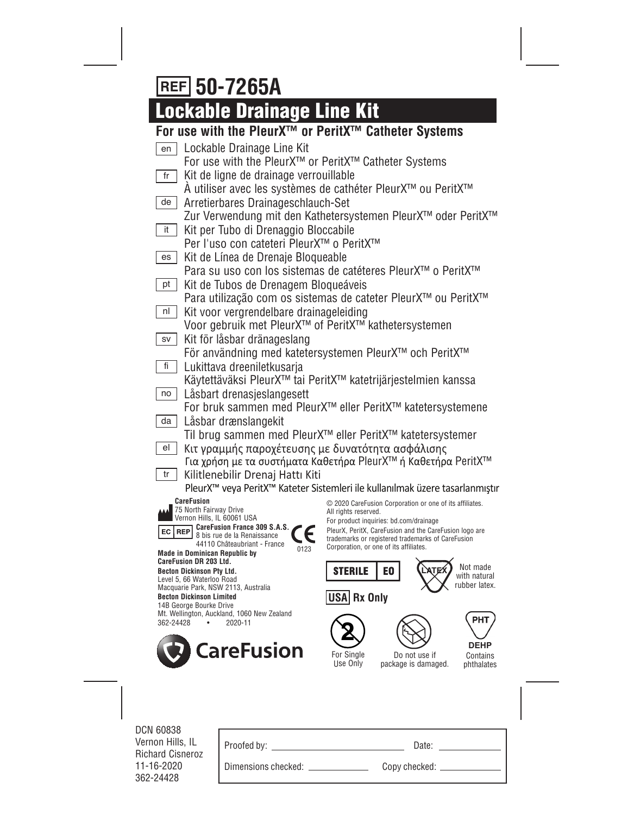# **50-7265A**

# **Lockable Drainage Line Kit**

## **For use with the PleurX™ or PeritX™ Catheter Systems**

| Lockable Drainage Line Kit<br>en                                                |                                                                                                      |
|---------------------------------------------------------------------------------|------------------------------------------------------------------------------------------------------|
| For use with the PleurX™ or PeritX™ Catheter Systems                            |                                                                                                      |
| Kit de ligne de drainage verrouillable<br>fr                                    |                                                                                                      |
|                                                                                 | A utiliser avec les systèmes de cathéter PleurX™ ou PeritX™                                          |
| Arretierbares Drainageschlauch-Set<br>de                                        |                                                                                                      |
|                                                                                 | Zur Verwendung mit den Kathetersystemen PleurX™ oder PeritX™                                         |
| it<br>Kit per Tubo di Drenaggio Bloccabile                                      |                                                                                                      |
| Per l'uso con cateteri PleurX™ o PeritX™                                        |                                                                                                      |
| Kit de Línea de Drenaje Bloqueable<br>es                                        |                                                                                                      |
|                                                                                 | Para su uso con los sistemas de catéteres PleurX™ o PeritX™                                          |
| Kit de Tubos de Drenagem Bloqueáveis<br>pt                                      |                                                                                                      |
|                                                                                 | Para utilização com os sistemas de cateter PleurX™ ou PeritX™                                        |
| Kit voor vergrendelbare drainageleiding<br>nl                                   |                                                                                                      |
| Voor gebruik met PleurX <sup>™</sup> of PeritX <sup>™</sup> kathetersystemen    |                                                                                                      |
| Kit för låsbar dränageslang<br>SV                                               |                                                                                                      |
|                                                                                 | För användning med katetersystemen PleurX™ och PeritX™                                               |
| Lukittava dreeniletkusarja<br>fi                                                |                                                                                                      |
|                                                                                 | Käytettäväksi PleurX™ tai PeritX™ katetrijärjestelmien kanssa                                        |
| Låsbart drenasjeslangesett<br>no                                                |                                                                                                      |
|                                                                                 | For bruk sammen med PleurX <sup>™</sup> eller PeritX™ katetersystemene                               |
| Låsbar drænslangekit<br>da                                                      |                                                                                                      |
|                                                                                 | Til brug sammen med PleurX <sup>™</sup> eller PeritX <sup>™</sup> katetersystemer                    |
| Κιτ γραμμής παροχέτευσης με δυνατότητα ασφάλισης<br>el                          |                                                                                                      |
|                                                                                 | Για χρήση με τα συστήματα Καθετήρα PleurΧ™ ή Καθετήρα PeritΧ™                                        |
| Kilitlenebilir Drenaj Hattı Kiti<br>tr                                          | PleurX <sup>™</sup> veya PeritX <sup>™</sup> Kateter Sistemleri ile kullanılmak üzere tasarlanmıştır |
| <b>CareFusion</b>                                                               |                                                                                                      |
| 75 North Fairway Drive                                                          | © 2020 CareFusion Corporation or one of its affiliates.<br>All rights reserved.                      |
| Vernon Hills, IL 60061 USA<br>CareFusion France 309 S.A.S.<br>EC.<br><b>REP</b> | For product inquiries: bd.com/drainage<br>PleurX, PeritX, CareFusion and the CareFusion logo are     |
| 8 bis rue de la Renaissance<br>44110 Châteaubriant - France                     | trademarks or registered trademarks of CareFusion                                                    |
| 0123<br><b>Made in Dominican Republic by</b>                                    | Corporation, or one of its affiliates.                                                               |
| <b>CareFusion DR 203 Ltd.</b><br><b>Becton Dickinson Pty Ltd.</b>               | Not made<br><b>STERILE</b><br>EO                                                                     |
| Level 5, 66 Waterloo Road<br>Macquarie Park, NSW 2113, Australia                | with natural<br>rubber latex.                                                                        |
| <b>Becton Dickinson Limited</b>                                                 | USA Rx Only                                                                                          |
| 14B George Bourke Drive<br>Mt. Wellington, Auckland, 1060 New Zealand           |                                                                                                      |
| 2020-11<br>362-24428                                                            | PHT                                                                                                  |
|                                                                                 |                                                                                                      |
| <b>CareFusion</b>                                                               | <b>DEHP</b><br>For Single<br>Do not use if<br>Contains                                               |
|                                                                                 | Use Only<br>package is damaged.<br>phthalates                                                        |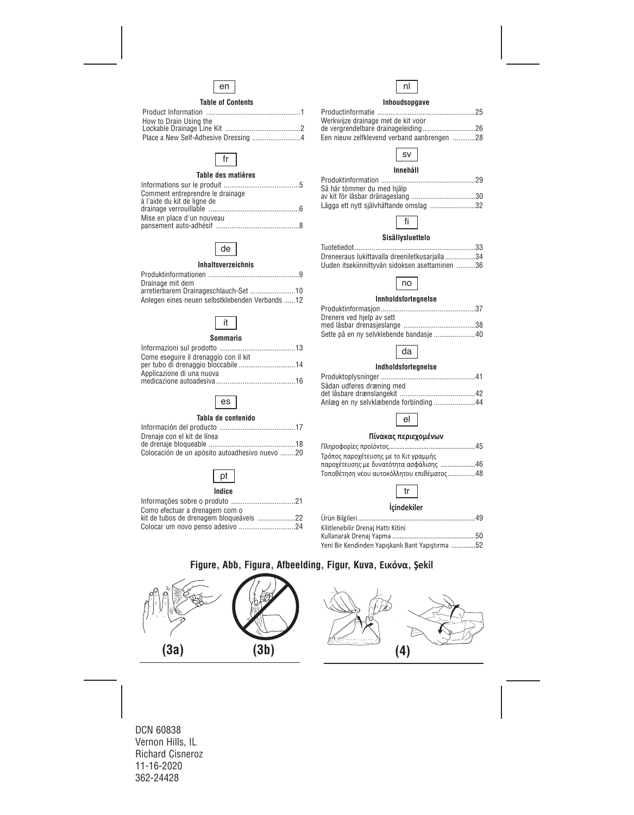

#### **Table of Contents**

| How to Drain Using the |  |
|------------------------|--|
|                        |  |
|                        |  |



#### **Table des matières**

| Comment entreprendre le drainage |  |
|----------------------------------|--|
| à l'aide du kit de ligne de      |  |
|                                  |  |
| Mise en place d'un nouveau       |  |
|                                  |  |



#### **Inhaltsverzeichnis**

| Drainage mit dem                                |  |
|-------------------------------------------------|--|
| arretierbarem Drainageschlauch-Set 10           |  |
| Anlegen eines neuen selbstklebenden Verbands 12 |  |

## it

#### **Sommario**

| Come eseguire il drenaggio con il kit |  |
|---------------------------------------|--|
|                                       |  |
| Applicazione di una nuova             |  |
|                                       |  |
|                                       |  |

## es

#### **Tabla de contenido**

| Drenaje con el kit de línea                    |  |
|------------------------------------------------|--|
|                                                |  |
| Colocación de un apósito autoadhesivo nuevo 20 |  |

## pt

#### **Índice**

| Como efectuar a drenagem com o          |  |
|-----------------------------------------|--|
| kit de tubos de drenagem bloqueáveis 22 |  |
|                                         |  |
|                                         |  |



#### **Inhoudsopgave**

| Werkwijze drainage met de kit voor          |  |
|---------------------------------------------|--|
|                                             |  |
| Een nieuw zelfklevend verband aanbrengen 28 |  |



#### **Innehåll**

| Så här tömmer du med hjälp             |  |
|----------------------------------------|--|
|                                        |  |
| Lägga ett nytt självhäftande omslag 32 |  |



#### **Sisällysluettelo**

| Dreneeraus lukittavalla dreeniletkusarjalla34  |  |
|------------------------------------------------|--|
| Uuden itsekiinnittyvän sidoksen asettaminen 36 |  |



#### **Innholdsfortegnelse**

| Drenere ved hjelp av sett               |  |
|-----------------------------------------|--|
|                                         |  |
| Sette på en ny selvklebende bandasje 40 |  |



#### **Indholdsfortegnelse**

| Sådan udføres dræning med              |  |
|----------------------------------------|--|
|                                        |  |
| Anlæg en ny selvklæbende forbinding 44 |  |



#### **Πίνακας περιεχομένων**

| Τρόπος παροχέτευσης με το Κιτ γραμμής     |  |
|-------------------------------------------|--|
| παροχέτευσης με δυνατότητα ασφάλισης 46   |  |
| Τοποθέτηση νέου αυτοκόλλητου επιθέματος48 |  |
|                                           |  |



#### **İçindekiler**

| Kilitlenebilir Drenaj Hattı Kitini               |  |
|--------------------------------------------------|--|
|                                                  |  |
| Yeni Bir Kendinden Yapışkanlı Bant Yapıştırma 52 |  |

## **Figure, Abb, Figura, Afbeelding, Figur, Kuva, Εικόνα, Şekil**

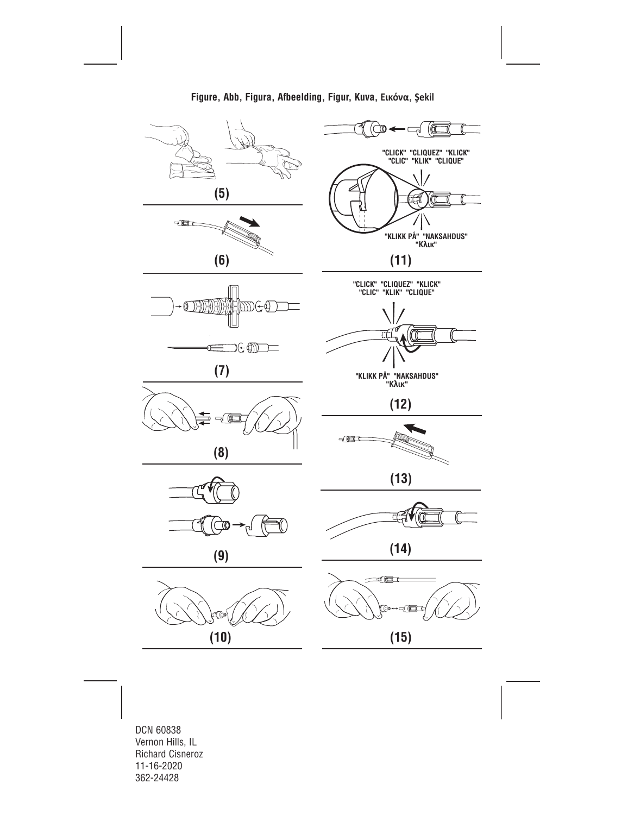

**Figure, Abb, Figura, Afbeelding, Figur, Kuva, Εικόνα, Şekil**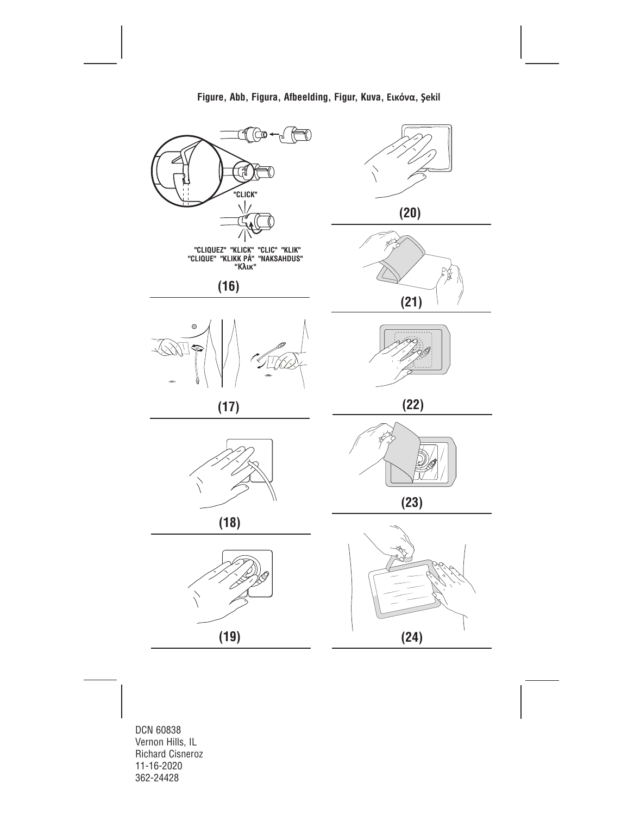

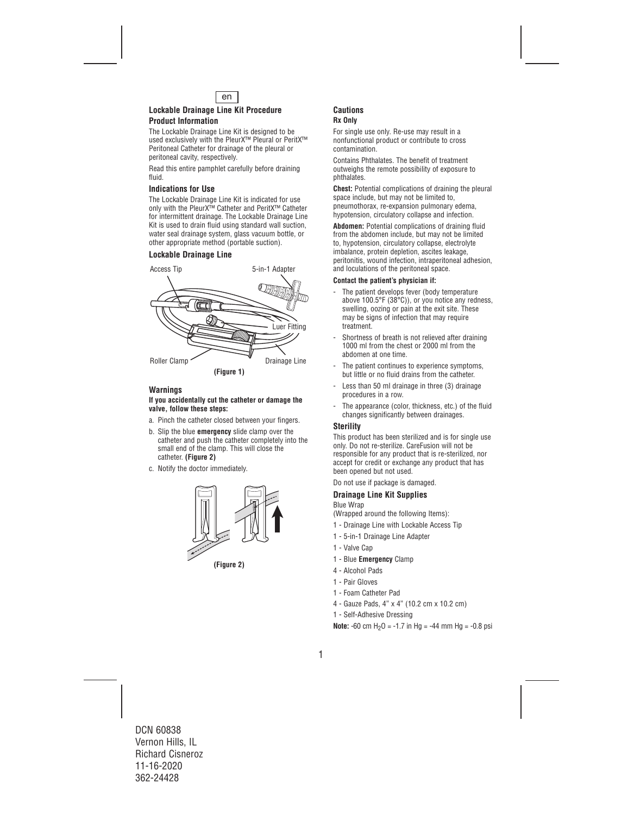

### **Lockable Drainage Line Kit Procedure Product Information**

The Lockable Drainage Line Kit is designed to be used exclusively with the PleurX™ Pleural or PeritX™ Peritoneal Catheter for drainage of the pleural or peritoneal cavity, respectively.

Read this entire pamphlet carefully before draining fluid.

#### **Indications for Use**

The Lockable Drainage Line Kit is indicated for use only with the PleurX™ Catheter and PeritX™ Catheter for intermittent drainage. The Lockable Drainage Line Kit is used to drain fluid using standard wall suction, water seal drainage system, glass vacuum bottle, or other appropriate method (portable suction).

## **Lockable Drainage Line**



### **Warnings**

#### **If you accidentally cut the catheter or damage the valve, follow these steps:**

- a. Pinch the catheter closed between your fingers.
- b. Slip the blue **emergency** slide clamp over the catheter and push the catheter completely into the small end of the clamp. This will close the catheter. **(Figure 2)**
- c. Notify the doctor immediately.



**(Figure 2)**

## **Cautions Rx Only**

For single use only. Re-use may result in a nonfunctional product or contribute to cross contamination.

Contains Phthalates. The benefit of treatment outweighs the remote possibility of exposure to phthalates.

**Chest:** Potential complications of draining the pleural space include, but may not be limited to, pneumothorax, re-expansion pulmonary edema, hypotension, circulatory collapse and infection.

**Abdomen:** Potential complications of draining fluid from the abdomen include, but may not be limited to, hypotension, circulatory collapse, electrolyte imbalance, protein depletion, ascites leakage, peritonitis, wound infection, intraperitoneal adhesion, and loculations of the peritoneal space.

#### **Contact the patient's physician if:**

- The patient develops fever (body temperature above 100.5°F (38°C)), or you notice any redness, swelling, oozing or pain at the exit site. These may be signs of infection that may require treatment.
- Shortness of breath is not relieved after draining 1000 ml from the chest or 2000 ml from the abdomen at one time.
- The patient continues to experience symptoms. but little or no fluid drains from the catheter.
- Less than 50 ml drainage in three (3) drainage procedures in a row.
- The appearance (color, thickness, etc.) of the fluid changes significantly between drainages.

### **Sterility**

This product has been sterilized and is for single use only. Do not re-sterilize. CareFusion will not be responsible for any product that is re-sterilized, nor accept for credit or exchange any product that has been opened but not used.

Do not use if package is damaged.

### **Drainage Line Kit Supplies**

#### Blue Wrap

(Wrapped around the following Items):

- 1 Drainage Line with Lockable Access Tip
- 1 5-in-1 Drainage Line Adapter
- 1 Valve Cap
- 1 Blue **Emergency** Clamp
- 4 Alcohol Pads
- 1 Pair Gloves
- 1 Foam Catheter Pad
- 4 Gauze Pads, 4" x 4" (10.2 cm x 10.2 cm)
- 1 Self-Adhesive Dressing

**Note:**  $-60$  cm  $H_2O = -1.7$  in  $Ha = -44$  mm  $Ha = -0.8$  psi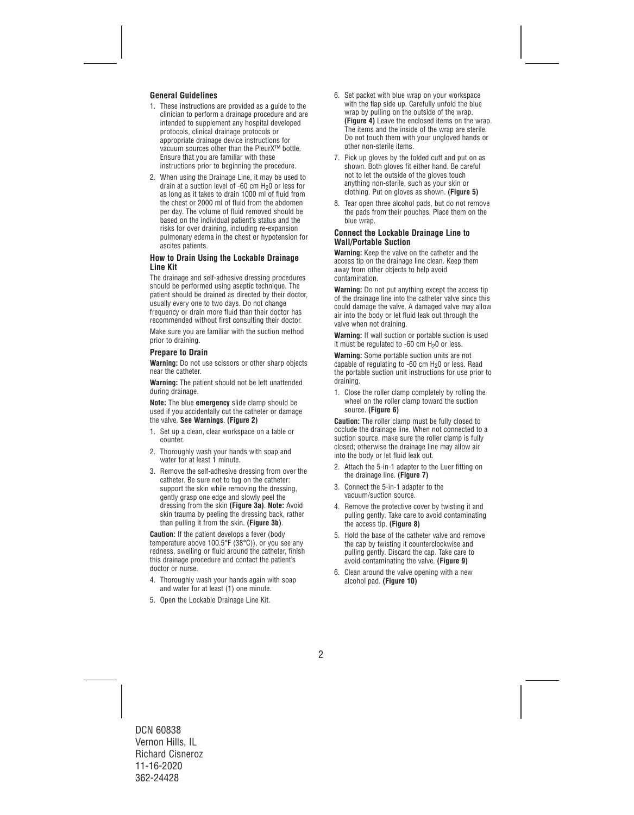## **General Guidelines**

- 1. These instructions are provided as a guide to the clinician to perform a drainage procedure and are intended to supplement any hospital developed protocols, clinical drainage protocols or appropriate drainage device instructions for vacuum sources other than the PleurX™ bottle. Ensure that you are familiar with these instructions prior to beginning the procedure.
- 2. When using the Drainage Line, it may be used to drain at a suction level of -60 cm  $H_2$ 0 or less for as long as it takes to drain 1000 ml of fluid from the chest or 2000 ml of fluid from the abdomen per day. The volume of fluid removed should be based on the individual patient's status and the risks for over draining, including re-expansion pulmonary edema in the chest or hypotension for ascites patients.

#### **How to Drain Using the Lockable Drainage Line Kit**

The drainage and self-adhesive dressing procedures should be performed using aseptic technique. The patient should be drained as directed by their doctor, usually every one to two days. Do not change frequency or drain more fluid than their doctor has recommended without first consulting their doctor.

Make sure you are familiar with the suction method prior to draining.

### **Prepare to Drain**

**Warning:** Do not use scissors or other sharp objects near the catheter.

**Warning:** The patient should not be left unattended during drainage.

**Note:** The blue **emergency** slide clamp should be used if you accidentally cut the catheter or damage the valve. **See Warnings**. **(Figure 2)**

- 1. Set up a clean, clear workspace on a table or counter.
- 2. Thoroughly wash your hands with soap and water for at least 1 minute.
- 3. Remove the self-adhesive dressing from over the catheter. Be sure not to tug on the catheter: support the skin while removing the dressing, gently grasp one edge and slowly peel the dressing from the skin **(Figure 3a)**. **Note:** Avoid skin trauma by peeling the dressing back, rather than pulling it from the skin. **(Figure 3b)**.

**Caution:** If the patient develops a fever (body temperature above 100.5°F (38°C)), or you see any redness, swelling or fluid around the catheter, finish this drainage procedure and contact the patient's doctor or nurse.

- 4. Thoroughly wash your hands again with soap and water for at least (1) one minute.
- 5. Open the Lockable Drainage Line Kit.
- 6. Set packet with blue wrap on your workspace with the flap side up. Carefully unfold the blue wrap by pulling on the outside of the wrap. **(Figure 4)** Leave the enclosed items on the wrap. The items and the inside of the wrap are sterile. Do not touch them with your ungloved hands or other non-sterile items.
- 7. Pick up gloves by the folded cuff and put on as shown. Both gloves fit either hand. Be careful not to let the outside of the gloves touch anything non-sterile, such as your skin or clothing. Put on gloves as shown. **(Figure 5)**
- 8. Tear open three alcohol pads, but do not remove the pads from their pouches. Place them on the blue wrap.

#### **Connect the Lockable Drainage Line to Wall/Portable Suction**

**Warning:** Keep the valve on the catheter and the access tip on the drainage line clean. Keep them away from other objects to help avoid contamination.

**Warning:** Do not put anything except the access tip of the drainage line into the catheter valve since this could damage the valve. A damaged valve may allow air into the body or let fluid leak out through the valve when not draining.

**Warning:** If wall suction or portable suction is used it must be regulated to  $-60$  cm  $H<sub>2</sub>0$  or less.

**Warning:** Some portable suction units are not capable of regulating to -60 cm  $H_2$ 0 or less. Read the portable suction unit instructions for use prior to draining.

1. Close the roller clamp completely by rolling the wheel on the roller clamp toward the suction source. **(Figure 6)**

**Caution:** The roller clamp must be fully closed to occlude the drainage line. When not connected to a suction source, make sure the roller clamp is fully closed; otherwise the drainage line may allow air into the body or let fluid leak out.

- 2. Attach the 5-in-1 adapter to the Luer fitting on the drainage line. **(Figure 7)**
- 3. Connect the 5-in-1 adapter to the vacuum/suction source.
- 4. Remove the protective cover by twisting it and pulling gently. Take care to avoid contaminating the access tip. **(Figure 8)**
- 5. Hold the base of the catheter valve and remove the cap by twisting it counterclockwise and pulling gently. Discard the cap. Take care to avoid contaminating the valve. **(Figure 9)**
- 6. Clean around the valve opening with a new alcohol pad. **(Figure 10)**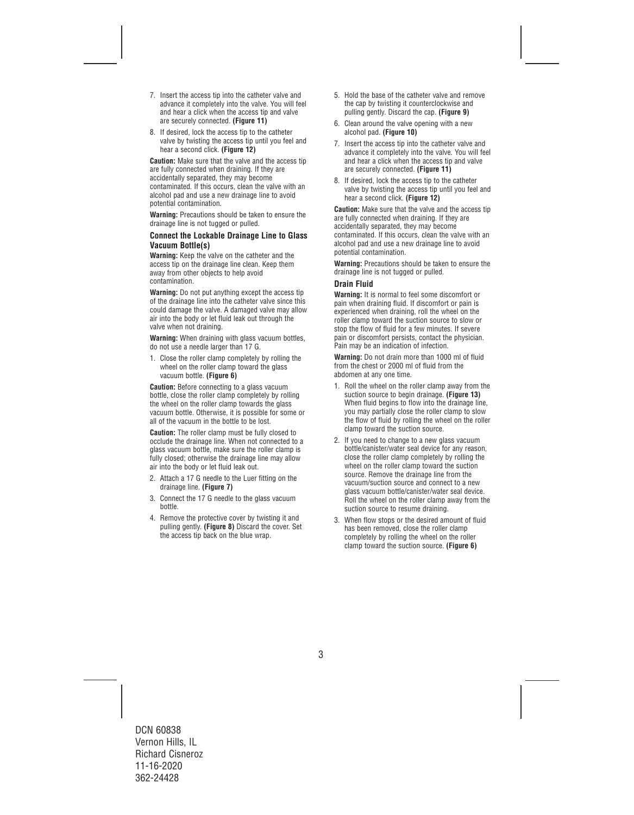- 7. Insert the access tip into the catheter valve and advance it completely into the valve. You will feel and hear a click when the access tip and valve are securely connected. **(Figure 11)**
- 8. If desired, lock the access tip to the catheter valve by twisting the access tip until you feel and hear a second click. **(Figure 12)**

**Caution:** Make sure that the valve and the access tip are fully connected when draining. If they are accidentally separated, they may become contaminated. If this occurs, clean the valve with an alcohol pad and use a new drainage line to avoid potential contamination.

**Warning:** Precautions should be taken to ensure the drainage line is not tugged or pulled.

#### **Connect the Lockable Drainage Line to Glass Vacuum Bottle(s)**

**Warning:** Keep the valve on the catheter and the access tip on the drainage line clean. Keep them away from other objects to help avoid contamination.

**Warning:** Do not put anything except the access tip of the drainage line into the catheter valve since this could damage the valve. A damaged valve may allow air into the body or let fluid leak out through the valve when not draining.

**Warning:** When draining with glass vacuum bottles, do not use a needle larger than 17 G.

1. Close the roller clamp completely by rolling the wheel on the roller clamp toward the glass vacuum bottle. **(Figure 6)** 

**Caution:** Before connecting to a glass vacuum bottle, close the roller clamp completely by rolling the wheel on the roller clamp towards the glass vacuum bottle. Otherwise, it is possible for some or all of the vacuum in the bottle to be lost.

**Caution:** The roller clamp must be fully closed to occlude the drainage line. When not connected to a glass vacuum bottle, make sure the roller clamp is fully closed; otherwise the drainage line may allow air into the body or let fluid leak out.

- 2. Attach a 17 G needle to the Luer fitting on the drainage line. **(Figure 7)**
- 3. Connect the 17 G needle to the glass vacuum bottle.
- 4. Remove the protective cover by twisting it and pulling gently. **(Figure 8)** Discard the cover. Set the access tip back on the blue wrap.
- 5. Hold the base of the catheter valve and remove the cap by twisting it counterclockwise and pulling gently. Discard the cap. **(Figure 9)**
- 6. Clean around the valve opening with a new alcohol pad. **(Figure 10)**
- 7. Insert the access tip into the catheter valve and advance it completely into the valve. You will feel and hear a click when the access tip and valve are securely connected. **(Figure 11)**
- 8. If desired, lock the access tip to the catheter valve by twisting the access tip until you feel and hear a second click. **(Figure 12)**

**Caution:** Make sure that the valve and the access tip are fully connected when draining. If they are accidentally separated, they may become contaminated. If this occurs, clean the valve with an alcohol pad and use a new drainage line to avoid potential contamination.

**Warning:** Precautions should be taken to ensure the drainage line is not tugged or pulled.

### **Drain Fluid**

**Warning:** It is normal to feel some discomfort or pain when draining fluid. If discomfort or pain is experienced when draining, roll the wheel on the roller clamp toward the suction source to slow or stop the flow of fluid for a few minutes. If severe pain or discomfort persists, contact the physician. Pain may be an indication of infection.

**Warning:** Do not drain more than 1000 ml of fluid from the chest or 2000 ml of fluid from the abdomen at any one time.

- 1. Roll the wheel on the roller clamp away from the suction source to begin drainage. **(Figure 13)**  When fluid begins to flow into the drainage line. you may partially close the roller clamp to slow the flow of fluid by rolling the wheel on the roller clamp toward the suction source.
- 2. If you need to change to a new glass vacuum bottle/canister/water seal device for any reason, close the roller clamp completely by rolling the wheel on the roller clamp toward the suction source. Remove the drainage line from the vacuum/suction source and connect to a new glass vacuum bottle/canister/water seal device. Roll the wheel on the roller clamp away from the suction source to resume draining.
- 3. When flow stops or the desired amount of fluid has been removed, close the roller clamp completely by rolling the wheel on the roller clamp toward the suction source. **(Figure 6)**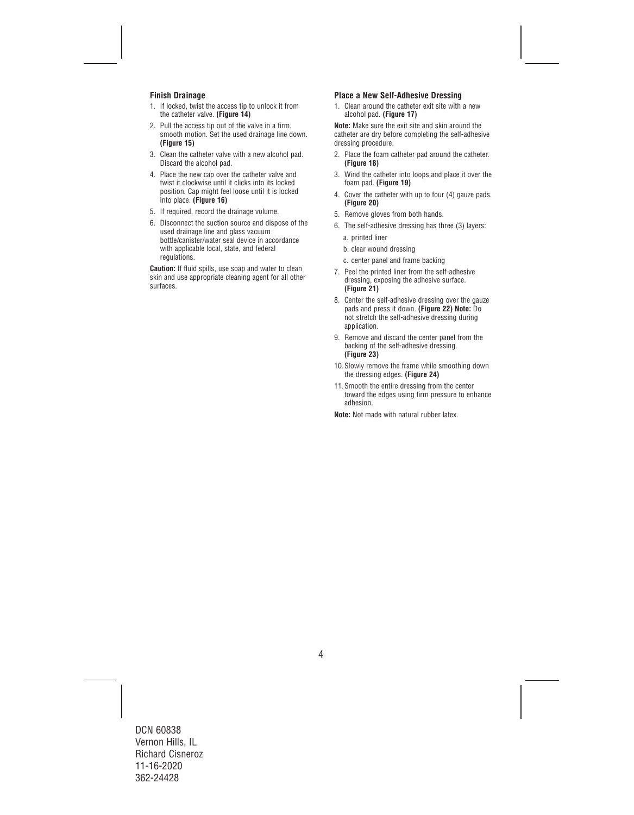## **Finish Drainage**

- 1. If locked, twist the access tip to unlock it from the catheter valve. **(Figure 14)**
- 2. Pull the access tip out of the valve in a firm, smooth motion. Set the used drainage line down. **(Figure 15)**
- 3. Clean the catheter valve with a new alcohol pad. Discard the alcohol pad.
- 4. Place the new cap over the catheter valve and twist it clockwise until it clicks into its locked position. Cap might feel loose until it is locked into place. **(Figure 16)**
- 5. If required, record the drainage volume.
- 6. Disconnect the suction source and dispose of the used drainage line and glass vacuum bottle/canister/water seal device in accordance with applicable local, state, and federal **requlations**

**Caution:** If fluid spills, use soap and water to clean skin and use appropriate cleaning agent for all other surfaces.

## **Place a New Self-Adhesive Dressing**

1. Clean around the catheter exit site with a new alcohol pad. **(Figure 17)** 

**Note:** Make sure the exit site and skin around the catheter are dry before completing the self-adhesive dressing procedure.

- 2. Place the foam catheter pad around the catheter. **(Figure 18)**
- 3. Wind the catheter into loops and place it over the foam pad. **(Figure 19)**
- 4. Cover the catheter with up to four (4) gauze pads. **(Figure 20)**
- 5. Remove gloves from both hands.
- 6. The self-adhesive dressing has three (3) layers: a. printed liner
	- b. clear wound dressing
	- c. center panel and frame backing
- 7. Peel the printed liner from the self-adhesive dressing, exposing the adhesive surface. **(Figure 21)**
- 8. Center the self-adhesive dressing over the gauze pads and press it down. **(Figure 22) Note:** Do not stretch the self-adhesive dressing during application.
- 9. Remove and discard the center panel from the backing of the self-adhesive dressing. **(Figure 23)**
- 10.Slowly remove the frame while smoothing down the dressing edges. **(Figure 24)**
- 11.Smooth the entire dressing from the center toward the edges using firm pressure to enhance adhesion.

**Note:** Not made with natural rubber latex.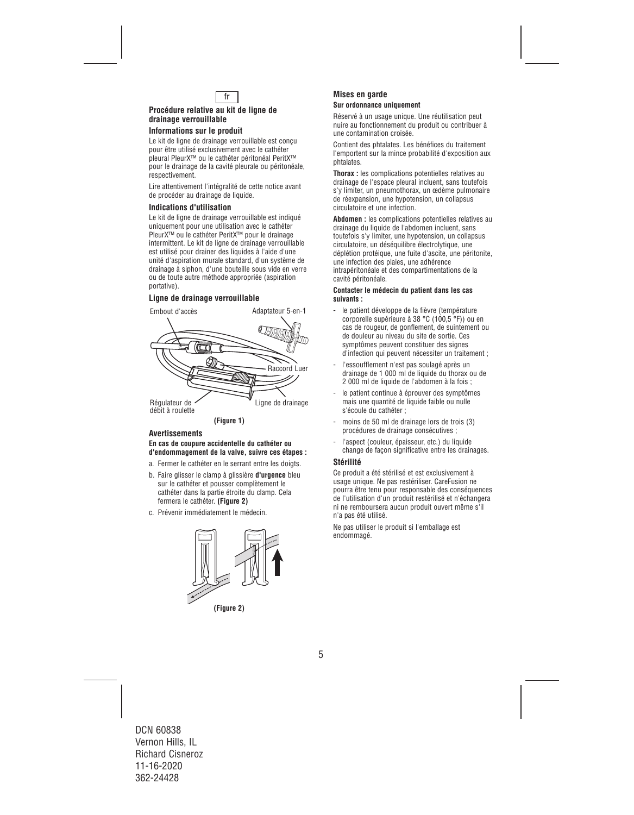

#### **Procédure relative au kit de ligne de drainage verrouillable**

#### **Informations sur le produit**

Le kit de ligne de drainage verrouillable est conçu pour être utilisé exclusivement avec le cathéter pleural PleurX™ ou le cathéter péritonéal PeritX™ pour le drainage de la cavité pleurale ou péritonéale, respectivement.

Lire attentivement l'intégralité de cette notice avant de procéder au drainage de liquide.

#### **Indications d'utilisation**

Le kit de ligne de drainage verrouillable est indiqué uniquement pour une utilisation avec le cathéter PleurX™ ou le cathéter PeritX™ pour le drainage intermittent. Le kit de ligne de drainage verrouillable est utilisé pour drainer des liquides à l'aide d'une unité d'aspiration murale standard, d'un système de drainage à siphon, d'une bouteille sous vide en verre ou de toute autre méthode appropriée (aspiration portative).

## **Ligne de drainage verrouillable**



#### **Avertissements**

#### **En cas de coupure accidentelle du cathéter ou d'endommagement de la valve, suivre ces étapes :**

- a. Fermer le cathéter en le serrant entre les doigts.
- b. Faire glisser le clamp à glissière **d'urgence** bleu sur le cathéter et pousser complètement le cathéter dans la partie étroite du clamp. Cela fermera le cathéter. **(Figure 2)**
- c. Prévenir immédiatement le médecin.



**(Figure 2)** 

#### **Mises en garde Sur ordonnance uniquement**

Réservé à un usage unique. Une réutilisation peut nuire au fonctionnement du produit ou contribuer à une contamination croisée.

Contient des phtalates. Les bénéfices du traitement l'emportent sur la mince probabilité d'exposition aux phtalates.

**Thorax :** les complications potentielles relatives au drainage de l'espace pleural incluent, sans toutefois s'y limiter, un pneumothorax, un œdème pulmonaire de réexpansion, une hypotension, un collapsus circulatoire et une infection.

**Abdomen :** les complications potentielles relatives au drainage du liquide de l'abdomen incluent, sans toutefois s'y limiter, une hypotension, un collapsus circulatoire, un déséquilibre électrolytique, une déplétion protéique, une fuite d'ascite, une péritonite, une infection des plaies, une adhérence intrapéritonéale et des compartimentations de la cavité péritonéale.

#### **Contacter le médecin du patient dans les cas suivants :**

- le patient développe de la fièvre (température corporelle supérieure à 38 °C (100,5 °F)) ou en cas de rougeur, de gonflement, de suintement ou de douleur au niveau du site de sortie. Ces symptômes peuvent constituer des signes d'infection qui peuvent nécessiter un traitement ;
- l'essoufflement n'est pas soulagé après un drainage de 1 000 ml de liquide du thorax ou de 2 000 ml de liquide de l'abdomen à la fois ;
- le patient continue à éprouver des symptômes mais une quantité de liquide faible ou nulle s'écoule du cathéter ;
- moins de 50 ml de drainage lors de trois (3) procédures de drainage consécutives ;
- l'aspect (couleur, épaisseur, etc.) du liquide change de façon significative entre les drainages.

#### **Stérilité**

Ce produit a été stérilisé et est exclusivement à usage unique. Ne pas restériliser. CareFusion ne pourra être tenu pour responsable des conséquences de l'utilisation d'un produit restérilisé et n'échangera ni ne remboursera aucun produit ouvert même s'il n'a pas été utilisé.

Ne pas utiliser le produit si l'emballage est endommagé.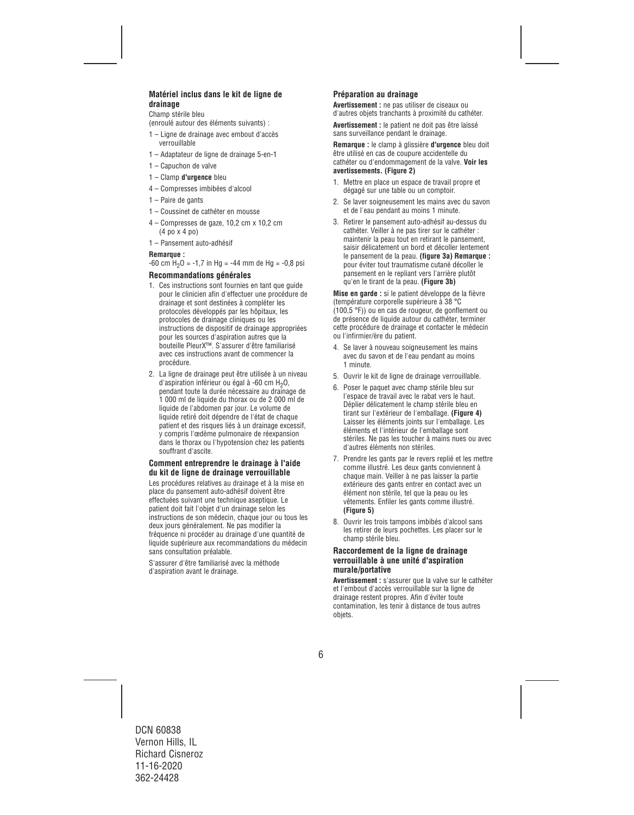## **Matériel inclus dans le kit de ligne de drainage**

Champ stérile bleu

- (enroulé autour des éléments suivants) :
- 1 Ligne de drainage avec embout d'accès verrouillable
- 1 Adaptateur de ligne de drainage 5-en-1
- 1 Capuchon de valve
- 1 Clamp **d'urgence** bleu
- 4 Compresses imbibées d'alcool
- 1 Paire de gants
- 1 Coussinet de cathéter en mousse
- 4 Compresses de gaze, 10,2 cm x 10,2 cm (4 po x 4 po)
- 1 Pansement auto-adhésif

#### **Remarque :**

 $-60$  cm  $H<sub>2</sub>0 = -1.7$  in Hg =  $-44$  mm de Hg =  $-0.8$  psi

#### **Recommandations générales**

- 1. Ces instructions sont fournies en tant que guide pour le clinicien afin d'effectuer une procédure de drainage et sont destinées à compléter les protocoles développés par les hôpitaux, les protocoles de drainage cliniques ou les instructions de dispositif de drainage appropriées pour les sources d'aspiration autres que la bouteille PleurX™. S'assurer d'être familiarisé avec ces instructions avant de commencer la procédure.
- 2. La ligne de drainage peut être utilisée à un niveau d'aspiration inférieur ou égal à -60 cm  $H_2O$ , pendant toute la durée nécessaire au drainage de 1 000 ml de liquide du thorax ou de 2 000 ml de liquide de l'abdomen par jour. Le volume de liquide retiré doit dépendre de l'état de chaque patient et des risques liés à un drainage excessif, y compris l'œdème pulmonaire de réexpansion dans le thorax ou l'hypotension chez les patients souffrant d'ascite.

#### **Comment entreprendre le drainage à l'aide du kit de ligne de drainage verrouillable**

Les procédures relatives au drainage et à la mise en place du pansement auto-adhésif doivent être effectuées suivant une technique aseptique. Le patient doit fait l'objet d'un drainage selon les instructions de son médecin, chaque jour ou tous les deux jours généralement. Ne pas modifier la fréquence ni procéder au drainage d'une quantité de liquide supérieure aux recommandations du médecin sans consultation préalable.

S'assurer d'être familiarisé avec la méthode d'aspiration avant le drainage.

## **Préparation au drainage**

**Avertissement :** ne pas utiliser de ciseaux ou d'autres objets tranchants à proximité du cathéter.

**Avertissement :** le patient ne doit pas être laissé sans surveillance pendant le drainage.

**Remarque :** le clamp à glissière **d'urgence** bleu doit être utilisé en cas de coupure accidentelle du cathéter ou d'endommagement de la valve. **Voir les avertissements. (Figure 2)** 

- 1. Mettre en place un espace de travail propre et dégagé sur une table ou un comptoir.
- 2. Se laver soigneusement les mains avec du savon et de l'eau pendant au moins 1 minute.
- 3. Retirer le pansement auto-adhésif au-dessus du cathéter. Veiller à ne pas tirer sur le cathéter : maintenir la peau tout en retirant le pansement, saisir délicatement un bord et décoller lentement le pansement de la peau. **(figure 3a) Remarque :**  pour éviter tout traumatisme cutané décoller le pansement en le repliant vers l'arrière plutôt qu'en le tirant de la peau. **(Figure 3b)**

**Mise en garde :** si le patient développe de la fièvre (température corporelle supérieure à 38 °C (100,5 °F)) ou en cas de rougeur, de gonflement ou de présence de liquide autour du cathéter, terminer cette procédure de drainage et contacter le médecin ou l'infirmier/ère du patient.

- 4. Se laver à nouveau soigneusement les mains avec du savon et de l'eau pendant au moins 1 minute.
- 5. Ouvrir le kit de ligne de drainage verrouillable.
- 6. Poser le paquet avec champ stérile bleu sur l'espace de travail avec le rabat vers le haut. Déplier délicatement le champ stérile bleu en tirant sur l'extérieur de l'emballage. **(Figure 4)**  Laisser les éléments joints sur l'emballage. Les éléments et l'intérieur de l'emballage sont stériles. Ne pas les toucher à mains nues ou avec d'autres éléments non stériles.
- 7. Prendre les gants par le revers replié et les mettre comme illustré. Les deux gants conviennent à chaque main. Veiller à ne pas laisser la partie extérieure des gants entrer en contact avec un élément non stérile, tel que la peau ou les vêtements. Enfiler les gants comme illustré. **(Figure 5)**
- 8. Ouvrir les trois tampons imbibés d'alcool sans les retirer de leurs pochettes. Les placer sur le champ stérile bleu.

#### **Raccordement de la ligne de drainage verrouillable à une unité d'aspiration murale/portative**

**Avertissement :** s'assurer que la valve sur le cathéter et l'embout d'accès verrouillable sur la ligne de drainage restent propres. Afin d'éviter toute contamination, les tenir à distance de tous autres objets.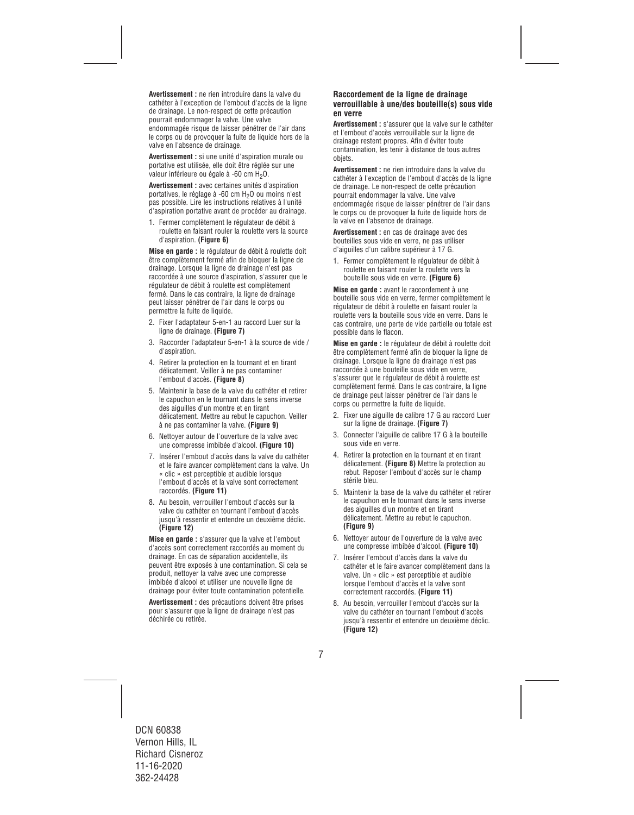**Avertissement :** ne rien introduire dans la valve du cathéter à l'exception de l'embout d'accès de la ligne de drainage. Le non-respect de cette précaution pourrait endommager la valve. Une valve endommagée risque de laisser pénétrer de l'air dans le corps ou de provoquer la fuite de liquide hors de la valve en l'absence de drainage.

**Avertissement :** si une unité d'aspiration murale ou portative est utilisée, elle doit être réglée sur une valeur inférieure ou égale à -60 cm H<sub>2</sub>O.

**Avertissement :** avec certaines unités d'aspiration portatives, le réglage à -60 cm H<sub>2</sub>O ou moins n'est pas possible. Lire les instructions relatives à l'unité d'aspiration portative avant de procéder au drainage.

1. Fermer complètement le régulateur de débit à roulette en faisant rouler la roulette vers la source d'aspiration. **(Figure 6)** 

**Mise en garde :** le régulateur de débit à roulette doit être complètement fermé afin de bloquer la ligne de drainage. Lorsque la ligne de drainage n'est pas raccordée à une source d'aspiration, s'assurer que le régulateur de débit à roulette est complètement fermé. Dans le cas contraire, la ligne de drainage peut laisser pénétrer de l'air dans le corps ou permettre la fuite de liquide.

- 2. Fixer l'adaptateur 5-en-1 au raccord Luer sur la ligne de drainage. **(Figure 7)**
- 3. Raccorder l'adaptateur 5-en-1 à la source de vide / d'aspiration.
- 4. Retirer la protection en la tournant et en tirant délicatement. Veiller à ne pas contaminer l'embout d'accès. **(Figure 8)**
- 5. Maintenir la base de la valve du cathéter et retirer le capuchon en le tournant dans le sens inverse des aiguilles d'un montre et en tirant délicatement. Mettre au rebut le capuchon. Veiller à ne pas contaminer la valve. **(Figure 9)**
- 6. Nettoyer autour de l'ouverture de la valve avec une compresse imbibée d'alcool. **(Figure 10)**
- 7. Insérer l'embout d'accès dans la valve du cathéter et le faire avancer complètement dans la valve. Un « clic » est perceptible et audible lorsque l'embout d'accès et la valve sont correctement raccordés. **(Figure 11)**
- 8. Au besoin, verrouiller l'embout d'accès sur la valve du cathéter en tournant l'embout d'accès jusqu'à ressentir et entendre un deuxième déclic. **(Figure 12)**

**Mise en garde :** s'assurer que la valve et l'embout d'accès sont correctement raccordés au moment du drainage. En cas de séparation accidentelle, ils peuvent être exposés à une contamination. Si cela se produit, nettoyer la valve avec une compresse imbibée d'alcool et utiliser une nouvelle ligne de drainage pour éviter toute contamination potentielle.

**Avertissement :** des précautions doivent être prises pour s'assurer que la ligne de drainage n'est pas déchirée ou retirée.

#### **Raccordement de la ligne de drainage verrouillable à une/des bouteille(s) sous vide en verre**

**Avertissement :** s'assurer que la valve sur le cathéter et l'embout d'accès verrouillable sur la ligne de drainage restent propres. Afin d'éviter toute contamination, les tenir à distance de tous autres objets.

**Avertissement :** ne rien introduire dans la valve du cathéter à l'exception de l'embout d'accès de la ligne de drainage. Le non-respect de cette précaution pourrait endommager la valve. Une valve endommagée risque de laisser pénétrer de l'air dans le corps ou de provoquer la fuite de liquide hors de la valve en l'absence de drainage.

**Avertissement :** en cas de drainage avec des bouteilles sous vide en verre, ne pas utiliser d'aiguilles d'un calibre supérieur à 17 G.

1. Fermer complètement le régulateur de débit à roulette en faisant rouler la roulette vers la bouteille sous vide en verre. **(Figure 6)** 

**Mise en garde :** avant le raccordement à une bouteille sous vide en verre, fermer complètement le régulateur de débit à roulette en faisant rouler la roulette vers la bouteille sous vide en verre. Dans le cas contraire, une perte de vide partielle ou totale est possible dans le flacon.

**Mise en garde :** le régulateur de débit à roulette doit être complètement fermé afin de bloquer la ligne de drainage. Lorsque la ligne de drainage n'est pas raccordée à une bouteille sous vide en verre, s'assurer que le régulateur de débit à roulette est complètement fermé. Dans le cas contraire, la ligne de drainage peut laisser pénétrer de l'air dans le corps ou permettre la fuite de liquide.

- 2. Fixer une aiguille de calibre 17 G au raccord Luer sur la ligne de drainage. **(Figure 7)**
- 3. Connecter l'aiguille de calibre 17 G à la bouteille sous vide en verre.
- 4. Retirer la protection en la tournant et en tirant délicatement. **(Figure 8)** Mettre la protection au rebut. Reposer l'embout d'accès sur le champ stérile bleu.
- 5. Maintenir la base de la valve du cathéter et retirer le capuchon en le tournant dans le sens inverse des aiguilles d'un montre et en tirant délicatement. Mettre au rebut le capuchon. **(Figure 9)**
- 6. Nettoyer autour de l'ouverture de la valve avec une compresse imbibée d'alcool. **(Figure 10)**
- 7. Insérer l'embout d'accès dans la valve du cathéter et le faire avancer complètement dans la valve. Un « clic » est perceptible et audible lorsque l'embout d'accès et la valve sont correctement raccordés. **(Figure 11)**
- 8. Au besoin, verrouiller l'embout d'accès sur la valve du cathéter en tournant l'embout d'accès jusqu'à ressentir et entendre un deuxième déclic. **(Figure 12)**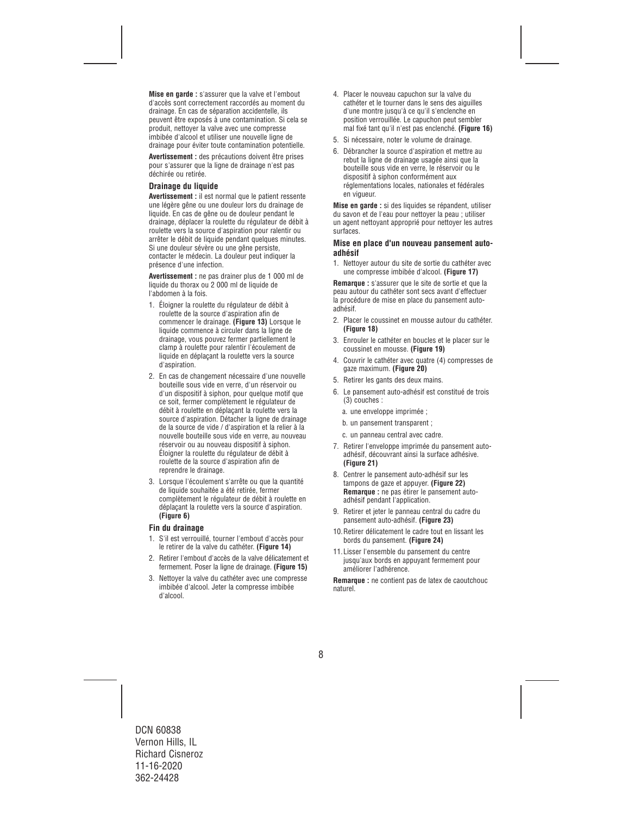**Mise en garde :** s'assurer que la valve et l'embout d'accès sont correctement raccordés au moment du drainage. En cas de séparation accidentelle, ils peuvent être exposés à une contamination. Si cela se produit, nettoyer la valve avec une compresse imbibée d'alcool et utiliser une nouvelle ligne de drainage pour éviter toute contamination potentielle.

**Avertissement :** des précautions doivent être prises pour s'assurer que la ligne de drainage n'est pas déchirée ou retirée.

#### **Drainage du liquide**

**Avertissement :** il est normal que le patient ressente une légère gêne ou une douleur lors du drainage de liquide. En cas de gêne ou de douleur pendant le drainage, déplacer la roulette du régulateur de débit à roulette vers la source d'aspiration pour ralentir ou arrêter le débit de liquide pendant quelques minutes. Si une douleur sévère ou une gêne persiste, contacter le médecin. La douleur peut indiquer la présence d'une infection.

**Avertissement :** ne pas drainer plus de 1 000 ml de liquide du thorax ou 2 000 ml de liquide de l'abdomen à la fois.

- 1. Éloigner la roulette du régulateur de débit à roulette de la source d'aspiration afin de commencer le drainage. **(Figure 13)** Lorsque le liquide commence à circuler dans la ligne de drainage, vous pouvez fermer partiellement le clamp à roulette pour ralentir l'écoulement de liquide en déplaçant la roulette vers la source d'aspiration.
- 2. En cas de changement nécessaire d'une nouvelle bouteille sous vide en verre, d'un réservoir ou d'un dispositif à siphon, pour quelque motif que ce soit, fermer complètement le régulateur de débit à roulette en déplaçant la roulette vers la source d'aspiration. Détacher la ligne de drainage de la source de vide / d'aspiration et la relier à la nouvelle bouteille sous vide en verre, au nouveau réservoir ou au nouveau dispositif à siphon. Éloigner la roulette du régulateur de débit à roulette de la source d'aspiration afin de reprendre le drainage.
- 3. Lorsque l'écoulement s'arrête ou que la quantité de liquide souhaitée a été retirée, fermer complètement le régulateur de débit à roulette en déplaçant la roulette vers la source d'aspiration. **(Figure 6)**

#### **Fin du drainage**

- 1. S'il est verrouillé, tourner l'embout d'accès pour le retirer de la valve du cathéter. **(Figure 14)**
- 2. Retirer l'embout d'accès de la valve délicatement et fermement. Poser la ligne de drainage. **(Figure 15)**
- 3. Nettoyer la valve du cathéter avec une compresse imbibée d'alcool. Jeter la compresse imbibée d'alcool.
- 4. Placer le nouveau capuchon sur la valve du cathéter et le tourner dans le sens des aiguilles d'une montre jusqu'à ce qu'il s'enclenche en position verrouillée. Le capuchon peut sembler mal fixé tant qu'il n'est pas enclenché. **(Figure 16)**
- 5. Si nécessaire, noter le volume de drainage.
- 6. Débrancher la source d'aspiration et mettre au rebut la ligne de drainage usagée ainsi que la bouteille sous vide en verre, le réservoir ou le dispositif à siphon conformément aux réglementations locales, nationales et fédérales en vigueur.

**Mise en garde :** si des liquides se répandent, utiliser du savon et de l'eau pour nettoyer la peau ; utiliser un agent nettoyant approprié pour nettoyer les autres surfaces.

#### **Mise en place d'un nouveau pansement autoadhésif**

1. Nettoyer autour du site de sortie du cathéter avec une compresse imbibée d'alcool. **(Figure 17)**

**Remarque :** s'assurer que le site de sortie et que la peau autour du cathéter sont secs avant d'effectuer la procédure de mise en place du pansement autoadhésif.

- 2. Placer le coussinet en mousse autour du cathéter. **(Figure 18)**
- 3. Enrouler le cathéter en boucles et le placer sur le coussinet en mousse. **(Figure 19)**
- 4. Couvrir le cathéter avec quatre (4) compresses de gaze maximum. **(Figure 20)**
- 5. Retirer les gants des deux mains.
- 6. Le pansement auto-adhésif est constitué de trois (3) couches :
	- a. une enveloppe imprimée ;
	- b. un pansement transparent ;
	- c. un panneau central avec cadre.
- 7. Retirer l'enveloppe imprimée du pansement autoadhésif, découvrant ainsi la surface adhésive. **(Figure 21)**
- 8. Centrer le pansement auto-adhésif sur les tampons de gaze et appuyer. **(Figure 22) Remarque :** ne pas étirer le pansement autoadhésif pendant l'application.
- 9. Retirer et jeter le panneau central du cadre du pansement auto-adhésif. **(Figure 23)**
- 10.Retirer délicatement le cadre tout en lissant les bords du pansement. **(Figure 24)**
- 11.Lisser l'ensemble du pansement du centre jusqu'aux bords en appuyant fermement pour améliorer l'adhérence.

**Remarque :** ne contient pas de latex de caoutchouc naturel.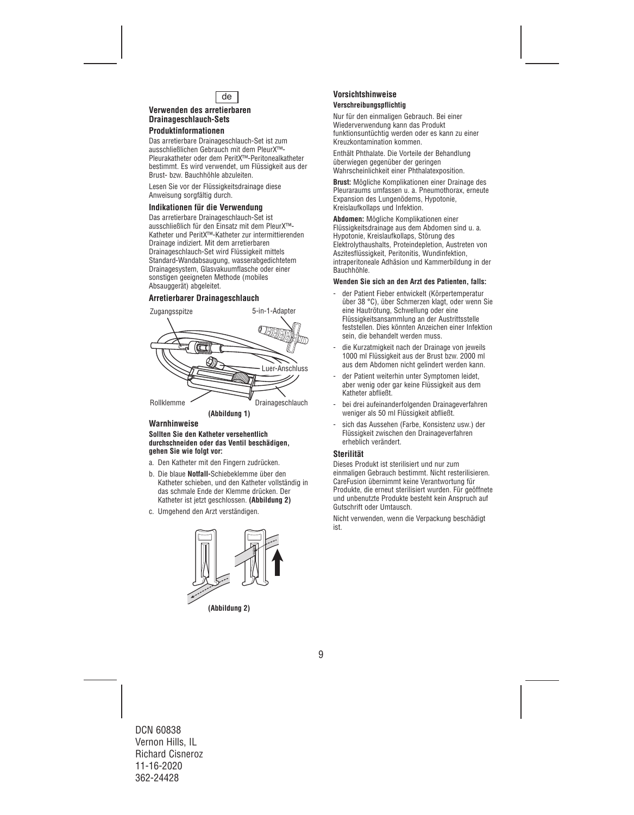

## **Verwenden des arretierbaren Drainageschlauch-Sets**

## **Produktinformationen**

Das arretierbare Drainageschlauch-Set ist zum ausschließlichen Gebrauch mit dem PleurX™- Pleurakatheter oder dem PeritX™-Peritonealkatheter bestimmt. Es wird verwendet, um Flüssigkeit aus der Brust- bzw. Bauchhöhle abzuleiten.

Lesen Sie vor der Flüssigkeitsdrainage diese Anweisung sorgfältig durch.

## **Indikationen für die Verwendung**

Das arretierbare Drainageschlauch-Set ist ausschließlich für den Einsatz mit dem PleurX™- Katheter und PeritX™-Katheter zur intermittierenden Drainage indiziert. Mit dem arretierbaren Drainageschlauch-Set wird Flüssigkeit mittels Standard-Wandabsaugung, wasserabgedichtetem Drainagesystem, Glasvakuumflasche oder einer sonstigen geeigneten Methode (mobiles Absauggerät) abgeleitet.

## **Arretierbarer Drainageschlauch**



**(Abbildung 1)** 

## **Warnhinweise**

#### **Sollten Sie den Katheter versehentlich durchschneiden oder das Ventil beschädigen, gehen Sie wie folgt vor:**

- a. Den Katheter mit den Fingern zudrücken.
- b. Die blaue **Notfall-**Schiebeklemme über den Katheter schieben, und den Katheter vollständig in das schmale Ende der Klemme drücken. Der Katheter ist jetzt geschlossen. **(Abbildung 2)**
- c. Umgehend den Arzt verständigen.



**(Abbildung 2)** 

#### **Vorsichtshinweise Verschreibungspflichtig**

Nur für den einmaligen Gebrauch. Bei einer Wiederverwendung kann das Produkt funktionsuntüchtig werden oder es kann zu einer Kreuzkontamination kommen.

Enthält Phthalate. Die Vorteile der Behandlung überwiegen gegenüber der geringen Wahrscheinlichkeit einer Phthalatexposition.

**Brust:** Mögliche Komplikationen einer Drainage des Pleuraraums umfassen u. a. Pneumothorax, erneute Expansion des Lungenödems, Hypotonie, Kreislaufkollaps und Infektion.

**Abdomen:** Mögliche Komplikationen einer Flüssigkeitsdrainage aus dem Abdomen sind u. a. Hypotonie, Kreislaufkollaps, Störung des Elektrolythaushalts, Proteindepletion, Austreten von Aszitesflüssigkeit, Peritonitis, Wundinfektion, intraperitoneale Adhäsion und Kammerbildung in der Bauchhöhle.

#### **Wenden Sie sich an den Arzt des Patienten, falls:**

- der Patient Fieber entwickelt (Körpertemperatur über 38 °C), über Schmerzen klagt, oder wenn Sie eine Hautrötung, Schwellung oder eine Flüssigkeitsansammlung an der Austrittsstelle feststellen. Dies könnten Anzeichen einer Infektion sein, die behandelt werden muss.
- die Kurzatmigkeit nach der Drainage von jeweils 1000 ml Flüssigkeit aus der Brust bzw. 2000 ml aus dem Abdomen nicht gelindert werden kann.
- der Patient weiterhin unter Symptomen leidet, aber wenig oder gar keine Flüssigkeit aus dem Katheter abfließt.
- bei drei aufeinanderfolgenden Drainageverfahren weniger als 50 ml Flüssigkeit abfließt.
- sich das Aussehen (Farbe, Konsistenz usw.) der Flüssigkeit zwischen den Drainageverfahren erheblich verändert.

### **Sterilität**

Dieses Produkt ist sterilisiert und nur zum einmaligen Gebrauch bestimmt. Nicht resterilisieren. CareFusion übernimmt keine Verantwortung für Produkte, die erneut sterilisiert wurden. Für geöffnete und unbenutzte Produkte besteht kein Anspruch auf Gutschrift oder Umtausch.

Nicht verwenden, wenn die Verpackung beschädigt ist.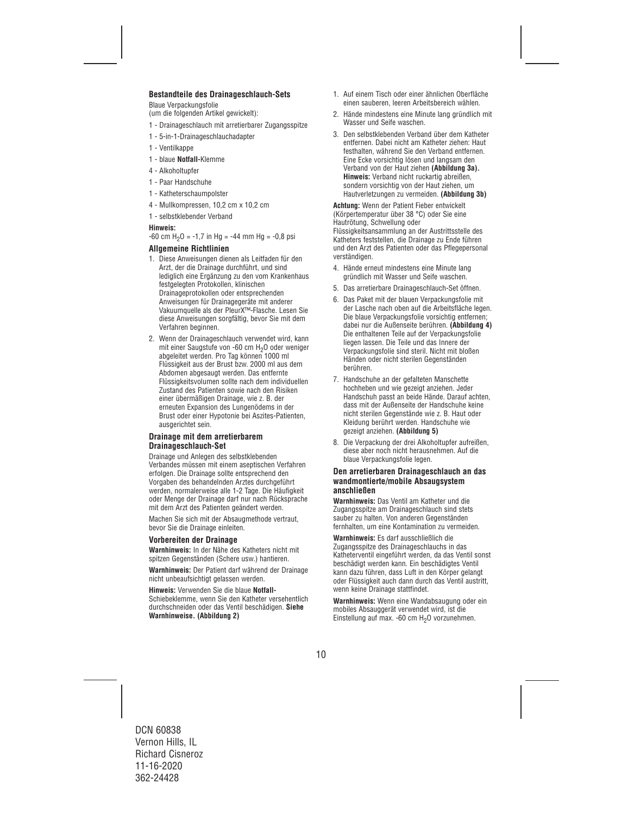## **Bestandteile des Drainageschlauch-Sets**

Blaue Verpackungsfolie

(um die folgenden Artikel gewickelt):

- 1 Drainageschlauch mit arretierbarer Zugangsspitze
- 1 5-in-1-Drainageschlauchadapter
- 1 Ventilkappe
- 1 blaue **Notfall-**Klemme
- 4 Alkoholtupfer
- 1 Paar Handschuhe
- 1 Katheterschaumpolster
- 4 Mullkompressen, 10,2 cm x 10,2 cm
- 1 selbstklebender Verband

#### **Hinweis:**

 $-60$  cm H<sub>2</sub>O =  $-1.7$  in Hg =  $-44$  mm Hg =  $-0.8$  psi

### **Allgemeine Richtlinien**

- 1. Diese Anweisungen dienen als Leitfaden für den Arzt, der die Drainage durchführt, und sind lediglich eine Ergänzung zu den vom Krankenhaus festgelegten Protokollen, klinischen Drainageprotokollen oder entsprechenden Anweisungen für Drainagegeräte mit anderer Vakuumquelle als der PleurX™-Flasche. Lesen Sie diese Anweisungen sorgfältig, bevor Sie mit dem Verfahren beginnen.
- 2. Wenn der Drainageschlauch verwendet wird, kann mit einer Saugstufe von -60 cm H<sub>2</sub>O oder weniger abgeleitet werden. Pro Tag können 1000 ml Flüssigkeit aus der Brust bzw. 2000 ml aus dem Abdomen abgesaugt werden. Das entfernte Flüssigkeitsvolumen sollte nach dem individuellen Zustand des Patienten sowie nach den Risiken einer übermäßigen Drainage, wie z. B. der erneuten Expansion des Lungenödems in der Brust oder einer Hypotonie bei Aszites-Patienten, ausgerichtet sein.

#### **Drainage mit dem arretierbarem Drainageschlauch-Set**

Drainage und Anlegen des selbstklebenden Verbandes müssen mit einem aseptischen Verfahren erfolgen. Die Drainage sollte entsprechend den Vorgaben des behandelnden Arztes durchgeführt werden, normalerweise alle 1-2 Tage. Die Häufigkeit oder Menge der Drainage darf nur nach Rücksprache mit dem Arzt des Patienten geändert werden.

Machen Sie sich mit der Absaugmethode vertraut, bevor Sie die Drainage einleiten.

### **Vorbereiten der Drainage**

**Warnhinweis:** In der Nähe des Katheters nicht mit spitzen Gegenständen (Schere usw.) hantieren.

**Warnhinweis:** Der Patient darf während der Drainage nicht unbeaufsichtigt gelassen werden.

**Hinweis:** Verwenden Sie die blaue **Notfall-**

Schiebeklemme, wenn Sie den Katheter versehentlich durchschneiden oder das Ventil beschädigen. **Siehe Warnhinweise. (Abbildung 2)** 

- 1. Auf einem Tisch oder einer ähnlichen Oberfläche einen sauberen, leeren Arbeitsbereich wählen.
- 2. Hände mindestens eine Minute lang gründlich mit Wasser und Seife waschen.
- 3. Den selbstklebenden Verband über dem Katheter entfernen. Dabei nicht am Katheter ziehen: Haut festhalten, während Sie den Verband entfernen. Eine Ecke vorsichtig lösen und langsam den Verband von der Haut ziehen **(Abbildung 3a). Hinweis:** Verband nicht ruckartig abreißen, sondern vorsichtig von der Haut ziehen, um Hautverletzungen zu vermeiden. **(Abbildung 3b)**

**Achtung:** Wenn der Patient Fieber entwickelt (Körpertemperatur über 38 °C) oder Sie eine Hautrötung, Schwellung oder Flüssigkeitsansammlung an der Austrittsstelle des Katheters feststellen, die Drainage zu Ende führen und den Arzt des Patienten oder das Pflegepersonal verständigen.

- 4. Hände erneut mindestens eine Minute lang gründlich mit Wasser und Seife waschen.
- 5. Das arretierbare Drainageschlauch-Set öffnen.
- 6. Das Paket mit der blauen Verpackungsfolie mit der Lasche nach oben auf die Arbeitsfläche legen. Die blaue Verpackungsfolie vorsichtig entfernen; dabei nur die Außenseite berühren. **(Abbildung 4)**  Die enthaltenen Teile auf der Verpackungsfolie liegen lassen. Die Teile und das Innere der Verpackungsfolie sind steril. Nicht mit bloßen Händen oder nicht sterilen Gegenständen berühren.
- 7. Handschuhe an der gefalteten Manschette hochheben und wie gezeigt anziehen. Jeder Handschuh passt an beide Hände. Darauf achten, dass mit der Außenseite der Handschuhe keine nicht sterilen Gegenstände wie z. B. Haut oder Kleidung berührt werden. Handschuhe wie gezeigt anziehen. **(Abbildung 5)**
- 8. Die Verpackung der drei Alkoholtupfer aufreißen, diese aber noch nicht herausnehmen. Auf die blaue Verpackungsfolie legen.

#### **Den arretierbaren Drainageschlauch an das wandmontierte/mobile Absaugsystem anschließen**

**Warnhinweis:** Das Ventil am Katheter und die Zugangsspitze am Drainageschlauch sind stets sauber zu halten. Von anderen Gegenständen fernhalten, um eine Kontamination zu vermeiden.

**Warnhinweis:** Es darf ausschließlich die Zugangsspitze des Drainageschlauchs in das Katheterventil eingeführt werden, da das Ventil sonst beschädigt werden kann. Ein beschädigtes Ventil kann dazu führen, dass Luft in den Körper gelangt oder Flüssigkeit auch dann durch das Ventil austritt, wenn keine Drainage stattfindet.

**Warnhinweis:** Wenn eine Wandabsaugung oder ein mobiles Absauggerät verwendet wird, ist die Einstellung auf max. -60 cm  $H<sub>2</sub>O$  vorzunehmen.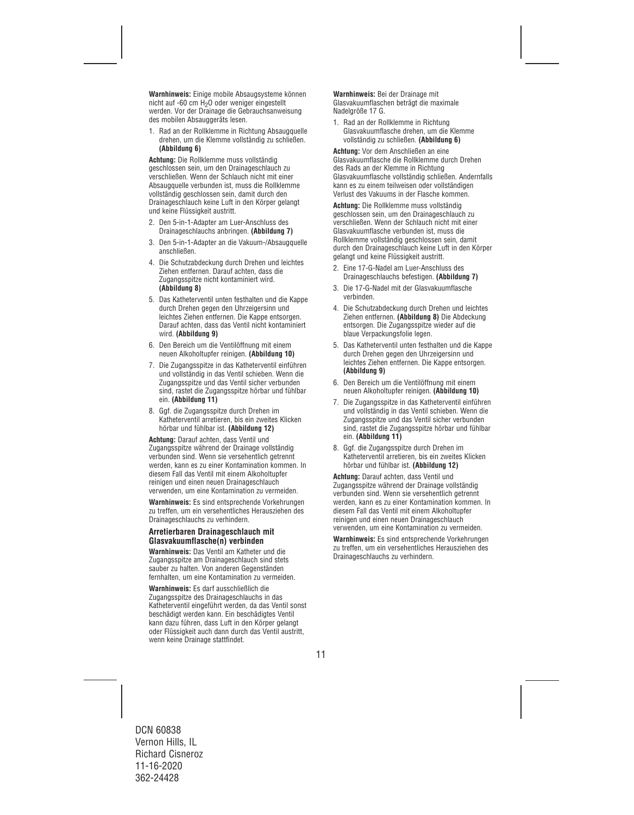**Warnhinweis:** Einige mobile Absaugsysteme können nicht auf -60 cm H2O oder weniger eingestellt werden. Vor der Drainage die Gebrauchsanweisung des mobilen Absauggeräts lesen.

1. Rad an der Rollklemme in Richtung Absaugquelle drehen, um die Klemme vollständig zu schließen. **(Abbildung 6)**

**Achtung:** Die Rollklemme muss vollständig geschlossen sein, um den Drainageschlauch zu verschließen. Wenn der Schlauch nicht mit einer Absaugquelle verbunden ist, muss die Rollklemme vollständig geschlossen sein, damit durch den Drainageschlauch keine Luft in den Körper gelangt und keine Flüssigkeit austritt.

- 2. Den 5-in-1-Adapter am Luer-Anschluss des Drainageschlauchs anbringen. **(Abbildung 7)**
- 3. Den 5-in-1-Adapter an die Vakuum-/Absaugquelle anschließen.
- 4. Die Schutzabdeckung durch Drehen und leichtes Ziehen entfernen. Darauf achten, dass die Zugangsspitze nicht kontaminiert wird. **(Abbildung 8)**
- 5. Das Katheterventil unten festhalten und die Kappe durch Drehen gegen den Uhrzeigersinn und leichtes Ziehen entfernen. Die Kappe entsorgen. Darauf achten, dass das Ventil nicht kontaminiert wird. **(Abbildung 9)**
- 6. Den Bereich um die Ventilöffnung mit einem neuen Alkoholtupfer reinigen. **(Abbildung 10)**
- 7. Die Zugangsspitze in das Katheterventil einführen und vollständig in das Ventil schieben. Wenn die Zugangsspitze und das Ventil sicher verbunden sind, rastet die Zugangsspitze hörbar und fühlbar ein. **(Abbildung 11)**
- 8. Ggf. die Zugangsspitze durch Drehen im Katheterventil arretieren, bis ein zweites Klicken hörbar und fühlbar ist. **(Abbildung 12)**

**Achtung:** Darauf achten, dass Ventil und Zugangsspitze während der Drainage vollständig verbunden sind. Wenn sie versehentlich getrennt werden, kann es zu einer Kontamination kommen. In diesem Fall das Ventil mit einem Alkoholtupfer reinigen und einen neuen Drainageschlauch verwenden, um eine Kontamination zu vermeiden.

**Warnhinweis:** Es sind entsprechende Vorkehrungen zu treffen, um ein versehentliches Herausziehen des Drainageschlauchs zu verhindern.

#### **Arretierbaren Drainageschlauch mit Glasvakuumflasche(n) verbinden**

**Warnhinweis:** Das Ventil am Katheter und die Zugangsspitze am Drainageschlauch sind stets sauber zu halten. Von anderen Gegenständen fernhalten, um eine Kontamination zu vermeiden.

**Warnhinweis:** Es darf ausschließlich die Zugangsspitze des Drainageschlauchs in das Katheterventil eingeführt werden, da das Ventil sonst beschädigt werden kann. Ein beschädigtes Ventil kann dazu führen, dass Luft in den Körper gelangt oder Flüssigkeit auch dann durch das Ventil austritt, wenn keine Drainage stattfindet.

**Warnhinweis:** Bei der Drainage mit Glasvakuumflaschen beträgt die maximale Nadelgröße 17 G.

1. Rad an der Rollklemme in Richtung Glasvakuumflasche drehen, um die Klemme vollständig zu schließen. **(Abbildung 6)** 

**Achtung:** Vor dem Anschließen an eine Glasvakuumflasche die Rollklemme durch Drehen des Rads an der Klemme in Richtung Glasvakuumflasche vollständig schließen. Andernfalls kann es zu einem teilweisen oder vollständigen Verlust des Vakuums in der Flasche kommen.

**Achtung:** Die Rollklemme muss vollständig geschlossen sein, um den Drainageschlauch zu verschließen. Wenn der Schlauch nicht mit einer Glasvakuumflasche verbunden ist, muss die Rollklemme vollständig geschlossen sein, damit durch den Drainageschlauch keine Luft in den Körper gelangt und keine Flüssigkeit austritt.

- 2. Eine 17-G-Nadel am Luer-Anschluss des Drainageschlauchs befestigen. **(Abbildung 7)**
- 3. Die 17-G-Nadel mit der Glasvakuumflasche verbinden.
- 4. Die Schutzabdeckung durch Drehen und leichtes Ziehen entfernen. **(Abbildung 8)** Die Abdeckung entsorgen. Die Zugangsspitze wieder auf die blaue Verpackungsfolie legen.
- 5. Das Katheterventil unten festhalten und die Kappe durch Drehen gegen den Uhrzeigersinn und leichtes Ziehen entfernen. Die Kappe entsorgen. **(Abbildung 9)**
- 6. Den Bereich um die Ventilöffnung mit einem neuen Alkoholtupfer reinigen. **(Abbildung 10)**
- 7. Die Zugangsspitze in das Katheterventil einführen und vollständig in das Ventil schieben. Wenn die Zugangsspitze und das Ventil sicher verbunden sind, rastet die Zugangsspitze hörbar und fühlbar ein. **(Abbildung 11)**
- 8. Ggf. die Zugangsspitze durch Drehen im Katheterventil arretieren, bis ein zweites Klicken hörbar und fühlbar ist. **(Abbildung 12)**

**Achtung:** Darauf achten, dass Ventil und Zugangsspitze während der Drainage vollständig verbunden sind. Wenn sie versehentlich getrennt werden, kann es zu einer Kontamination kommen. In diesem Fall das Ventil mit einem Alkoholtupfer reinigen und einen neuen Drainageschlauch verwenden, um eine Kontamination zu vermeiden.

**Warnhinweis:** Es sind entsprechende Vorkehrungen zu treffen, um ein versehentliches Herausziehen des Drainageschlauchs zu verhindern.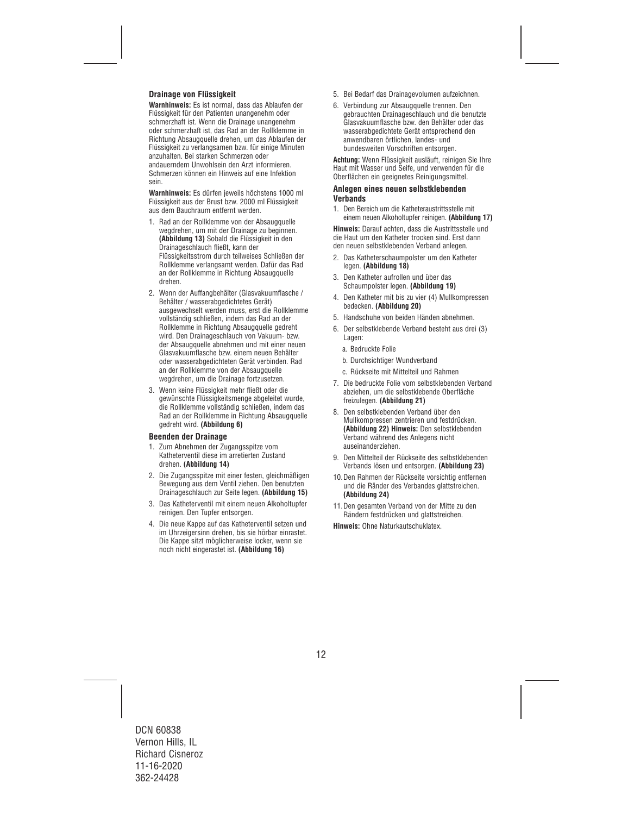## **Drainage von Flüssigkeit**

**Warnhinweis:** Es ist normal, dass das Ablaufen der Flüssigkeit für den Patienten unangenehm oder schmerzhaft ist. Wenn die Drainage unangenehm oder schmerzhaft ist, das Rad an der Rollklemme in Richtung Absaugquelle drehen, um das Ablaufen der Flüssigkeit zu verlangsamen bzw. für einige Minuten anzuhalten. Bei starken Schmerzen oder andauerndem Unwohlsein den Arzt informieren. Schmerzen können ein Hinweis auf eine Infektion sein.

**Warnhinweis:** Es dürfen jeweils höchstens 1000 ml Flüssigkeit aus der Brust bzw. 2000 ml Flüssigkeit aus dem Bauchraum entfernt werden.

- 1. Rad an der Rollklemme von der Absaugquelle wegdrehen, um mit der Drainage zu beginnen. **(Abbildung 13)** Sobald die Flüssigkeit in den Drainageschlauch fließt, kann der Flüssigkeitsstrom durch teilweises Schließen der Rollklemme verlangsamt werden. Dafür das Rad an der Rollklemme in Richtung Absaugquelle drehen.
- 2. Wenn der Auffangbehälter (Glasvakuumflasche / Behälter / wasserabgedichtetes Gerät) ausgewechselt werden muss, erst die Rollklemme vollständig schließen, indem das Rad an der Rollklemme in Richtung Absaugquelle gedreht wird. Den Drainageschlauch von Vakuum- bzw. der Absaugquelle abnehmen und mit einer neuen Glasvakuumflasche bzw. einem neuen Behälter oder wasserabgedichteten Gerät verbinden. Rad an der Rollklemme von der Absaugquelle wegdrehen, um die Drainage fortzusetzen.
- 3. Wenn keine Flüssigkeit mehr fließt oder die gewünschte Flüssigkeitsmenge abgeleitet wurde, die Rollklemme vollständig schließen, indem das Rad an der Rollklemme in Richtung Absaugquelle gedreht wird. **(Abbildung 6)**

#### **Beenden der Drainage**

- 1. Zum Abnehmen der Zugangsspitze vom Katheterventil diese im arretierten Zustand drehen. **(Abbildung 14)**
- 2. Die Zugangsspitze mit einer festen, gleichmäßigen Bewegung aus dem Ventil ziehen. Den benutzten Drainageschlauch zur Seite legen. **(Abbildung 15)**
- 3. Das Katheterventil mit einem neuen Alkoholtupfer reinigen. Den Tupfer entsorgen.
- 4. Die neue Kappe auf das Katheterventil setzen und im Uhrzeigersinn drehen, bis sie hörbar einrastet. Die Kappe sitzt möglicherweise locker, wenn sie noch nicht eingerastet ist. **(Abbildung 16)**
- 5. Bei Bedarf das Drainagevolumen aufzeichnen.
- 6. Verbindung zur Absaugquelle trennen. Den gebrauchten Drainageschlauch und die benutzte Glasvakuumflasche bzw. den Behälter oder das wasserabgedichtete Gerät entsprechend den anwendbaren örtlichen, landes- und bundesweiten Vorschriften entsorgen.

**Achtung:** Wenn Flüssigkeit ausläuft, reinigen Sie Ihre Haut mit Wasser und Seife, und verwenden für die Oberflächen ein geeignetes Reinigungsmittel.

#### **Anlegen eines neuen selbstklebenden Verbands**

1. Den Bereich um die Katheteraustrittsstelle mit einem neuen Alkoholtupfer reinigen. **(Abbildung 17)** 

**Hinweis:** Darauf achten, dass die Austrittsstelle und die Haut um den Katheter trocken sind. Erst dann den neuen selbstklebenden Verband anlegen.

- 2. Das Katheterschaumpolster um den Katheter legen. **(Abbildung 18)**
- 3. Den Katheter aufrollen und über das Schaumpolster legen. **(Abbildung 19)**
- 4. Den Katheter mit bis zu vier (4) Mullkompressen bedecken. **(Abbildung 20)**
- 5. Handschuhe von beiden Händen abnehmen.
- 6. Der selbstklebende Verband besteht aus drei (3) Lagen:
	- a. Bedruckte Folie
	- b. Durchsichtiger Wundverband
	- c. Rückseite mit Mittelteil und Rahmen
- 7. Die bedruckte Folie vom selbstklebenden Verband abziehen, um die selbstklebende Oberfläche freizulegen. **(Abbildung 21)**
- 8. Den selbstklebenden Verband über den Mullkompressen zentrieren und festdrücken. **(Abbildung 22) Hinweis:** Den selbstklebenden Verband während des Anlegens nicht auseinanderziehen.
- 9. Den Mittelteil der Rückseite des selbstklebenden Verbands lösen und entsorgen. **(Abbildung 23)**
- 10.Den Rahmen der Rückseite vorsichtig entfernen und die Ränder des Verbandes glattstreichen. **(Abbildung 24)**
- 11.Den gesamten Verband von der Mitte zu den Rändern festdrücken und glattstreichen.

**Hinweis:** Ohne Naturkautschuklatex.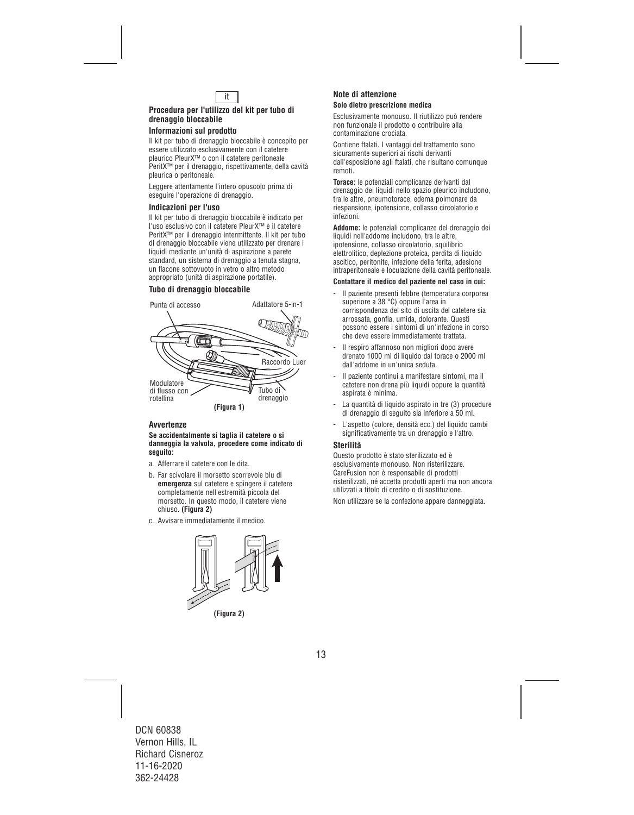

#### **Procedura per l'utilizzo del kit per tubo di drenaggio bloccabile**

## **Informazioni sul prodotto**

Il kit per tubo di drenaggio bloccabile è concepito per essere utilizzato esclusivamente con il catetere pleurico PleurX™ o con il catetere peritoneale PeritX™ per il drenaggio, rispettivamente, della cavità pleurica o peritoneale.

Leggere attentamente l'intero opuscolo prima di eseguire l'operazione di drenaggio.

#### **Indicazioni per l'uso**

Il kit per tubo di drenaggio bloccabile è indicato per l'uso esclusivo con il catetere PleurX™ e il catetere PeritX™ per il drenaggio intermittente. Il kit per tubo di drenaggio bloccabile viene utilizzato per drenare i liquidi mediante un'unità di aspirazione a parete standard, un sistema di drenaggio a tenuta stagna, un flacone sottovuoto in vetro o altro metodo appropriato (unità di aspirazione portatile).

## **Tubo di drenaggio bloccabile**



### **Avvertenze**

#### **Se accidentalmente si taglia il catetere o si danneggia la valvola, procedere come indicato di seguito:**

- a. Afferrare il catetere con le dita.
- b. Far scivolare il morsetto scorrevole blu di **emergenza** sul catetere e spingere il catetere completamente nell'estremità piccola del morsetto. In questo modo, il catetere viene chiuso. **(Figura 2)**
- c. Avvisare immediatamente il medico.



#### **(Figura 2)**

#### **Note di attenzione Solo dietro prescrizione medica**

Esclusivamente monouso. Il riutilizzo può rendere non funzionale il prodotto o contribuire alla contaminazione crociata.

Contiene ftalati. I vantaggi del trattamento sono sicuramente superiori ai rischi derivanti dall'esposizione agli ftalati, che risultano comunque remoti.

**Torace:** le potenziali complicanze derivanti dal drenaggio dei liquidi nello spazio pleurico includono, tra le altre, pneumotorace, edema polmonare da riespansione, ipotensione, collasso circolatorio e infezioni.

**Addome:** le potenziali complicanze del drenaggio dei liquidi nell'addome includono, tra le altre, ipotensione, collasso circolatorio, squilibrio elettrolitico, deplezione proteica, perdita di liquido ascitico, peritonite, infezione della ferita, adesione intraperitoneale e loculazione della cavità peritoneale.

#### **Contattare il medico del paziente nel caso in cui:**

- Il paziente presenti febbre (temperatura corporea superiore a 38 °C) oppure l'area in corrispondenza del sito di uscita del catetere sia arrossata, gonfia, umida, dolorante. Questi possono essere i sintomi di un'infezione in corso che deve essere immediatamente trattata.
- Il respiro affannoso non migliori dopo avere drenato 1000 ml di liquido dal torace o 2000 ml dall'addome in un'unica seduta.
- Il paziente continui a manifestare sintomi, ma il catetere non drena più liquidi oppure la quantità aspirata è minima.
- La quantità di liquido aspirato in tre (3) procedure di drenaggio di seguito sia inferiore a 50 ml.
- L'aspetto (colore, densità ecc.) del liquido cambi significativamente tra un drenaggio e l'altro.

### **Sterilità**

Questo prodotto è stato sterilizzato ed è esclusivamente monouso. Non risterilizzare. CareFusion non è responsabile di prodotti risterilizzati, né accetta prodotti aperti ma non ancora utilizzati a titolo di credito o di sostituzione.

Non utilizzare se la confezione appare danneggiata.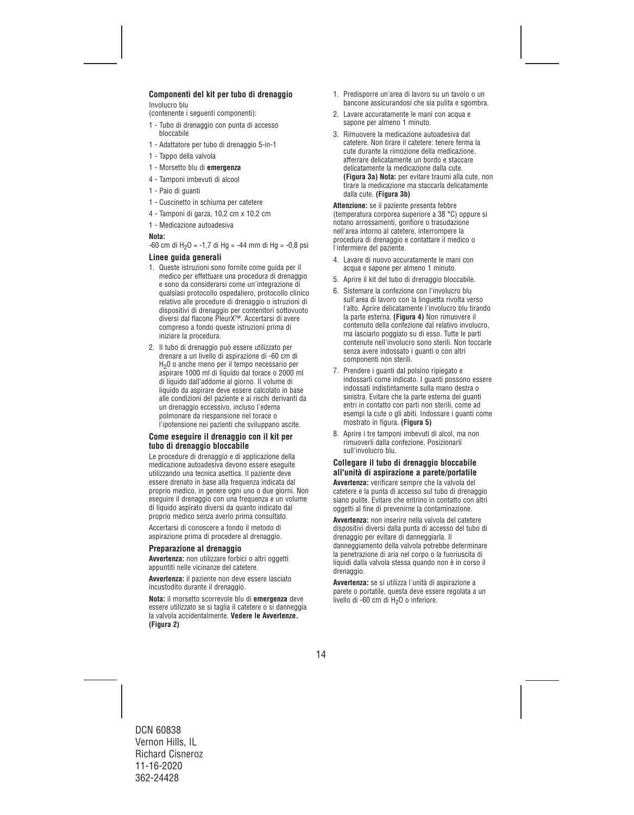## **Componenti del kit per tubo di drenaggio**

Involucro blu

(contenente i seguenti componenti):

- 1 Tubo di drenaggio con punta di accesso bloccabile
- 1 Adattatore per tubo di drenaggio 5-in-1
- 1 Tappo della valvola
- 1 Morsetto blu di **emergenza**
- 4 Tamponi imbevuti di alcool
- 1 Paio di guanti
- 1 Cuscinetto in schiuma per catetere
- 4 Tamponi di garza, 10,2 cm x 10,2 cm
- 1 Medicazione autoadesiva

#### **Nota:**

 $-60$  cm di H<sub>2</sub>O =  $-1.7$  di Hg =  $-44$  mm di Hg =  $-0.8$  psi

#### **Linee guida generali**

- 1. Queste istruzioni sono fornite come guida per il medico per effettuare una procedura di drenaggio e sono da considerarsi come un'integrazione di qualsiasi protocollo ospedaliero, protocollo clinico relativo alle procedure di drenaggio o istruzioni di dispositivi di drenaggio per contenitori sottovuoto diversi dal flacone PleurX™. Accertarsi di avere compreso a fondo queste istruzioni prima di iniziare la procedura.
- 2. Il tubo di drenaggio può essere utilizzato per drenare a un livello di aspirazione di -60 cm di H20 o anche meno per il tempo necessario per aspirare 1000 ml di liquido dal torace o 2000 ml di liquido dall'addome al giorno. Il volume di liquido da aspirare deve essere calcolato in base alle condizioni del paziente e ai rischi derivanti da un drenaggio eccessivo, incluso l'edema polmonare da riespansione nel torace o l'ipotensione nei pazienti che sviluppano ascite.

#### **Come eseguire il drenaggio con il kit per tubo di drenaggio bloccabile**

Le procedure di drenaggio e di applicazione della medicazione autoadesiva devono essere eseguite utilizzando una tecnica asettica. Il paziente deve essere drenato in base alla frequenza indicata dal proprio medico, in genere ogni uno o due giorni. Non eseguire il drenaggio con una frequenza e un volume di liquido aspirato diversi da quanto indicato dal proprio medico senza averlo prima consultato.

Accertarsi di conoscere a fondo il metodo di aspirazione prima di procedere al drenaggio.

## **Preparazione al drenaggio**

**Avvertenza:** non utilizzare forbici o altri oggetti appuntiti nelle vicinanze del catetere.

**Avvertenza:** il paziente non deve essere lasciato incustodito durante il drenaggio.

**Nota:** il morsetto scorrevole blu di **emergenza** deve essere utilizzato se si taglia il catetere o si danneggia la valvola accidentalmente. **Vedere le Avvertenze. (Figura 2)**

- 1. Predisporre un'area di lavoro su un tavolo o un bancone assicurandosi che sia pulita e sgombra.
- 2. Lavare accuratamente le mani con acqua e sapone per almeno 1 minuto.
- 3. Rimuovere la medicazione autoadesiva dal catetere. Non tirare il catetere: tenere ferma la cute durante la rimozione della medicazione, afferrare delicatamente un bordo e staccare delicatamente la medicazione dalla cute. **(Figura 3a) Nota:** per evitare traumi alla cute, non tirare la medicazione ma staccarla delicatamente dalla cute. **(Figura 3b)**

**Attenzione:** se il paziente presenta febbre (temperatura corporea superiore a 38 °C) oppure si notano arrossamenti, gonfiore o trasudazione nell'area intorno al catetere, interrompere la procedura di drenaggio e contattare il medico o l'infermiere del paziente.

- 4. Lavare di nuovo accuratamente le mani con acqua e sapone per almeno 1 minuto.
- 5. Aprire il kit del tubo di drenaggio bloccabile.
- 6. Sistemare la confezione con l'involucro blu sull'area di lavoro con la linguetta rivolta verso l'alto. Aprire delicatamente l'involucro blu tirando la parte esterna. **(Figura 4)** Non rimuovere il contenuto della confezione dal relativo involucro, ma lasciarlo poggiato su di esso. Tutte le parti contenute nell'involucro sono sterili. Non toccarle senza avere indossato i quanti o con altri componenti non sterili.
- 7. Prendere i guanti dal polsino ripiegato e indossarli come indicato. I guanti possono essere indossati indistintamente sulla mano destra o sinistra. Evitare che la parte esterna dei guanti entri in contatto con parti non sterili, come ad esempi la cute o gli abiti. Indossare i guanti come mostrato in figura. **(Figura 5)**
- 8. Aprire i tre tamponi imbevuti di alcol, ma non rimuoverli dalla confezione. Posizionarli sull'involucro blu.

### **Collegare il tubo di drenaggio bloccabile all'unità di aspirazione a parete/portatile**

**Avvertenza:** verificare sempre che la valvola del catetere e la punta di accesso sul tubo di drenaggio siano pulite. Evitare che entrino in contatto con altri oggetti al fine di prevenirne la contaminazione.

**Avvertenza:** non inserire nella valvola del catetere dispositivi diversi dalla punta di accesso del tubo di drenaggio per evitare di danneggiarla. Il danneggiamento della valvola potrebbe determinare la penetrazione di aria nel corpo o la fuoriuscita di liquidi dalla valvola stessa quando non è in corso il drenaggio.

**Avvertenza:** se si utilizza l'unità di aspirazione a parete o portatile, questa deve essere regolata a un livello di -60 cm di  $H<sub>2</sub>O$  o inferiore.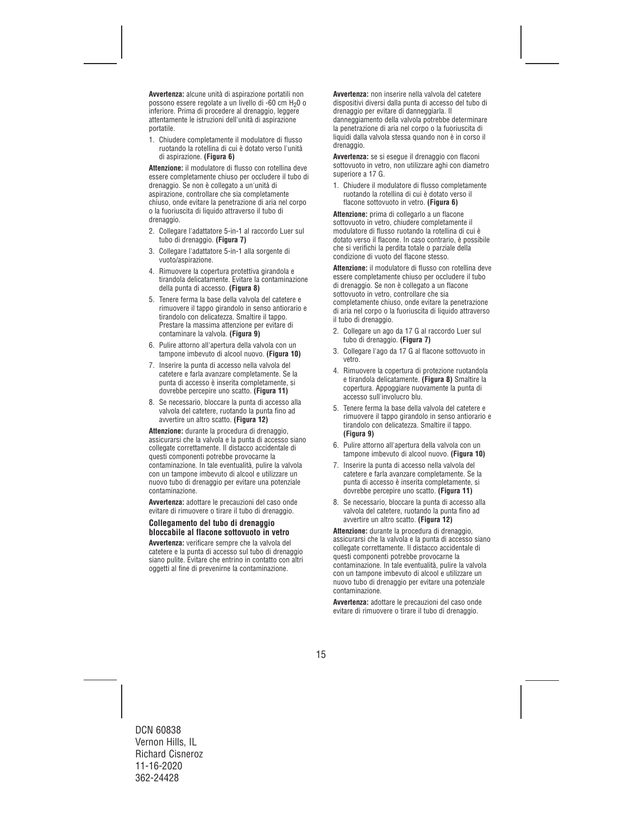**Avvertenza:** alcune unità di aspirazione portatili non possono essere regolate a un livello di -60 cm H<sub>2</sub>0 o inferiore. Prima di procedere al drenaggio, leggere attentamente le istruzioni dell'unità di aspirazione portatile.

1. Chiudere completamente il modulatore di flusso ruotando la rotellina di cui è dotato verso l'unità di aspirazione. **(Figura 6)**

**Attenzione:** il modulatore di flusso con rotellina deve essere completamente chiuso per occludere il tubo di drenaggio. Se non è collegato a un'unità di aspirazione, controllare che sia completamente chiuso, onde evitare la penetrazione di aria nel corpo o la fuoriuscita di liquido attraverso il tubo di drenaggio.

- 2. Collegare l'adattatore 5-in-1 al raccordo Luer sul tubo di drenaggio. **(Figura 7)**
- 3. Collegare l'adattatore 5-in-1 alla sorgente di vuoto/aspirazione.
- 4. Rimuovere la copertura protettiva girandola e tirandola delicatamente. Evitare la contaminazione della punta di accesso. **(Figura 8)**
- 5. Tenere ferma la base della valvola del catetere e rimuovere il tappo girandolo in senso antiorario e tirandolo con delicatezza. Smaltire il tappo. Prestare la massima attenzione per evitare di contaminare la valvola. **(Figura 9)**
- 6. Pulire attorno all'apertura della valvola con un tampone imbevuto di alcool nuovo. **(Figura 10)**
- 7. Inserire la punta di accesso nella valvola del catetere e farla avanzare completamente. Se la punta di accesso è inserita completamente, si dovrebbe percepire uno scatto. **(Figura 11)**
- 8. Se necessario, bloccare la punta di accesso alla valvola del catetere, ruotando la punta fino ad avvertire un altro scatto. **(Figura 12)**

**Attenzione:** durante la procedura di drenaggio, assicurarsi che la valvola e la punta di accesso siano collegate correttamente. Il distacco accidentale di questi componenti potrebbe provocarne la contaminazione. In tale eventualità, pulire la valvola con un tampone imbevuto di alcool e utilizzare un nuovo tubo di drenaggio per evitare una potenziale contaminazione.

**Avvertenza:** adottare le precauzioni del caso onde evitare di rimuovere o tirare il tubo di drenaggio.

### **Collegamento del tubo di drenaggio bloccabile al flacone sottovuoto in vetro**

**Avvertenza:** verificare sempre che la valvola del catetere e la punta di accesso sul tubo di drenaggio siano pulite. Evitare che entrino in contatto con altri oggetti al fine di prevenirne la contaminazione.

**Avvertenza:** non inserire nella valvola del catetere dispositivi diversi dalla punta di accesso del tubo di drenaggio per evitare di danneggiarla. Il danneggiamento della valvola potrebbe determinare la penetrazione di aria nel corpo o la fuoriuscita di liquidi dalla valvola stessa quando non è in corso il drenaggio.

**Avvertenza:** se si esegue il drenaggio con flaconi sottovuoto in vetro, non utilizzare aghi con diametro superiore a 17 G.

1. Chiudere il modulatore di flusso completamente ruotando la rotellina di cui è dotato verso il flacone sottovuoto in vetro. **(Figura 6)** 

**Attenzione:** prima di collegarlo a un flacone sottovuoto in vetro, chiudere completamente il modulatore di flusso ruotando la rotellina di cui è dotato verso il flacone. In caso contrario, è possibile che si verifichi la perdita totale o parziale della condizione di vuoto del flacone stesso.

**Attenzione:** il modulatore di flusso con rotellina deve essere completamente chiuso per occludere il tubo di drenaggio. Se non è collegato a un flacone sottovuoto in vetro, controllare che sia completamente chiuso, onde evitare la penetrazione di aria nel corpo o la fuoriuscita di liquido attraverso il tubo di drenaggio.

- 2. Collegare un ago da 17 G al raccordo Luer sul tubo di drenaggio. **(Figura 7)**
- 3. Collegare l'ago da 17 G al flacone sottovuoto in vetro.
- 4. Rimuovere la copertura di protezione ruotandola e tirandola delicatamente. **(Figura 8)** Smaltire la copertura. Appoggiare nuovamente la punta di accesso sull'involucro blu.
- 5. Tenere ferma la base della valvola del catetere e rimuovere il tappo girandolo in senso antiorario e tirandolo con delicatezza. Smaltire il tappo. **(Figura 9)**
- 6. Pulire attorno all'apertura della valvola con un tampone imbevuto di alcool nuovo. **(Figura 10)**
- 7. Inserire la punta di accesso nella valvola del catetere e farla avanzare completamente. Se la punta di accesso è inserita completamente, si dovrebbe percepire uno scatto. **(Figura 11)**
- 8. Se necessario, bloccare la punta di accesso alla valvola del catetere, ruotando la punta fino ad avvertire un altro scatto. **(Figura 12)**

**Attenzione:** durante la procedura di drenaggio, assicurarsi che la valvola e la punta di accesso siano collegate correttamente. Il distacco accidentale di questi componenti potrebbe provocarne la contaminazione. In tale eventualità, pulire la valvola con un tampone imbevuto di alcool e utilizzare un nuovo tubo di drenaggio per evitare una potenziale contaminazione.

**Avvertenza:** adottare le precauzioni del caso onde evitare di rimuovere o tirare il tubo di drenaggio.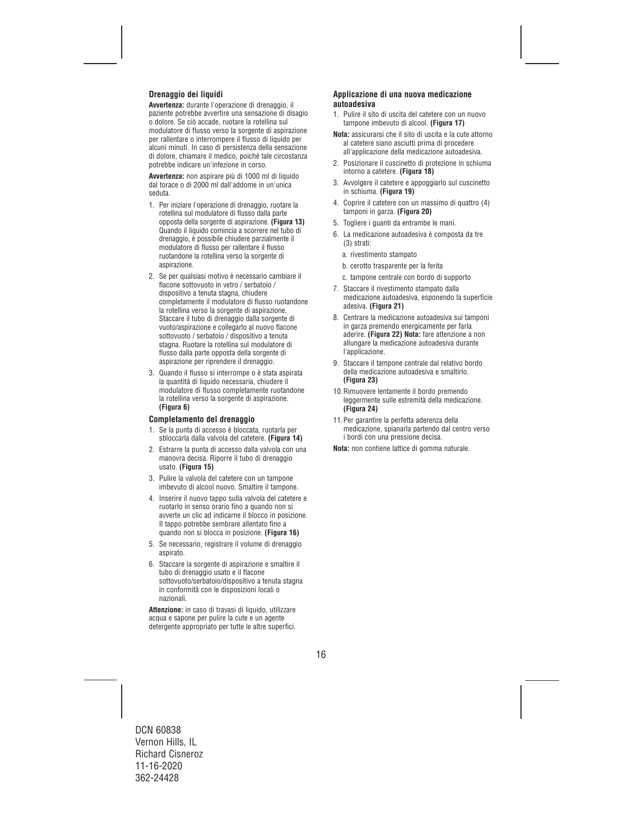## **Drenaggio dei liquidi**

**Avvertenza:** durante l'operazione di drenaggio, il paziente potrebbe avvertire una sensazione di disagio o dolore. Se ciò accade, ruotare la rotellina sul modulatore di flusso verso la sorgente di aspirazione per rallentare o interrompere il flusso di liquido per alcuni minuti. In caso di persistenza della sensazione di dolore, chiamare il medico, poiché tale circostanza potrebbe indicare un'infezione in corso.

**Avvertenza:** non aspirare più di 1000 ml di liquido dal torace o di 2000 ml dall'addome in un'unica seduta.

- 1. Per iniziare l'operazione di drenaggio, ruotare la rotellina sul modulatore di flusso dalla parte opposta della sorgente di aspirazione. **(Figura 13)**  Quando il liquido comincia a scorrere nel tubo di drenaggio, è possibile chiudere parzialmente il modulatore di flusso per rallentare il flusso ruotandone la rotellina verso la sorgente di aspirazione.
- 2. Se per qualsiasi motivo è necessario cambiare il flacone sottovuoto in vetro / serbatoio / dispositivo a tenuta stagna, chiudere completamente il modulatore di flusso ruotandone la rotellina verso la sorgente di aspirazione. Staccare il tubo di drenaggio dalla sorgente di vuoto/aspirazione e collegarlo al nuovo flacone sottovuoto / serbatoio / dispositivo a tenuta stagna. Ruotare la rotellina sul modulatore di flusso dalla parte opposta della sorgente di aspirazione per riprendere il drenaggio.
- 3. Quando il flusso si interrompe o è stata aspirata la quantità di liquido necessaria, chiudere il modulatore di flusso completamente ruotandone la rotellina verso la sorgente di aspirazione. **(Figura 6)**

### **Completamento del drenaggio**

- 1. Se la punta di accesso è bloccata, ruotarla per sbloccarla dalla valvola del catetere. **(Figura 14)**
- 2. Estrarre la punta di accesso dalla valvola con una manovra decisa. Riporre il tubo di drenaggio usato. **(Figura 15)**
- 3. Pulire la valvola del catetere con un tampone imbevuto di alcool nuovo. Smaltire il tampone.
- 4. Inserire il nuovo tappo sulla valvola del catetere e ruotarlo in senso orario fino a quando non si avverte un clic ad indicarne il blocco in posizione. Il tappo potrebbe sembrare allentato fino a quando non si blocca in posizione. **(Figura 16)**
- 5. Se necessario, registrare il volume di drenaggio aspirato.
- 6. Staccare la sorgente di aspirazione e smaltire il tubo di drenaggio usato e il flacone sottovuoto/serbatoio/dispositivo a tenuta stagna in conformità con le disposizioni locali o nazionali.

**Attenzione:** in caso di travasi di liquido, utilizzare acqua e sapone per pulire la cute e un agente detergente appropriato per tutte le altre superfici.

### **Applicazione di una nuova medicazione autoadesiva**

- 1. Pulire il sito di uscita del catetere con un nuovo tampone imbevuto di alcool. **(Figura 17)**
- **Nota:** assicurarsi che il sito di uscita e la cute attorno al catetere siano asciutti prima di procedere all'applicazione della medicazione autoadesiva.
- 2. Posizionare il cuscinetto di protezione in schiuma intorno a catetere. **(Figura 18)**
- 3. Avvolgere il catetere e appoggiarlo sul cuscinetto in schiuma. **(Figura 19)**
- 4. Coprire il catetere con un massimo di quattro (4) tamponi in garza. **(Figura 20)**
- 5. Togliere i guanti da entrambe le mani.
- 6. La medicazione autoadesiva è composta da tre (3) strati:
	- a. rivestimento stampato
	- b. cerotto trasparente per la ferita
	- c. tampone centrale con bordo di supporto
- 7. Staccare il rivestimento stampato dalla medicazione autoadesiva, esponendo la superficie adesiva. **(Figura 21)**
- 8. Centrare la medicazione autoadesiva sui tamponi in garza premendo energicamente per farla aderire. **(Figura 22) Nota:** fare attenzione a non allungare la medicazione autoadesiva durante l'applicazione.
- 9. Staccare il tampone centrale dal relativo bordo della medicazione autoadesiva e smaltirlo. **(Figura 23)**
- 10.Rimuovere lentamente il bordo premendo leggermente sulle estremità della medicazione. **(Figura 24)**
- 11.Per garantire la perfetta aderenza della medicazione, spianarla partendo dal centro verso i bordi con una pressione decisa.

**Nota:** non contiene lattice di gomma naturale.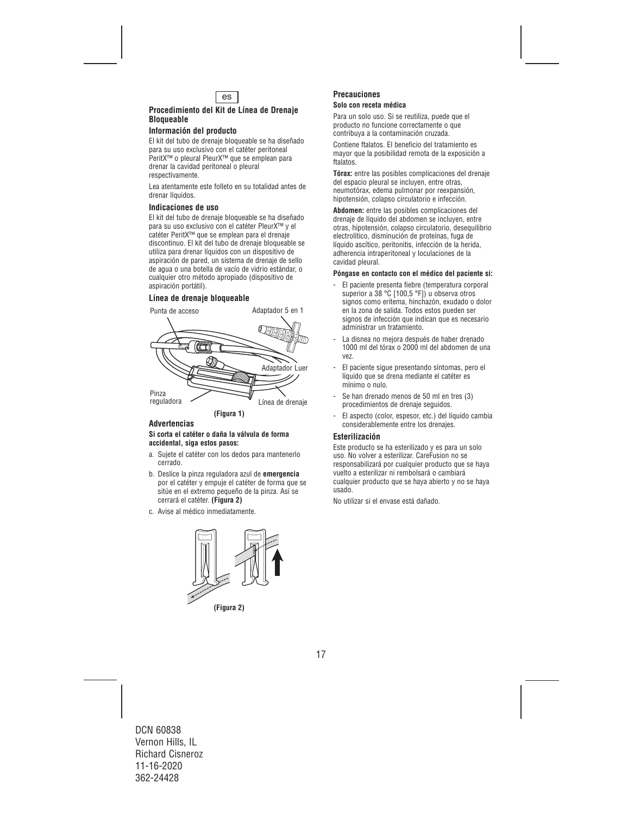

## **Procedimiento del Kit de Línea de Drenaje Bloqueable**

## **Información del producto**

El kit del tubo de drenaje bloqueable se ha diseñado para su uso exclusivo con el catéter peritoneal PeritX™ o pleural PleurX™ que se emplean para drenar la cavidad peritoneal o pleural respectivamente.

Lea atentamente este folleto en su totalidad antes de drenar líquidos.

#### **Indicaciones de uso**

El kit del tubo de drenaje bloqueable se ha diseñado para su uso exclusivo con el catéter PleurX™ y el catéter PeritX™ que se emplean para el drenaje discontinuo. El kit del tubo de drenaje bloqueable se utiliza para drenar líquidos con un dispositivo de aspiración de pared, un sistema de drenaje de sello de agua o una botella de vacío de vidrio estándar, o cualquier otro método apropiado (dispositivo de aspiración portátil).

## **Línea de drenaje bloqueable**



### **Advertencias**

#### **Si corta el catéter o daña la válvula de forma accidental, siga estos pasos:**

- a. Sujete el catéter con los dedos para mantenerlo cerrado.
- b. Deslice la pinza reguladora azul de **emergencia** por el catéter y empuje el catéter de forma que se sitúe en el extremo pequeño de la pinza. Así se cerrará el catéter. **(Figura 2)**
- c. Avise al médico inmediatamente.



**(Figura 2)** 

#### **Precauciones Solo con receta médica**

Para un solo uso. Si se reutiliza, puede que el producto no funcione correctamente o que contribuya a la contaminación cruzada.

Contiene ftalatos. El beneficio del tratamiento es mayor que la posibilidad remota de la exposición a ftalatos.

**Tórax:** entre las posibles complicaciones del drenaje del espacio pleural se incluyen, entre otras, neumotórax, edema pulmonar por reexpansión, hipotensión, colapso circulatorio e infección.

**Abdomen:** entre las posibles complicaciones del drenaje de líquido del abdomen se incluyen, entre otras, hipotensión, colapso circulatorio, desequilibrio electrolítico, disminución de proteínas, fuga de líquido ascítico, peritonitis, infección de la herida, adherencia intraperitoneal y loculaciones de la cavidad pleural.

#### **Póngase en contacto con el médico del paciente si:**

- El paciente presenta fiebre (temperatura corporal superior a 38 °C [100,5 °F]) u observa otros signos como eritema, hinchazón, exudado o dolor en la zona de salida. Todos estos pueden ser signos de infección que indican que es necesario administrar un tratamiento.
- La disnea no mejora después de haber drenado 1000 ml del tórax o 2000 ml del abdomen de una vez.
- El paciente sigue presentando síntomas, pero el líquido que se drena mediante el catéter es mínimo o nulo.
- Se han drenado menos de 50 ml en tres (3) procedimientos de drenaje seguidos.
- El aspecto (color, espesor, etc.) del líquido cambia considerablemente entre los drenajes.

### **Esterilización**

Este producto se ha esterilizado y es para un solo uso. No volver a esterilizar. CareFusion no se responsabilizará por cualquier producto que se haya vuelto a esterilizar ni rembolsará o cambiará cualquier producto que se haya abierto y no se haya usado.

No utilizar si el envase está dañado.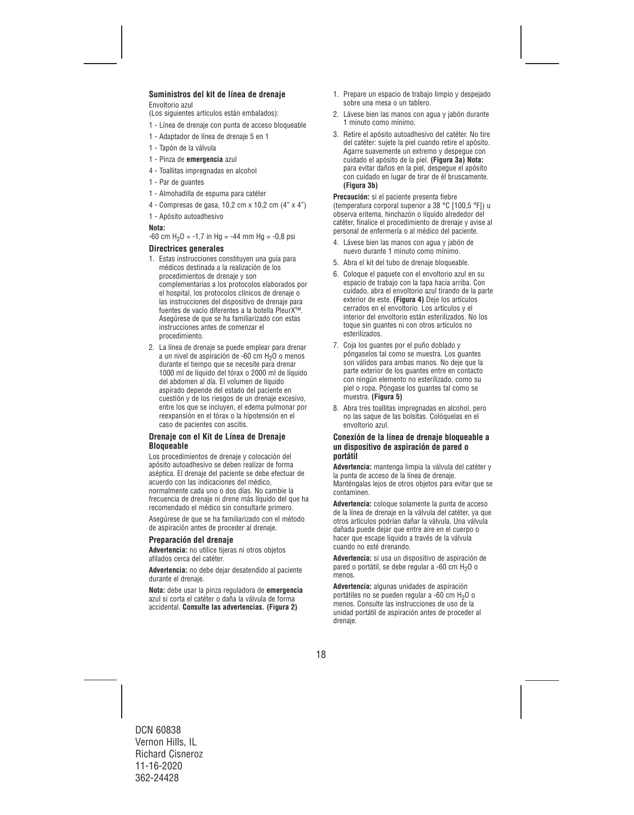## **Suministros del kit de línea de drenaje**

Envoltorio azul

(Los siguientes artículos están embalados):

- 1 Línea de drenaje con punta de acceso bloqueable
- 1 Adaptador de línea de drenaje 5 en 1
- 1 Tapón de la válvula
- 1 Pinza de **emergencia** azul
- 4 Toallitas impregnadas en alcohol
- 1 Par de guantes
- 1 Almohadilla de espuma para catéter
- 4 Compresas de gasa, 10,2 cm x 10,2 cm (4" x 4")
- 1 Apósito autoadhesivo

#### **Nota:**

 $-60$  cm H<sub>2</sub>O =  $-1.7$  in Hg =  $-44$  mm Hg =  $-0.8$  psi

#### **Directrices generales**

- 1. Estas instrucciones constituyen una guía para médicos destinada a la realización de los procedimientos de drenaje y son complementarias a los protocolos elaborados por el hospital, los protocolos clínicos de drenaje o las instrucciones del dispositivo de drenaje para fuentes de vacío diferentes a la botella PleurX™. Asegúrese de que se ha familiarizado con estas instrucciones antes de comenzar el procedimiento.
- 2. La línea de drenaje se puede emplear para drenar a un nivel de aspiración de -60 cm  $H_2O$  o menos durante el tiempo que se necesite para drenar 1000 ml de líquido del tórax o 2000 ml de líquido del abdomen al día. El volumen de líquido aspirado depende del estado del paciente en cuestión y de los riesgos de un drenaje excesivo, entre los que se incluyen, el edema pulmonar por reexpansión en el tórax o la hipotensión en el caso de pacientes con ascitis.

#### **Drenaje con el Kit de Línea de Drenaje Bloqueable**

Los procedimientos de drenaje y colocación del apósito autoadhesivo se deben realizar de forma aséptica. El drenaje del paciente se debe efectuar de acuerdo con las indicaciones del médico, normalmente cada uno o dos días. No cambie la frecuencia de drenaje ni drene más líquido del que ha recomendado el médico sin consultarle primero.

Asegúrese de que se ha familiarizado con el método de aspiración antes de proceder al drenaje.

#### **Preparación del drenaje**

**Advertencia:** no utilice tijeras ni otros objetos afilados cerca del catéter.

**Advertencia:** no debe dejar desatendido al paciente durante el drenaje.

**Nota:** debe usar la pinza reguladora de **emergencia** azul si corta el catéter o daña la válvula de forma accidental. **Consulte las advertencias. (Figura 2)** 

- 1. Prepare un espacio de trabajo limpio y despejado sobre una mesa o un tablero.
- 2. Lávese bien las manos con agua y jabón durante 1 minuto como mínimo.
- 3. Retire el apósito autoadhesivo del catéter. No tire del catéter: sujete la piel cuando retire el apósito. Agarre suavemente un extremo y despegue con cuidado el apósito de la piel. **(Figura 3a) Nota:** para evitar daños en la piel, despegue el apósito con cuidado en lugar de tirar de él bruscamente. **(Figura 3b)**

**Precaución:** si el paciente presenta fiebre (temperatura corporal superior a 38 °C [100,5 °F]) u observa eritema, hinchazón o líquido alrededor del catéter, finalice el procedimiento de drenaje y avise al personal de enfermería o al médico del paciente.

- 4. Lávese bien las manos con agua y jabón de nuevo durante 1 minuto como mínimo.
- 5. Abra el kit del tubo de drenaje bloqueable.
- 6. Coloque el paquete con el envoltorio azul en su espacio de trabajo con la tapa hacia arriba. Con cuidado, abra el envoltorio azul tirando de la parte exterior de este. **(Figura 4)** Deje los artículos cerrados en el envoltorio. Los artículos y el interior del envoltorio están esterilizados. No los toque sin guantes ni con otros artículos no esterilizados.
- 7. Coja los guantes por el puño doblado y póngaselos tal como se muestra. Los guantes son válidos para ambas manos. No deje que la parte exterior de los guantes entre en contacto con ningún elemento no esterilizado, como su piel o ropa. Póngase los guantes tal como se muestra. **(Figura 5)**
- 8. Abra tres toallitas impregnadas en alcohol, pero no las saque de las bolsitas. Colóquelas en el envoltorio azul.

#### **Conexión de la línea de drenaje bloqueable a un dispositivo de aspiración de pared o portátil**

**Advertencia:** mantenga limpia la válvula del catéter y la punta de acceso de la línea de drenaje. Manténgalas lejos de otros objetos para evitar que se contaminen.

**Advertencia:** coloque solamente la punta de acceso de la línea de drenaje en la válvula del catéter, ya que otros artículos podrían dañar la válvula. Una válvula dañada puede dejar que entre aire en el cuerpo o hacer que escape líquido a través de la válvula cuando no esté drenando.

**Advertencia:** si usa un dispositivo de aspiración de pared o portátil, se debe regular a -60 cm H<sub>2</sub>O o menos.

**Advertencia:** algunas unidades de aspiración portátiles no se pueden regular a -60 cm H<sub>2</sub>O o menos. Consulte las instrucciones de uso de la unidad portátil de aspiración antes de proceder al drenaje.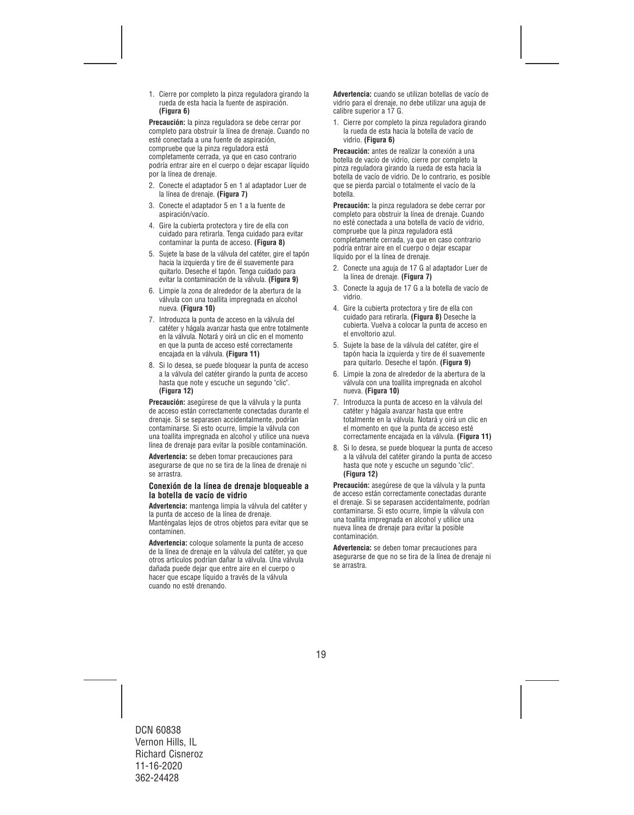1. Cierre por completo la pinza reguladora girando la rueda de esta hacia la fuente de aspiración. **(Figura 6)**

**Precaución:** la pinza reguladora se debe cerrar por completo para obstruir la línea de drenaje. Cuando no esté conectada a una fuente de aspiración, compruebe que la pinza reguladora está completamente cerrada, ya que en caso contrario podría entrar aire en el cuerpo o dejar escapar líquido por la línea de drenaje.

- 2. Conecte el adaptador 5 en 1 al adaptador Luer de la línea de drenaje. **(Figura 7)**
- 3. Conecte el adaptador 5 en 1 a la fuente de aspiración/vacío.
- 4. Gire la cubierta protectora y tire de ella con cuidado para retirarla. Tenga cuidado para evitar contaminar la punta de acceso. **(Figura 8)**
- 5. Sujete la base de la válvula del catéter, gire el tapón hacia la izquierda y tire de él suavemente para quitarlo. Deseche el tapón. Tenga cuidado para evitar la contaminación de la válvula. **(Figura 9)**
- 6. Limpie la zona de alrededor de la abertura de la válvula con una toallita impregnada en alcohol nueva. **(Figura 10)**
- 7. Introduzca la punta de acceso en la válvula del catéter y hágala avanzar hasta que entre totalmente en la válvula. Notará y oirá un clic en el momento en que la punta de acceso esté correctamente encajada en la válvula. **(Figura 11)**
- 8. Si lo desea, se puede bloquear la punta de acceso a la válvula del catéter girando la punta de acceso hasta que note y escuche un segundo "clic". **(Figura 12)**

**Precaución:** asegúrese de que la válvula y la punta de acceso están correctamente conectadas durante el drenaje. Si se separasen accidentalmente, podrían contaminarse. Si esto ocurre, limpie la válvula con una toallita impregnada en alcohol y utilice una nueva línea de drenaje para evitar la posible contaminación.

**Advertencia:** se deben tomar precauciones para asegurarse de que no se tira de la línea de drenaje ni se arrastra.

#### **Conexión de la línea de drenaje bloqueable a la botella de vacío de vidrio**

**Advertencia:** mantenga limpia la válvula del catéter y la punta de acceso de la línea de drenaje. Manténgalas lejos de otros objetos para evitar que se contaminen.

**Advertencia:** coloque solamente la punta de acceso de la línea de drenaje en la válvula del catéter, ya que otros artículos podrían dañar la válvula. Una válvula dañada puede dejar que entre aire en el cuerpo o hacer que escape líquido a través de la válvula cuando no esté drenando.

**Advertencia:** cuando se utilizan botellas de vacío de vidrio para el drenaje, no debe utilizar una aguja de calibre superior a 17 G.

1. Cierre por completo la pinza reguladora girando la rueda de esta hacia la botella de vacío de vidrio. **(Figura 6)** 

**Precaución:** antes de realizar la conexión a una botella de vacío de vidrio, cierre por completo la pinza reguladora girando la rueda de esta hacia la botella de vacío de vidrio. De lo contrario, es posible que se pierda parcial o totalmente el vacío de la botella.

**Precaución:** la pinza reguladora se debe cerrar por completo para obstruir la línea de drenaje. Cuando no esté conectada a una botella de vacío de vidrio, compruebe que la pinza reguladora está completamente cerrada, ya que en caso contrario podría entrar aire en el cuerpo o dejar escapar líquido por el la línea de drenaje.

- 2. Conecte una aguja de 17 G al adaptador Luer de la línea de drenaje. **(Figura 7)**
- 3. Conecte la aguja de 17 G a la botella de vacío de vidrio.
- 4. Gire la cubierta protectora y tire de ella con cuidado para retirarla. **(Figura 8)** Deseche la cubierta. Vuelva a colocar la punta de acceso en el envoltorio azul.
- 5. Sujete la base de la válvula del catéter, gire el tapón hacia la izquierda y tire de él suavemente para quitarlo. Deseche el tapón. **(Figura 9)**
- 6. Limpie la zona de alrededor de la abertura de la válvula con una toallita impregnada en alcohol nueva. **(Figura 10)**
- 7. Introduzca la punta de acceso en la válvula del catéter y hágala avanzar hasta que entre totalmente en la válvula. Notará y oirá un clic en el momento en que la punta de acceso esté correctamente encajada en la válvula. **(Figura 11)**
- 8. Si lo desea, se puede bloquear la punta de acceso a la válvula del catéter girando la punta de acceso hasta que note y escuche un segundo "clic". **(Figura 12)**

**Precaución:** asegúrese de que la válvula y la punta de acceso están correctamente conectadas durante el drenaje. Si se separasen accidentalmente, podrían contaminarse. Si esto ocurre, limpie la válvula con una toallita impregnada en alcohol y utilice una nueva línea de drenaje para evitar la posible contaminación.

**Advertencia:** se deben tomar precauciones para asegurarse de que no se tira de la línea de drenaje ni se arrastra.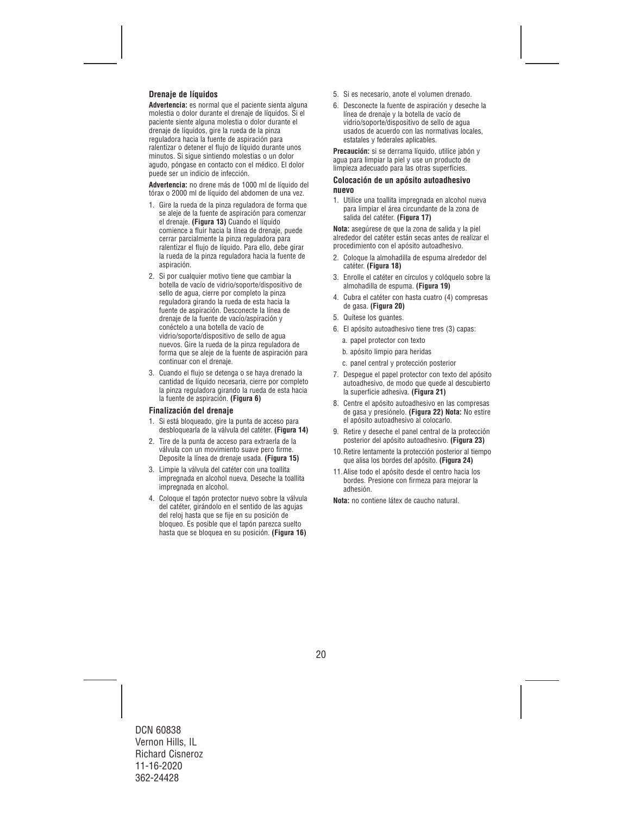## **Drenaje de líquidos**

**Advertencia:** es normal que el paciente sienta alguna molestia o dolor durante el drenaje de líquidos. Si el paciente siente alguna molestia o dolor durante el drenaje de líquidos, gire la rueda de la pinza reguladora hacia la fuente de aspiración para ralentizar o detener el flujo de líquido durante unos minutos. Si sigue sintiendo molestias o un dolor agudo, póngase en contacto con el médico. El dolor puede ser un indicio de infección.

**Advertencia:** no drene más de 1000 ml de líquido del tórax o 2000 ml de líquido del abdomen de una vez.

- 1. Gire la rueda de la pinza reguladora de forma que se aleje de la fuente de aspiración para comenzar el drenaje. **(Figura 13)** Cuando el líquido comience a fluir hacia la línea de drenaje, puede cerrar parcialmente la pinza reguladora para ralentizar el flujo de líquido. Para ello, debe girar la rueda de la pinza reguladora hacia la fuente de aspiración.
- 2. Si por cualquier motivo tiene que cambiar la botella de vacío de vidrio/soporte/dispositivo de sello de agua, cierre por completo la pinza reguladora girando la rueda de esta hacia la fuente de aspiración. Desconecte la línea de drenaje de la fuente de vacío/aspiración y conéctelo a una botella de vacío de vidrio/soporte/dispositivo de sello de agua nuevos. Gire la rueda de la pinza reguladora de forma que se aleje de la fuente de aspiración para continuar con el drenaje.
- 3. Cuando el flujo se detenga o se haya drenado la cantidad de líquido necesaria, cierre por completo la pinza reguladora girando la rueda de esta hacia la fuente de aspiración. **(Figura 6)**

### **Finalización del drenaje**

- 1. Si está bloqueado, gire la punta de acceso para desbloquearla de la válvula del catéter. **(Figura 14)**
- 2. Tire de la punta de acceso para extraerla de la válvula con un movimiento suave pero firme. Deposite la línea de drenaje usada. **(Figura 15)**
- 3. Limpie la válvula del catéter con una toallita impregnada en alcohol nueva. Deseche la toallita impregnada en alcohol.
- 4. Coloque el tapón protector nuevo sobre la válvula del catéter, girándolo en el sentido de las agujas del reloj hasta que se fije en su posición de bloqueo. Es posible que el tapón parezca suelto hasta que se bloquea en su posición. **(Figura 16)**
- 5. Si es necesario, anote el volumen drenado.
- 6. Desconecte la fuente de aspiración y deseche la línea de drenaje y la botella de vacío de vidrio/soporte/dispositivo de sello de agua usados de acuerdo con las normativas locales, estatales y federales aplicables.

**Precaución:** si se derrama líquido, utilice jabón y agua para limpiar la piel y use un producto de limpieza adecuado para las otras superficies.

### **Colocación de un apósito autoadhesivo nuevo**

1. Utilice una toallita impregnada en alcohol nueva para limpiar el área circundante de la zona de salida del catéter. **(Figura 17)** 

**Nota:** asegúrese de que la zona de salida y la piel alrededor del catéter están secas antes de realizar el procedimiento con el apósito autoadhesivo.

- 2. Coloque la almohadilla de espuma alrededor del catéter. **(Figura 18)**
- 3. Enrolle el catéter en círculos y colóquelo sobre la almohadilla de espuma. **(Figura 19)**
- 4. Cubra el catéter con hasta cuatro (4) compresas de gasa. **(Figura 20)**
- 5. Quítese los guantes.
- 6. El apósito autoadhesivo tiene tres (3) capas:
	- a. papel protector con texto
	- b. apósito limpio para heridas
	- c. panel central y protección posterior
- 7. Despegue el papel protector con texto del apósito autoadhesivo, de modo que quede al descubierto la superficie adhesiva. **(Figura 21)**
- 8. Centre el apósito autoadhesivo en las compresas de gasa y presiónelo. **(Figura 22) Nota:** No estire el apósito autoadhesivo al colocarlo.
- 9. Retire y deseche el panel central de la protección posterior del apósito autoadhesivo. **(Figura 23)**
- 10.Retire lentamente la protección posterior al tiempo que alisa los bordes del apósito. **(Figura 24)**
- 11.Alise todo el apósito desde el centro hacia los bordes. Presione con firmeza para mejorar la adhesión.
- **Nota:** no contiene látex de caucho natural.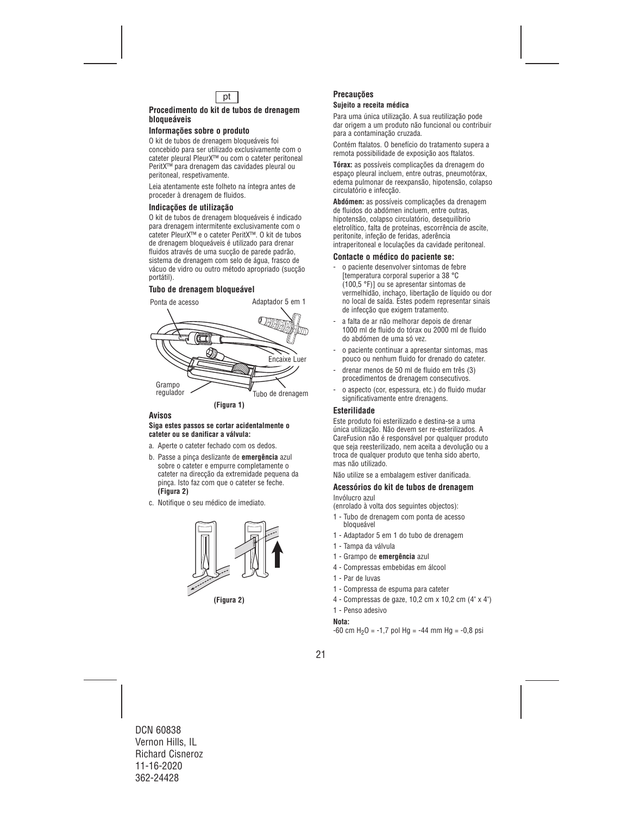

#### **Procedimento do kit de tubos de drenagem bloqueáveis**

#### **Informações sobre o produto**

O kit de tubos de drenagem bloqueáveis foi concebido para ser utilizado exclusivamente com o cateter pleural PleurX™ ou com o cateter peritoneal PeritX™ para drenagem das cavidades pleural ou peritoneal, respetivamente.

Leia atentamente este folheto na íntegra antes de proceder à drenagem de fluidos.

#### **Indicações de utilização**

O kit de tubos de drenagem bloqueáveis é indicado para drenagem intermitente exclusivamente com o cateter PleurX™ e o cateter PeritX™. O kit de tubos de drenagem bloqueáveis é utilizado para drenar fluidos através de uma sucção de parede padrão, sistema de drenagem com selo de água, frasco de vácuo de vidro ou outro método apropriado (sucção portátil).

## **Tubo de drenagem bloqueável**



### **Avisos**

#### **Siga estes passos se cortar acidentalmente o cateter ou se danificar a válvula:**

- a. Aperte o cateter fechado com os dedos.
- b. Passe a pinça deslizante de **emergência** azul sobre o cateter e empurre completamente o cateter na direcção da extremidade pequena da pinça. Isto faz com que o cateter se feche. **(Figura 2)**
- c. Notifique o seu médico de imediato.



**(Figura 2)** 

#### **Precauções Sujeito a receita médica**

Para uma única utilização. A sua reutilização pode dar origem a um produto não funcional ou contribuir para a contaminação cruzada.

Contém ftalatos. O benefício do tratamento supera a remota possibilidade de exposição aos ftalatos.

**Tórax:** as possíveis complicações da drenagem do espaço pleural incluem, entre outras, pneumotórax, edema pulmonar de reexpansão, hipotensão, colapso circulatório e infecção.

**Abdómen:** as possíveis complicações da drenagem de fluidos do abdómen incluem, entre outras, hipotensão, colapso circulatório, desequilíbrio eletrolítico, falta de proteínas, escorrência de ascite, peritonite, infeção de feridas, aderência intraperitoneal e loculações da cavidade peritoneal.

#### **Contacte o médico do paciente se:**

- o paciente desenvolver sintomas de febre [temperatura corporal superior a 38 °C (100,5 °F)] ou se apresentar sintomas de vermelhidão, inchaço, libertação de líquido ou dor no local de saída. Estes podem representar sinais de infecção que exigem tratamento.
- a falta de ar não melhorar depois de drenar 1000 ml de fluido do tórax ou 2000 ml de fluido do abdómen de uma só vez.
- o paciente continuar a apresentar sintomas, mas pouco ou nenhum fluido for drenado do cateter.
- drenar menos de 50 ml de fluido em três (3) procedimentos de drenagem consecutivos.
- o aspecto (cor, espessura, etc.) do fluido mudar significativamente entre drenagens.

### **Esterilidade**

Este produto foi esterilizado e destina-se a uma única utilização. Não devem ser re-esterilizados. A CareFusion não é responsável por qualquer produto que seja reesterilizado, nem aceita a devolução ou a troca de qualquer produto que tenha sido aberto, mas não utilizado.

Não utilize se a embalagem estiver danificada.

#### **Acessórios do kit de tubos de drenagem**  Invólucro azul

(enrolado à volta dos seguintes objectos):

- 1 Tubo de drenagem com ponta de acesso bloqueável
- 1 Adaptador 5 em 1 do tubo de drenagem
- 1 Tampa da válvula
- 1 Grampo de **emergência** azul
- 4 Compressas embebidas em álcool
- 1 Par de luvas
- 1 Compressa de espuma para cateter
- 4 Compressas de gaze, 10,2 cm x 10,2 cm (4" x 4")
- 1 Penso adesivo

#### **Nota:**

 $-60$  cm H<sub>2</sub>O =  $-1.7$  pol Hg =  $-44$  mm Hg =  $-0.8$  psi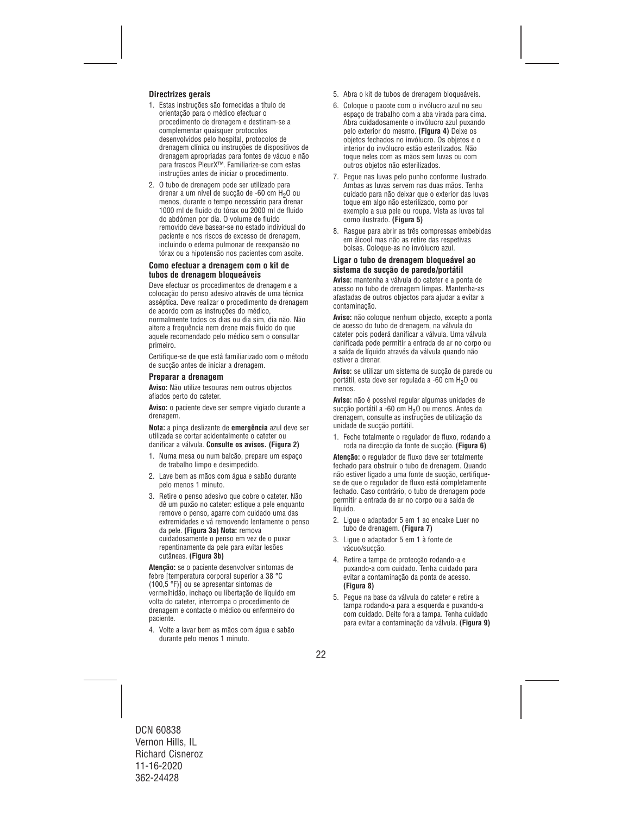## **Directrizes gerais**

- 1. Estas instruções são fornecidas a título de orientação para o médico efectuar o procedimento de drenagem e destinam-se a complementar quaisquer protocolos desenvolvidos pelo hospital, protocolos de drenagem clínica ou instruções de dispositivos de drenagem apropriadas para fontes de vácuo e não para frascos PleurX™. Familiarize-se com estas instruções antes de iniciar o procedimento.
- 2. O tubo de drenagem pode ser utilizado para drenar a um nível de sucção de -60 cm H2O ou menos, durante o tempo necessário para drenar 1000 ml de fluido do tórax ou 2000 ml de fluido do abdómen por dia. O volume de fluido removido deve basear-se no estado individual do paciente e nos riscos de excesso de drenagem, incluindo o edema pulmonar de reexpansão no tórax ou a hipotensão nos pacientes com ascite.

#### **Como efectuar a drenagem com o kit de tubos de drenagem bloqueáveis**

Deve efectuar os procedimentos de drenagem e a colocação do penso adesivo através de uma técnica asséptica. Deve realizar o procedimento de drenagem de acordo com as instruções do médico, normalmente todos os dias ou dia sim, dia não. Não altere a frequência nem drene mais fluido do que aquele recomendado pelo médico sem o consultar primeiro.

Certifique-se de que está familiarizado com o método de sucção antes de iniciar a drenagem.

#### **Preparar a drenagem**

**Aviso:** Não utilize tesouras nem outros objectos afiados perto do cateter.

**Aviso:** o paciente deve ser sempre vigiado durante a drenagem.

**Nota:** a pinça deslizante de **emergência** azul deve ser utilizada se cortar acidentalmente o cateter ou danificar a válvula. **Consulte os avisos. (Figura 2)**

- 1. Numa mesa ou num balcão, prepare um espaço de trabalho limpo e desimpedido.
- 2. Lave bem as mãos com água e sabão durante pelo menos 1 minuto.
- 3. Retire o penso adesivo que cobre o cateter. Não dê um puxão no cateter: estique a pele enquanto remove o penso, agarre com cuidado uma das extremidades e vá removendo lentamente o penso da pele. **(Figura 3a) Nota:** remova cuidadosamente o penso em vez de o puxar repentinamente da pele para evitar lesões cutâneas. **(Figura 3b)**

**Atenção:** se o paciente desenvolver sintomas de febre [temperatura corporal superior a 38 °C (100,5 °F)] ou se apresentar sintomas de vermelhidão, inchaço ou libertação de líquido em volta do cateter, interrompa o procedimento de drenagem e contacte o médico ou enfermeiro do paciente.

4. Volte a lavar bem as mãos com água e sabão durante pelo menos 1 minuto.

- 5. Abra o kit de tubos de drenagem bloqueáveis.
- 6. Coloque o pacote com o invólucro azul no seu espaço de trabalho com a aba virada para cima. Abra cuidadosamente o invólucro azul puxando pelo exterior do mesmo. **(Figura 4)** Deixe os objetos fechados no invólucro. Os objetos e o interior do invólucro estão esterilizados. Não toque neles com as mãos sem luvas ou com outros objetos não esterilizados.
- 7. Pegue nas luvas pelo punho conforme ilustrado. Ambas as luvas servem nas duas mãos. Tenha cuidado para não deixar que o exterior das luvas toque em algo não esterilizado, como por exemplo a sua pele ou roupa. Vista as luvas tal como ilustrado. **(Figura 5)**
- 8. Rasgue para abrir as três compressas embebidas em álcool mas não as retire das respetivas bolsas. Coloque-as no invólucro azul.

#### **Ligar o tubo de drenagem bloqueável ao sistema de sucção de parede/portátil**

**Aviso:** mantenha a válvula do cateter e a ponta de acesso no tubo de drenagem limpas. Mantenha-as afastadas de outros objectos para ajudar a evitar a contaminação.

**Aviso:** não coloque nenhum objecto, excepto a ponta de acesso do tubo de drenagem, na válvula do cateter pois poderá danificar a válvula. Uma válvula danificada pode permitir a entrada de ar no corpo ou a saída de líquido através da válvula quando não estiver a drenar.

**Aviso:** se utilizar um sistema de sucção de parede ou portátil, esta deve ser regulada a -60 cm H<sub>2</sub>O ou menos.

**Aviso:** não é possível regular algumas unidades de sucção portátil a -60 cm H<sub>2</sub>O ou menos. Antes da drenagem, consulte as instruções de utilização da unidade de sucção portátil.

1. Feche totalmente o regulador de fluxo, rodando a roda na direcção da fonte de sucção. **(Figura 6)**

**Atenção:** o regulador de fluxo deve ser totalmente fechado para obstruir o tubo de drenagem. Quando não estiver ligado a uma fonte de sucção, certifiquese de que o regulador de fluxo está completamente fechado. Caso contrário, o tubo de drenagem pode permitir a entrada de ar no corpo ou a saída de líquido.

- 2. Ligue o adaptador 5 em 1 ao encaixe Luer no tubo de drenagem. **(Figura 7)**
- 3. Ligue o adaptador 5 em 1 à fonte de vácuo/sucção.
- 4. Retire a tampa de protecção rodando-a e puxando-a com cuidado. Tenha cuidado para evitar a contaminação da ponta de acesso. **(Figura 8)**
- 5. Pegue na base da válvula do cateter e retire a tampa rodando-a para a esquerda e puxando-a com cuidado. Deite fora a tampa. Tenha cuidado para evitar a contaminação da válvula. **(Figura 9)**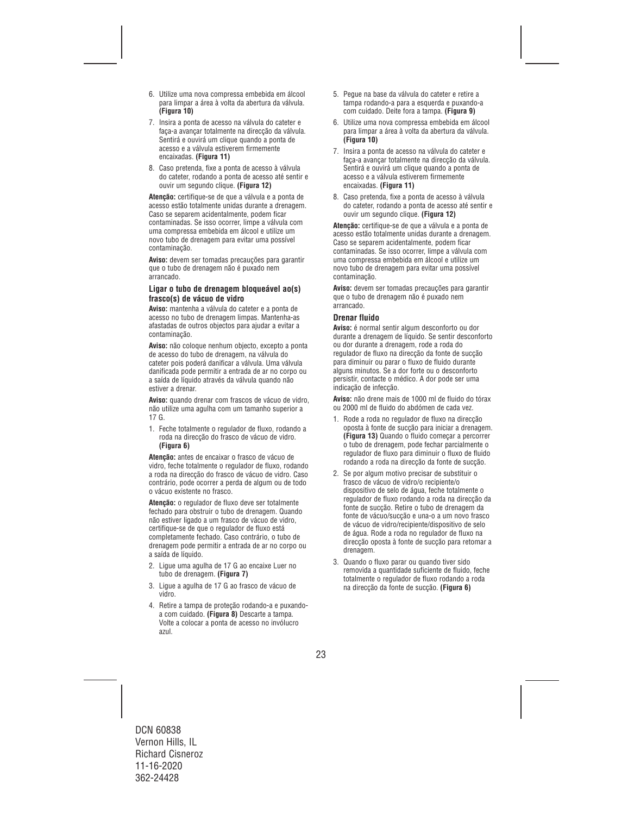- 6. Utilize uma nova compressa embebida em álcool para limpar a área à volta da abertura da válvula. **(Figura 10)**
- 7. Insira a ponta de acesso na válvula do cateter e faça-a avançar totalmente na direcção da válvula. Sentirá e ouvirá um clique quando a ponta de acesso e a válvula estiverem firmemente encaixadas. **(Figura 11)**
- 8. Caso pretenda, fixe a ponta de acesso à válvula do cateter, rodando a ponta de acesso até sentir e ouvir um segundo clique. **(Figura 12)**

**Atenção:** certifique-se de que a válvula e a ponta de acesso estão totalmente unidas durante a drenagem. Caso se separem acidentalmente, podem ficar contaminadas. Se isso ocorrer, limpe a válvula com uma compressa embebida em álcool e utilize um novo tubo de drenagem para evitar uma possível contaminação.

**Aviso:** devem ser tomadas precauções para garantir que o tubo de drenagem não é puxado nem arrancado.

#### **Ligar o tubo de drenagem bloqueável ao(s) frasco(s) de vácuo de vidro**

**Aviso:** mantenha a válvula do cateter e a ponta de acesso no tubo de drenagem limpas. Mantenha-as afastadas de outros objectos para ajudar a evitar a contaminação.

**Aviso:** não coloque nenhum objecto, excepto a ponta de acesso do tubo de drenagem, na válvula do cateter pois poderá danificar a válvula. Uma válvula danificada pode permitir a entrada de ar no corpo ou a saída de líquido através da válvula quando não estiver a drenar.

**Aviso:** quando drenar com frascos de vácuo de vidro, não utilize uma agulha com um tamanho superior a 17 G.

1. Feche totalmente o regulador de fluxo, rodando a roda na direcção do frasco de vácuo de vidro. **(Figura 6)** 

**Atenção:** antes de encaixar o frasco de vácuo de vidro, feche totalmente o regulador de fluxo, rodando a roda na direcção do frasco de vácuo de vidro. Caso contrário, pode ocorrer a perda de algum ou de todo o vácuo existente no frasco.

**Atenção:** o regulador de fluxo deve ser totalmente fechado para obstruir o tubo de drenagem. Quando não estiver ligado a um frasco de vácuo de vidro, certifique-se de que o regulador de fluxo está completamente fechado. Caso contrário, o tubo de drenagem pode permitir a entrada de ar no corpo ou a saída de líquido.

- 2. Ligue uma agulha de 17 G ao encaixe Luer no tubo de drenagem. **(Figura 7)**
- 3. Ligue a agulha de 17 G ao frasco de vácuo de vidro.
- 4. Retire a tampa de proteção rodando-a e puxandoa com cuidado. **(Figura 8)** Descarte a tampa. Volte a colocar a ponta de acesso no invólucro azul.
- 5. Pegue na base da válvula do cateter e retire a tampa rodando-a para a esquerda e puxando-a com cuidado. Deite fora a tampa. **(Figura 9)**
- 6. Utilize uma nova compressa embebida em álcool para limpar a área à volta da abertura da válvula. **(Figura 10)**
- 7. Insira a ponta de acesso na válvula do cateter e faça-a avançar totalmente na direcção da válvula. Sentirá e ouvirá um clique quando a ponta de acesso e a válvula estiverem firmemente encaixadas. **(Figura 11)**
- 8. Caso pretenda, fixe a ponta de acesso à válvula do cateter, rodando a ponta de acesso até sentir e ouvir um segundo clique. **(Figura 12)**

**Atenção:** certifique-se de que a válvula e a ponta de acesso estão totalmente unidas durante a drenagem. Caso se separem acidentalmente, podem ficar contaminadas. Se isso ocorrer, limpe a válvula com uma compressa embebida em álcool e utilize um novo tubo de drenagem para evitar uma possível contaminação.

**Aviso:** devem ser tomadas precauções para garantir que o tubo de drenagem não é puxado nem arrancado.

### **Drenar fluido**

**Aviso:** é normal sentir algum desconforto ou dor durante a drenagem de líquido. Se sentir desconforto ou dor durante a drenagem, rode a roda do regulador de fluxo na direcção da fonte de sucção para diminuir ou parar o fluxo de fluido durante alguns minutos. Se a dor forte ou o desconforto persistir, contacte o médico. A dor pode ser uma indicação de infecção.

**Aviso:** não drene mais de 1000 ml de fluido do tórax ou 2000 ml de fluido do abdómen de cada vez.

- 1. Rode a roda no regulador de fluxo na direcção oposta à fonte de sucção para iniciar a drenagem. **(Figura 13)** Quando o fluido começar a percorrer o tubo de drenagem, pode fechar parcialmente o regulador de fluxo para diminuir o fluxo de fluido rodando a roda na direcção da fonte de sucção.
- 2. Se por algum motivo precisar de substituir o frasco de vácuo de vidro/o recipiente/o dispositivo de selo de água, feche totalmente o regulador de fluxo rodando a roda na direcção da fonte de sucção. Retire o tubo de drenagem da fonte de vácuo/sucção e una-o a um novo frasco de vácuo de vidro/recipiente/dispositivo de selo de água. Rode a roda no regulador de fluxo na direcção oposta à fonte de sucção para retomar a drenagem.
- 3. Quando o fluxo parar ou quando tiver sido removida a quantidade suficiente de fluido, feche totalmente o regulador de fluxo rodando a roda na direcção da fonte de sucção. **(Figura 6)**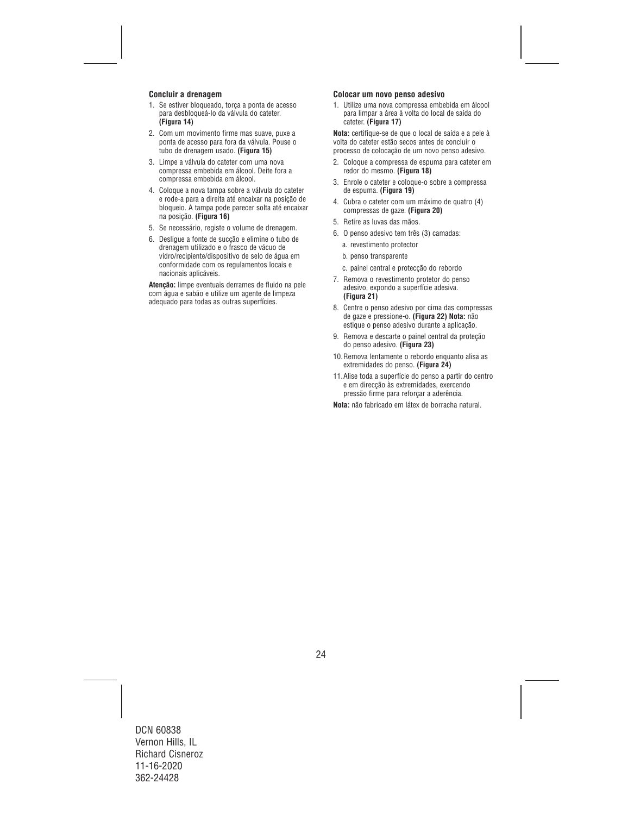#### **Concluir a drenagem**

- 1. Se estiver bloqueado, torça a ponta de acesso para desbloqueá-lo da válvula do cateter. **(Figura 14)**
- 2. Com um movimento firme mas suave, puxe a ponta de acesso para fora da válvula. Pouse o tubo de drenagem usado. **(Figura 15)**
- 3. Limpe a válvula do cateter com uma nova compressa embebida em álcool. Deite fora a compressa embebida em álcool.
- 4. Coloque a nova tampa sobre a válvula do cateter e rode-a para a direita até encaixar na posição de bloqueio. A tampa pode parecer solta até encaixar na posição. **(Figura 16)**
- 5. Se necessário, registe o volume de drenagem.
- 6. Desligue a fonte de sucção e elimine o tubo de drenagem utilizado e o frasco de vácuo de vidro/recipiente/dispositivo de selo de água em conformidade com os regulamentos locais e nacionais aplicáveis.

**Atenção:** limpe eventuais derrames de fluido na pele com água e sabão e utilize um agente de limpeza adequado para todas as outras superfícies.

#### **Colocar um novo penso adesivo**

1. Utilize uma nova compressa embebida em álcool para limpar a área à volta do local de saída do cateter. **(Figura 17)** 

**Nota:** certifique-se de que o local de saída e a pele à volta do cateter estão secos antes de concluir o processo de colocação de um novo penso adesivo.

- 2. Coloque a compressa de espuma para cateter em redor do mesmo. **(Figura 18)**
- 3. Enrole o cateter e coloque-o sobre a compressa de espuma. **(Figura 19)**
- 4. Cubra o cateter com um máximo de quatro (4) compressas de gaze. **(Figura 20)**
- 5. Retire as luvas das mãos.
- 6. O penso adesivo tem três (3) camadas:
	- a. revestimento protector
	- b. penso transparente
	- c. painel central e protecção do rebordo
- 7. Remova o revestimento protetor do penso adesivo, expondo a superfície adesiva. **(Figura 21)**
- 8. Centre o penso adesivo por cima das compressas de gaze e pressione-o. **(Figura 22) Nota:** não estique o penso adesivo durante a aplicação.
- 9. Remova e descarte o painel central da proteção do penso adesivo. **(Figura 23)**
- 10.Remova lentamente o rebordo enquanto alisa as extremidades do penso. **(Figura 24)**
- 11.Alise toda a superfície do penso a partir do centro e em direcção às extremidades, exercendo pressão firme para reforçar a aderência.

**Nota:** não fabricado em látex de borracha natural.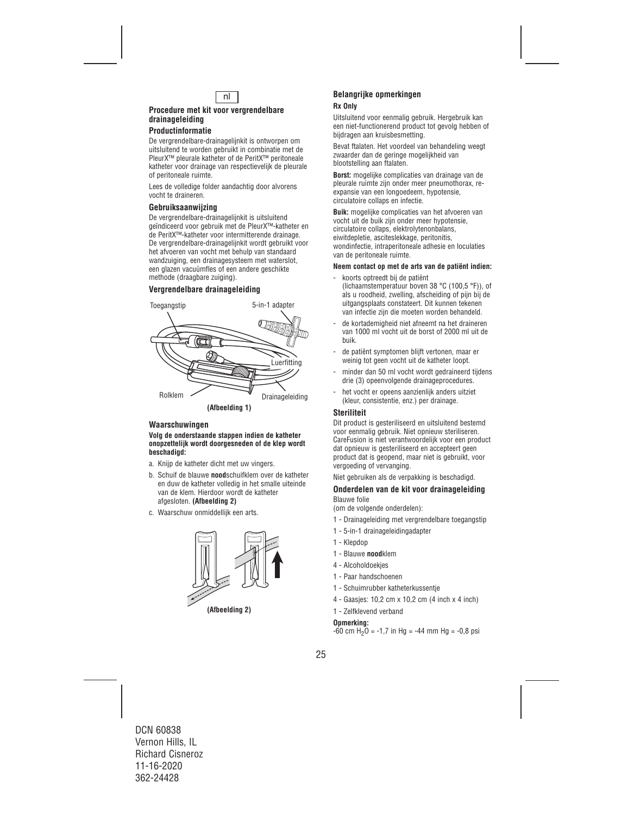

## **Procedure met kit voor vergrendelbare drainageleiding**

## **Productinformatie**

De vergrendelbare-drainagelijnkit is ontworpen om uitsluitend te worden gebruikt in combinatie met de PleurX™ pleurale katheter of de PeritX™ peritoneale katheter voor drainage van respectievelijk de pleurale of peritoneale ruimte.

Lees de volledige folder aandachtig door alvorens vocht te draineren.

#### **Gebruiksaanwijzing**

De vergrendelbare-drainagelijnkit is uitsluitend geïndiceerd voor gebruik met de PleurX™-katheter en de PeritX™-katheter voor intermitterende drainage. De vergrendelbare-drainagelijnkit wordt gebruikt voor het afvoeren van vocht met behulp van standaard wandzuiging, een drainagesysteem met waterslot, een glazen vacuümfles of een andere geschikte methode (draagbare zuiging).

## **Vergrendelbare drainageleiding**



### **Waarschuwingen**

#### **Volg de onderstaande stappen indien de katheter onopzettelijk wordt doorgesneden of de klep wordt beschadigd:**

- a. Knijp de katheter dicht met uw vingers.
- b. Schuif de blauwe **nood**schuifklem over de katheter en duw de katheter volledig in het smalle uiteinde van de klem. Hierdoor wordt de katheter afgesloten. **(Afbeelding 2)**
- c. Waarschuw onmiddellijk een arts.



**(Afbeelding 2)** 

### **Belangrijke opmerkingen Rx Only**

#### Uitsluitend voor eenmalig gebruik. Hergebruik kan een niet-functionerend product tot gevolg hebben of bijdragen aan kruisbesmetting.

Bevat ftalaten. Het voordeel van behandeling weegt zwaarder dan de geringe mogelijkheid van blootstelling aan ftalaten.

**Borst:** mogelijke complicaties van drainage van de pleurale ruimte zijn onder meer pneumothorax, reexpansie van een longoedeem, hypotensie, circulatoire collaps en infectie.

**Buik:** mogelijke complicaties van het afvoeren van vocht uit de buik zijn onder meer hypotensie, circulatoire collaps, elektrolytenonbalans, eiwitdepletie, asciteslekkage, peritonitis, wondinfectie, intraperitoneale adhesie en loculaties van de peritoneale ruimte.

#### **Neem contact op met de arts van de patiënt indien:**

- koorts optreedt bij de patiënt (lichaamstemperatuur boven 38 °C (100,5 °F)), of als u roodheid, zwelling, afscheiding of pijn bij de uitgangsplaats constateert. Dit kunnen tekenen van infectie zijn die moeten worden behandeld.
- de kortademigheid niet afneemt na het draineren van 1000 ml vocht uit de borst of 2000 ml uit de buik.
- de patiënt symptomen blijft vertonen, maar er weinig tot geen vocht uit de katheter loopt.
- minder dan 50 ml vocht wordt gedraineerd tijdens drie (3) opeenvolgende drainageprocedures.
- het vocht er opeens aanzienlijk anders uitziet (kleur, consistentie, enz.) per drainage.

### **Steriliteit**

Dit product is gesteriliseerd en uitsluitend bestemd voor eenmalig gebruik. Niet opnieuw steriliseren. CareFusion is niet verantwoordelijk voor een product dat opnieuw is gesteriliseerd en accepteert geen product dat is geopend, maar niet is gebruikt, voor vergoeding of vervanging.

Niet gebruiken als de verpakking is beschadigd.

#### **Onderdelen van de kit voor drainageleiding**  Blauwe folie

(om de volgende onderdelen):

- 1 Drainageleiding met vergrendelbare toegangstip
- 1 5-in-1 drainageleidingadapter
- 1 Klepdop
- 1 Blauwe **nood**klem
- 4 Alcoholdoekjes
- 1 Paar handschoenen
- 1 Schuimrubber katheterkussentje
- 4 Gaasjes: 10,2 cm x 10,2 cm (4 inch x 4 inch)
- 1 Zelfklevend verband

#### **Opmerking:**

 $-60$  cm H<sub>2</sub>O =  $-1,7$  in Hg =  $-44$  mm Hg =  $-0,8$  psi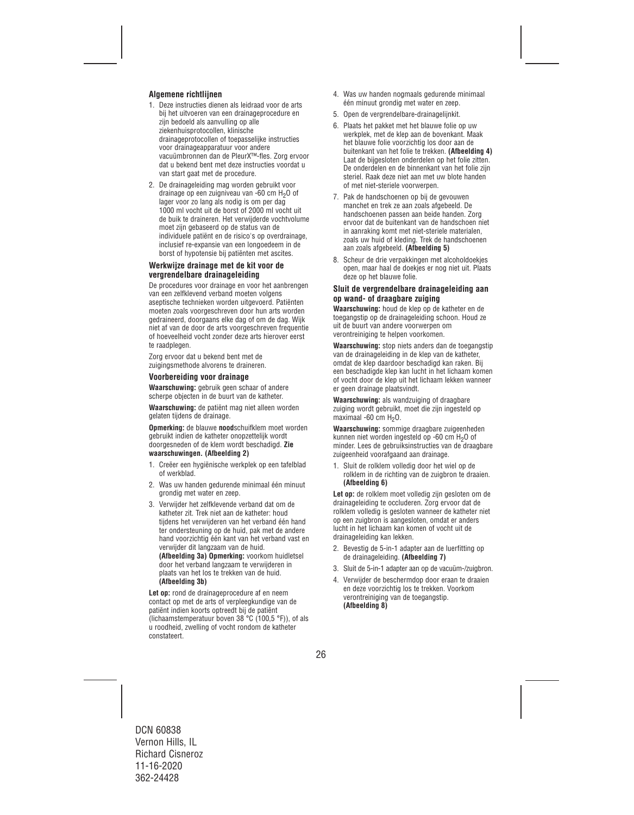## **Algemene richtlijnen**

- 1. Deze instructies dienen als leidraad voor de arts bij het uitvoeren van een drainageprocedure en zijn bedoeld als aanvulling op alle ziekenhuisprotocollen, klinische drainageprotocollen of toepasselijke instructies voor drainageapparatuur voor andere vacuümbronnen dan de PleurX™-fles. Zorg ervoor dat u bekend bent met deze instructies voordat u van start gaat met de procedure.
- 2. De drainageleiding mag worden gebruikt voor drainage op een zuigniveau van -60 cm H<sub>2</sub>O of lager voor zo lang als nodig is om per dag 1000 ml vocht uit de borst of 2000 ml vocht uit de buik te draineren. Het verwijderde vochtvolume moet zijn gebaseerd op de status van de individuele patiënt en de risico's op overdrainage, inclusief re-expansie van een longoedeem in de borst of hypotensie bij patiënten met ascites.

#### **Werkwijze drainage met de kit voor de vergrendelbare drainageleiding**

De procedures voor drainage en voor het aanbrengen van een zelfklevend verband moeten volgens aseptische technieken worden uitgevoerd. Patiënten moeten zoals voorgeschreven door hun arts worden gedraineerd, doorgaans elke dag of om de dag. Wijk niet af van de door de arts voorgeschreven frequentie of hoeveelheid vocht zonder deze arts hierover eerst te raadplegen.

Zorg ervoor dat u bekend bent met de zuigingsmethode alvorens te draineren.

#### **Voorbereiding voor drainage**

**Waarschuwing:** gebruik geen schaar of andere scherpe objecten in de buurt van de katheter.

**Waarschuwing:** de patiënt mag niet alleen worden gelaten tijdens de drainage.

**Opmerking:** de blauwe **nood**schuifklem moet worden gebruikt indien de katheter onopzettelijk wordt doorgesneden of de klem wordt beschadigd. **Zie waarschuwingen. (Afbeelding 2)** 

- 1. Creëer een hygiënische werkplek op een tafelblad of werkblad.
- 2. Was uw handen gedurende minimaal één minuut grondig met water en zeep.
- 3. Verwijder het zelfklevende verband dat om de katheter zit. Trek niet aan de katheter: houd tijdens het verwijderen van het verband één hand ter ondersteuning op de huid, pak met de andere hand voorzichtig één kant van het verband vast en verwijder dit langzaam van de huid.

**(Afbeelding 3a) Opmerking:** voorkom huidletsel door het verband langzaam te verwijderen in plaats van het los te trekken van de huid. **(Afbeelding 3b)**

**Let op:** rond de drainageprocedure af en neem contact op met de arts of verpleegkundige van de patiënt indien koorts optreedt bij de patiënt (lichaamstemperatuur boven 38 °C (100,5 °F)), of als u roodheid, zwelling of vocht rondom de katheter constateert.

- 4. Was uw handen nogmaals gedurende minimaal één minuut grondig met water en zeep.
- 5. Open de vergrendelbare-drainagelijnkit.
- 6. Plaats het pakket met het blauwe folie op uw werkplek, met de klep aan de bovenkant. Maak het blauwe folie voorzichtig los door aan de buitenkant van het folie te trekken. **(Afbeelding 4)** Laat de bijgesloten onderdelen op het folie zitten. De onderdelen en de binnenkant van het folie zijn steriel. Raak deze niet aan met uw blote handen of met niet-steriele voorwerpen.
- 7. Pak de handschoenen op bij de gevouwen manchet en trek ze aan zoals afgebeeld. De handschoenen passen aan beide handen. Zorg ervoor dat de buitenkant van de handschoen niet in aanraking komt met niet-steriele materialen, zoals uw huid of kleding. Trek de handschoenen aan zoals afgebeeld. **(Afbeelding 5)**
- 8. Scheur de drie verpakkingen met alcoholdoekjes open, maar haal de doekjes er nog niet uit. Plaats deze op het blauwe folie.

#### **Sluit de vergrendelbare drainageleiding aan op wand- of draagbare zuiging**

**Waarschuwing:** houd de klep op de katheter en de toegangstip op de drainageleiding schoon. Houd ze uit de buurt van andere voorwerpen om verontreiniging te helpen voorkomen.

**Waarschuwing:** stop niets anders dan de toegangstip van de drainageleiding in de klep van de katheter, omdat de klep daardoor beschadigd kan raken. Bij een beschadigde klep kan lucht in het lichaam komen of vocht door de klep uit het lichaam lekken wanneer er geen drainage plaatsvindt.

**Waarschuwing:** als wandzuiging of draagbare zuiging wordt gebruikt, moet die zijn ingesteld op maximaal -60 cm  $H_2O$ .

**Waarschuwing:** sommige draagbare zuigeenheden kunnen niet worden ingesteld op -60 cm H<sub>2</sub>O of minder. Lees de gebruiksinstructies van de draagbare zuigeenheid voorafgaand aan drainage.

1. Sluit de rolklem volledig door het wiel op de rolklem in de richting van de zuigbron te draaien. **(Afbeelding 6)**

Let op: de rolklem moet volledig zijn gesloten om de drainageleiding te occluderen. Zorg ervoor dat de rolklem volledig is gesloten wanneer de katheter niet op een zuigbron is aangesloten, omdat er anders lucht in het lichaam kan komen of vocht uit de drainageleiding kan lekken.

- 2. Bevestig de 5-in-1 adapter aan de luerfitting op de drainageleiding. **(Afbeelding 7)**
- 3. Sluit de 5-in-1 adapter aan op de vacuüm-/zuigbron.
- 4. Verwijder de beschermdop door eraan te draaien en deze voorzichtig los te trekken. Voorkom verontreiniging van de toegangstip. **(Afbeelding 8)**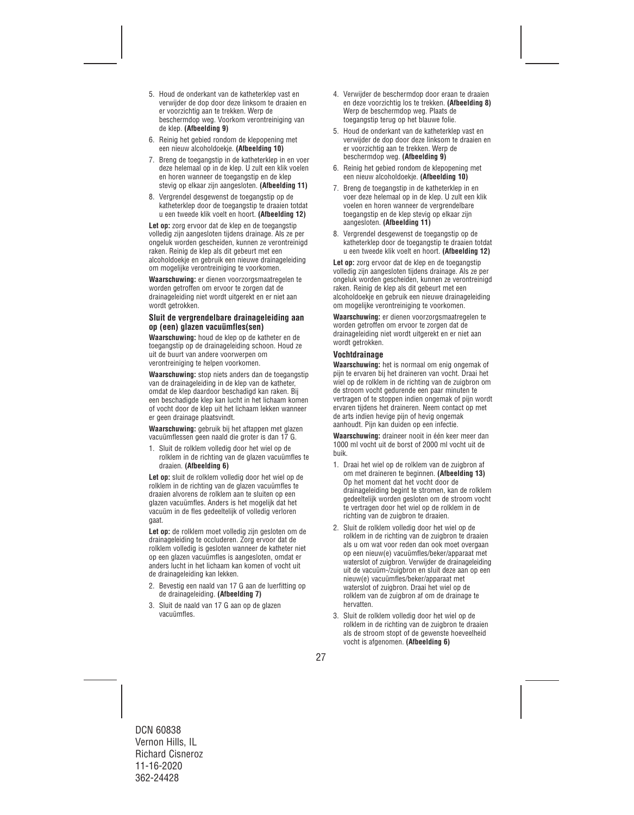- 5. Houd de onderkant van de katheterklep vast en verwijder de dop door deze linksom te draaien en er voorzichtig aan te trekken. Werp de beschermdop weg. Voorkom verontreiniging van de klep. **(Afbeelding 9)**
- 6. Reinig het gebied rondom de klepopening met een nieuw alcoholdoekje. **(Afbeelding 10)**
- 7. Breng de toegangstip in de katheterklep in en voer deze helemaal op in de klep. U zult een klik voelen en horen wanneer de toegangstip en de klep stevig op elkaar zijn aangesloten. **(Afbeelding 11)**
- 8. Vergrendel desgewenst de toegangstip op de katheterklep door de toegangstip te draaien totdat u een tweede klik voelt en hoort. **(Afbeelding 12)**

**Let op:** zorg ervoor dat de klep en de toegangstip volledig zijn aangesloten tijdens drainage. Als ze per ongeluk worden gescheiden, kunnen ze verontreinigd raken. Reinig de klep als dit gebeurt met een alcoholdoekje en gebruik een nieuwe drainageleiding om mogelijke verontreiniging te voorkomen.

**Waarschuwing:** er dienen voorzorgsmaatregelen te worden getroffen om ervoor te zorgen dat de drainageleiding niet wordt uitgerekt en er niet aan wordt getrokken.

#### **Sluit de vergrendelbare drainageleiding aan op (een) glazen vacuümfles(sen)**

**Waarschuwing:** houd de klep op de katheter en de toegangstip op de drainageleiding schoon. Houd ze uit de buurt van andere voorwerpen om verontreiniging te helpen voorkomen.

**Waarschuwing:** stop niets anders dan de toegangstip van de drainageleiding in de klep van de katheter, omdat de klep daardoor beschadigd kan raken. Bij een beschadigde klep kan lucht in het lichaam komen of vocht door de klep uit het lichaam lekken wanneer er geen drainage plaatsvindt.

**Waarschuwing:** gebruik bij het aftappen met glazen vacuümflessen geen naald die groter is dan 17 G.

1. Sluit de rolklem volledig door het wiel op de rolklem in de richting van de glazen vacuümfles te draaien. **(Afbeelding 6)** 

**Let op:** sluit de rolklem volledig door het wiel op de rolklem in de richting van de glazen vacuümfles te draaien alvorens de rolklem aan te sluiten op een glazen vacuümfles. Anders is het mogelijk dat het vacuüm in de fles gedeeltelijk of volledig verloren gaat.

**Let op:** de rolklem moet volledig zijn gesloten om de drainageleiding te occluderen. Zorg ervoor dat de rolklem volledig is gesloten wanneer de katheter niet op een glazen vacuümfles is aangesloten, omdat er anders lucht in het lichaam kan komen of vocht uit de drainageleiding kan lekken.

- 2. Bevestig een naald van 17 G aan de luerfitting op de drainageleiding. **(Afbeelding 7)**
- 3. Sluit de naald van 17 G aan op de glazen vacuümfles.
- 4. Verwijder de beschermdop door eraan te draaien en deze voorzichtig los te trekken. **(Afbeelding 8)** Werp de beschermdop weg. Plaats de toegangstip terug op het blauwe folie.
- 5. Houd de onderkant van de katheterklep vast en verwijder de dop door deze linksom te draaien en er voorzichtig aan te trekken. Werp de beschermdop weg. **(Afbeelding 9)**
- 6. Reinig het gebied rondom de klepopening met een nieuw alcoholdoekje. **(Afbeelding 10)**
- 7. Breng de toegangstip in de katheterklep in en voer deze helemaal op in de klep. U zult een klik voelen en horen wanneer de vergrendelbare toegangstip en de klep stevig op elkaar zijn aangesloten. **(Afbeelding 11)**
- 8. Vergrendel desgewenst de toegangstip op de katheterklep door de toegangstip te draaien totdat u een tweede klik voelt en hoort. **(Afbeelding 12)**

Let op: zorg ervoor dat de klep en de toegangstip volledig zijn aangesloten tijdens drainage. Als ze per ongeluk worden gescheiden, kunnen ze verontreinigd raken. Reinig de klep als dit gebeurt met een alcoholdoekje en gebruik een nieuwe drainageleiding om mogelijke verontreiniging te voorkomen.

**Waarschuwing:** er dienen voorzorgsmaatregelen te worden getroffen om ervoor te zorgen dat de drainageleiding niet wordt uitgerekt en er niet aan wordt getrokken.

#### **Vochtdrainage**

**Waarschuwing:** het is normaal om enig ongemak of pijn te ervaren bij het draineren van vocht. Draai het wiel op de rolklem in de richting van de zuigbron om de stroom vocht gedurende een paar minuten te vertragen of te stoppen indien ongemak of pijn wordt ervaren tijdens het draineren. Neem contact op met de arts indien hevige pijn of hevig ongemak aanhoudt. Pijn kan duiden op een infectie.

**Waarschuwing:** draineer nooit in één keer meer dan 1000 ml vocht uit de borst of 2000 ml vocht uit de buik.

- 1. Draai het wiel op de rolklem van de zuigbron af om met draineren te beginnen. **(Afbeelding 13)**  Op het moment dat het vocht door de drainageleiding begint te stromen, kan de rolklem gedeeltelijk worden gesloten om de stroom vocht te vertragen door het wiel op de rolklem in de richting van de zuigbron te draaien.
- 2. Sluit de rolklem volledig door het wiel op de rolklem in de richting van de zuigbron te draaien als u om wat voor reden dan ook moet overgaan op een nieuw(e) vacuümfles/beker/apparaat met waterslot of zuigbron. Verwijder de drainageleiding uit de vacuüm-/zuigbron en sluit deze aan op een nieuw(e) vacuümfles/beker/apparaat met waterslot of zuigbron. Draai het wiel op de rolklem van de zuigbron af om de drainage te hervatten.
- 3. Sluit de rolklem volledig door het wiel op de rolklem in de richting van de zuigbron te draaien als de stroom stopt of de gewenste hoeveelheid vocht is afgenomen. **(Afbeelding 6)**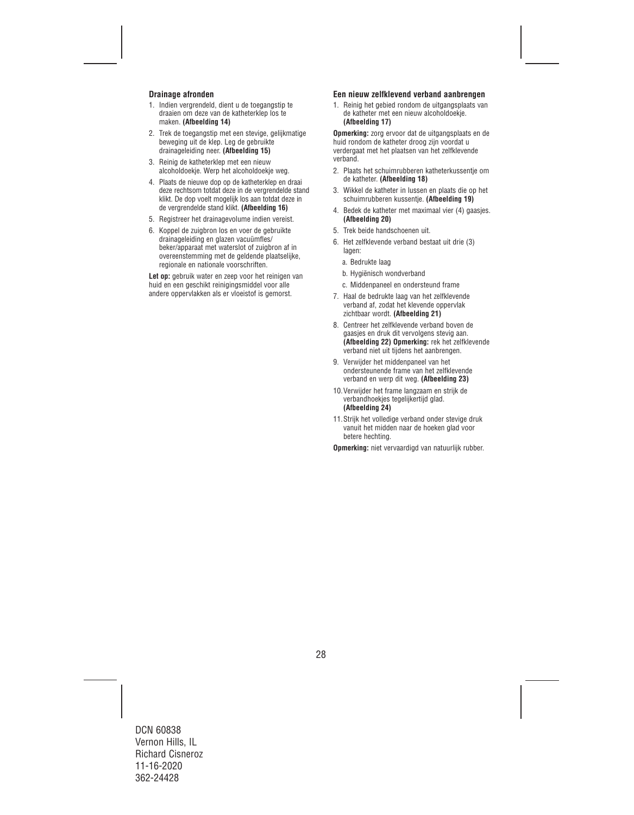### **Drainage afronden**

- 1. Indien vergrendeld, dient u de toegangstip te draaien om deze van de katheterklep los te maken. **(Afbeelding 14)**
- 2. Trek de toegangstip met een stevige, gelijkmatige beweging uit de klep. Leg de gebruikte drainageleiding neer. **(Afbeelding 15)**
- 3. Reinig de katheterklep met een nieuw alcoholdoekje. Werp het alcoholdoekje weg.
- 4. Plaats de nieuwe dop op de katheterklep en draai deze rechtsom totdat deze in de vergrendelde stand klikt. De dop voelt mogelijk los aan totdat deze in de vergrendelde stand klikt. **(Afbeelding 16)**
- 5. Registreer het drainagevolume indien vereist.
- 6. Koppel de zuigbron los en voer de gebruikte drainageleiding en glazen vacuümfles/ beker/apparaat met waterslot of zuigbron af in overeenstemming met de geldende plaatselijke, regionale en nationale voorschriften.

Let op: gebruik water en zeep voor het reinigen van huid en een geschikt reinigingsmiddel voor alle andere oppervlakken als er vloeistof is gemorst.

#### **Een nieuw zelfklevend verband aanbrengen**

1. Reinig het gebied rondom de uitgangsplaats van de katheter met een nieuw alcoholdoekje. **(Afbeelding 17)** 

**Opmerking:** zorg ervoor dat de uitgangsplaats en de huid rondom de katheter droog zijn voordat u verdergaat met het plaatsen van het zelfklevende verband.

- 2. Plaats het schuimrubberen katheterkussentje om de katheter. **(Afbeelding 18)**
- 3. Wikkel de katheter in lussen en plaats die op het schuimrubberen kussentje. **(Afbeelding 19)**
- 4. Bedek de katheter met maximaal vier (4) gaasjes. **(Afbeelding 20)**
- 5. Trek beide handschoenen uit.
- 6. Het zelfklevende verband bestaat uit drie (3) lagen:
	- a. Bedrukte laag
	- b. Hygiënisch wondverband
	- c. Middenpaneel en ondersteund frame
- 7. Haal de bedrukte laag van het zelfklevende verband af, zodat het klevende oppervlak zichtbaar wordt. **(Afbeelding 21)**
- 8. Centreer het zelfklevende verband boven de gaasjes en druk dit vervolgens stevig aan. **(Afbeelding 22) Opmerking:** rek het zelfklevende verband niet uit tijdens het aanbrengen.
- 9. Verwijder het middenpaneel van het ondersteunende frame van het zelfklevende verband en werp dit weg. **(Afbeelding 23)**
- 10.Verwijder het frame langzaam en strijk de verbandhoekjes tegelijkertijd glad. **(Afbeelding 24)**
- 11.Strijk het volledige verband onder stevige druk vanuit het midden naar de hoeken glad voor betere hechting.

**Opmerking:** niet vervaardigd van natuurlijk rubber.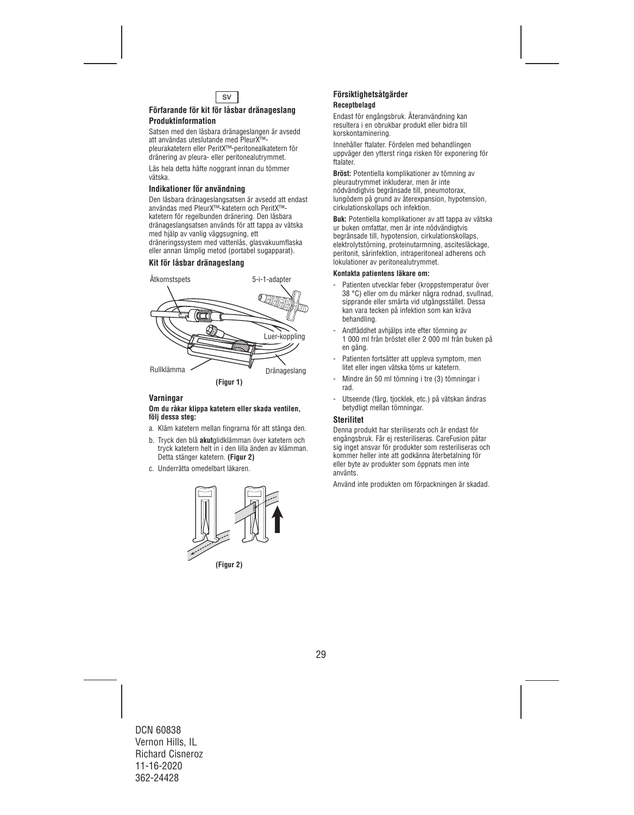

#### **Förfarande för kit för låsbar dränageslang Produktinformation**

Satsen med den låsbara dränageslangen är avsedd att användas uteslutande med PleurX™ pleurakatetern eller PeritX™-peritonealkatetern för dränering av pleura- eller peritonealutrymmet.

Läs hela detta häfte noggrant innan du tömmer vätska.

#### **Indikationer för användning**

Den låsbara dränageslangsatsen är avsedd att endast användas med PleurX™-katetern och PeritX™ katetern för regelbunden dränering. Den låsbara dränageslangsatsen används för att tappa av vätska med hjälp av vanlig väggsugning, ett dräneringssystem med vattenlås, glasvakuumflaska eller annan lämplig metod (portabel sugapparat).

## **Kit för låsbar dränageslang**



#### **Varningar**

#### **Om du råkar klippa katetern eller skada ventilen, följ dessa steg:**

- a. Kläm katetern mellan fingrarna för att stänga den.
- b. Tryck den blå **akut**glidklämman över katetern och tryck katetern helt in i den lilla änden av klämman. Detta stänger katetern. **(Figur 2)**
- c. Underrätta omedelbart läkaren.



## **Försiktighetsåtgärder Receptbelagd**

Endast för engångsbruk. Återanvändning kan resultera i en obrukbar produkt eller bidra till korskontaminering.

Innehåller ftalater. Fördelen med behandlingen uppväger den ytterst ringa risken för exponering för ftalater.

**Bröst:** Potentiella komplikationer av tömning av pleurautrymmet inkluderar, men är inte nödvändigtvis begränsade till, pneumotorax, lungödem på grund av återexpansion, hypotension, cirkulationskollaps och infektion.

**Buk:** Potentiella komplikationer av att tappa av vätska ur buken omfattar, men är inte nödvändigtvis begränsade till, hypotension, cirkulationskollaps, elektrolytstörning, proteinutarmning, ascitesläckage, peritonit, sårinfektion, intraperitoneal adherens och lokulationer av peritonealutrymmet.

#### **Kontakta patientens läkare om:**

- Patienten utvecklar feber (kroppstemperatur över 38 °C) eller om du märker några rodnad, svullnad, sipprande eller smärta vid utgångsstället. Dessa kan vara tecken på infektion som kan kräva behandling.
- Andfåddhet avhjälps inte efter tömning av 1 000 ml från bröstet eller 2 000 ml från buken på en gång.
- Patienten fortsätter att uppleva symptom, men litet eller ingen vätska töms ur katetern.
- Mindre än 50 ml tömning i tre (3) tömningar i rad.
- Utseende (färg, tjocklek, etc.) på vätskan ändras betydligt mellan tömningar.

#### **Sterilitet**

Denna produkt har steriliserats och är endast för engångsbruk. Får ej resteriliseras. CareFusion påtar sig inget ansvar för produkter som resteriliseras och kommer heller inte att godkänna återbetalning för eller byte av produkter som öppnats men inte använts.

Använd inte produkten om förpackningen är skadad.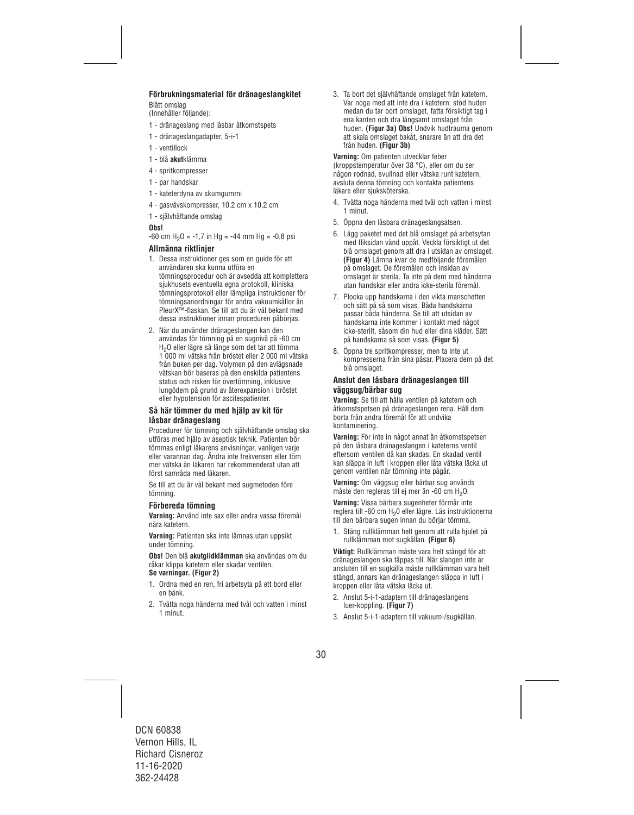## **Förbrukningsmaterial för dränageslangkitet**

Blått omslag

(Innehåller följande):

- 1 dränageslang med låsbar åtkomstspets
- 1 dränageslangadapter, 5-i-1
- 1 ventillock
- 1 blå **akut**klämma
- 4 spritkompresser
- 1 par handskar
- 1 kateterdyna av skumgummi
- 4 gasvävskompresser, 10,2 cm x 10,2 cm
- 1 självhäftande omslag

#### **Obs!**

 $-60$  cm H<sub>2</sub>O =  $-1.7$  in Hg =  $-44$  mm Hg =  $-0.8$  psi

## **Allmänna riktlinjer**

- 1. Dessa instruktioner ges som en guide för att användaren ska kunna utföra en tömningsprocedur och är avsedda att komplettera sjukhusets eventuella egna protokoll, kliniska tömningsprotokoll eller lämpliga instruktioner för tömningsanordningar för andra vakuumkällor än PleurX™-flaskan. Se till att du är väl bekant med dessa instruktioner innan proceduren påbörjas.
- 2. När du använder dränageslangen kan den användas för tömning på en sugnivå på -60 cm H2O eller lägre så länge som det tar att tömma 1 000 ml vätska från bröstet eller 2 000 ml vätska från buken per dag. Volymen på den avlägsnade vätskan bör baseras på den enskilda patientens status och risken för övertömning, inklusive lungödem på grund av återexpansion i bröstet eller hypotension för ascitespatienter.

#### **Så här tömmer du med hjälp av kit för låsbar dränageslang**

Procedurer för tömning och självhäftande omslag ska utföras med hjälp av aseptisk teknik. Patienten bör tömmas enligt läkarens anvisningar, vanligen varje eller varannan dag. Ändra inte frekvensen eller töm mer vätska än läkaren har rekommenderat utan att först samråda med läkaren.

Se till att du är väl bekant med sugmetoden före tömning.

### **Förbereda tömning**

**Varning:** Använd inte sax eller andra vassa föremål nära katetern.

**Varning:** Patienten ska inte lämnas utan uppsikt under tömning.

**Obs!** Den blå **akutglidklämman** ska användas om du råkar klippa katetern eller skadar ventilen. **Se varningar. (Figur 2)** 

- 1. Ordna med en ren, fri arbetsyta på ett bord eller en bänk.
- 2. Tvätta noga händerna med tvål och vatten i minst 1 minut.

3. Ta bort det självhäftande omslaget från katetern. Var noga med att inte dra i katetern: stöd huden medan du tar bort omslaget, fatta försiktigt tag i ena kanten och dra långsamt omslaget från huden. **(Figur 3a) Obs!** Undvik hudtrauma genom att skala omslaget bakåt, snarare än att dra det från huden. **(Figur 3b)**

**Varning:** Om patienten utvecklar feber (kroppstemperatur över 38 °C), eller om du ser någon rodnad, svullnad eller vätska runt katetern, avsluta denna tömning och kontakta patientens läkare eller siuksköterska.

- 4. Tvätta noga händerna med tvål och vatten i minst 1 minut.
- 5. Öppna den låsbara dränageslangsatsen.
- 6. Lägg paketet med det blå omslaget på arbetsytan med fliksidan vänd uppåt. Veckla försiktigt ut det blå omslaget genom att dra i utsidan av omslaget. **(Figur 4)** Lämna kvar de medföljande föremålen på omslaget. De föremålen och insidan av omslaget är sterila. Ta inte på dem med händerna utan handskar eller andra icke-sterila föremål.
- 7. Plocka upp handskarna i den vikta manschetten och sätt på så som visas. Båda handskarna passar båda händerna. Se till att utsidan av handskarna inte kommer i kontakt med något icke-sterilt, såsom din hud eller dina kläder. Sätt på handskarna så som visas. **(Figur 5)**
- 8. Öppna tre spritkompresser, men ta inte ut kompresserna från sina påsar. Placera dem på det blå omslaget.

### **Anslut den låsbara dränageslangen till väggsug/bärbar sug**

**Varning:** Se till att hålla ventilen på katetern och åtkomstspetsen på dränageslangen rena. Håll dem borta från andra föremål för att undvika kontaminering.

**Varning:** För inte in något annat än åtkomstspetsen på den låsbara dränageslangen i kateterns ventil eftersom ventilen då kan skadas. En skadad ventil kan släppa in luft i kroppen eller låta vätska läcka ut genom ventilen när tömning inte pågår.

**Varning:** Om väggsug eller bärbar sug används måste den regleras till ei mer än -60 cm H<sub>2</sub>O.

**Varning:** Vissa bärbara sugenheter förmår inte reglera till -60 cm H20 eller lägre. Läs instruktionerna till den bärbara sugen innan du börjar tömma.

1. Stäng rullklämman helt genom att rulla hjulet på rullklämman mot sugkällan. **(Figur 6)**

**Viktigt:** Rullklämman måste vara helt stängd för att dränageslangen ska täppas till. När slangen inte är ansluten till en sugkälla måste rullklämman vara helt stängd, annars kan dränageslangen släppa in luft i kroppen eller låta vätska läcka ut.

- 2. Anslut 5-i-1-adaptern till dränageslangens luer-koppling. **(Figur 7)**
- 3. Anslut 5-i-1-adaptern till vakuum-/sugkällan.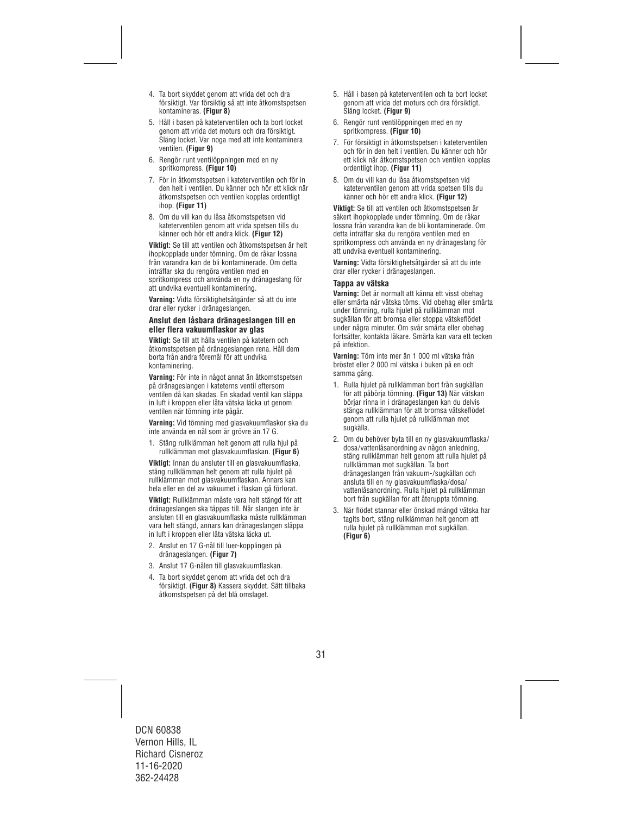- 4. Ta bort skyddet genom att vrida det och dra försiktigt. Var försiktig så att inte åtkomstspetsen kontamineras. **(Figur 8)**
- 5. Håll i basen på kateterventilen och ta bort locket genom att vrida det moturs och dra försiktigt. Släng locket. Var noga med att inte kontaminera ventilen. **(Figur 9)**
- 6. Rengör runt ventilöppningen med en ny spritkompress. **(Figur 10)**
- 7. För in åtkomstspetsen i kateterventilen och för in den helt i ventilen. Du känner och hör ett klick när åtkomstspetsen och ventilen kopplas ordentligt ihop. **(Figur 11)**
- 8. Om du vill kan du låsa åtkomstspetsen vid kateterventilen genom att vrida spetsen tills du känner och hör ett andra klick. **(Figur 12)**

**Viktigt:** Se till att ventilen och åtkomstspetsen är helt ihopkopplade under tömning. Om de råkar lossna från varandra kan de bli kontaminerade. Om detta inträffar ska du rengöra ventilen med en spritkompress och använda en ny dränageslang för att undvika eventuell kontaminering.

**Varning:** Vidta försiktighetsåtgärder så att du inte drar eller rycker i dränageslangen.

#### **Anslut den låsbara dränageslangen till en eller flera vakuumflaskor av glas**

**Viktigt:** Se till att hålla ventilen på katetern och åtkomstspetsen på dränageslangen rena. Håll dem borta från andra föremål för att undvika kontaminering.

**Varning:** För inte in något annat än åtkomstspetsen på dränageslangen i kateterns ventil eftersom ventilen då kan skadas. En skadad ventil kan släppa in luft i kroppen eller låta vätska läcka ut genom ventilen när tömning inte pågår.

**Varning:** Vid tömning med glasvakuumflaskor ska du inte använda en nål som är grövre än 17 G.

1. Stäng rullklämman helt genom att rulla hjul på rullklämman mot glasvakuumflaskan. **(Figur 6)** 

**Viktigt:** Innan du ansluter till en glasvakuumflaska, stäng rullklämman helt genom att rulla hjulet på rullklämman mot glasvakuumflaskan. Annars kan hela eller en del av vakuumet i flaskan gå förlorat.

**Viktigt:** Rullklämman måste vara helt stängd för att dränageslangen ska täppas till. När slangen inte är ansluten till en glasvakuumflaska måste rullklämman vara helt stängd, annars kan dränageslangen släppa in luft i kroppen eller låta vätska läcka ut.

- 2. Anslut en 17 G-nål till luer-kopplingen på dränageslangen. **(Figur 7)**
- 3. Anslut 17 G-nålen till glasvakuumflaskan.
- 4. Ta bort skyddet genom att vrida det och dra försiktigt. **(Figur 8)** Kassera skyddet. Sätt tillbaka åtkomstspetsen på det blå omslaget.
- 5. Håll i basen på kateterventilen och ta bort locket genom att vrida det moturs och dra försiktigt. Släng locket. **(Figur 9)**
- 6. Rengör runt ventilöppningen med en ny spritkompress. **(Figur 10)**
- 7. För försiktigt in åtkomstspetsen i kateterventilen och för in den helt i ventilen. Du känner och hör ett klick när åtkomstspetsen och ventilen kopplas ordentligt ihop. **(Figur 11)**
- 8. Om du vill kan du låsa åtkomstspetsen vid kateterventilen genom att vrida spetsen tills du känner och hör ett andra klick. **(Figur 12)**

**Viktigt:** Se till att ventilen och åtkomstspetsen är säkert ihopkopplade under tömning. Om de råkar lossna från varandra kan de bli kontaminerade. Om detta inträffar ska du rengöra ventilen med en spritkompress och använda en ny dränageslang för att undvika eventuell kontaminering.

**Varning:** Vidta försiktighetsåtgärder så att du inte drar eller rycker i dränageslangen.

#### **Tappa av vätska**

**Varning:** Det är normalt att känna ett visst obehag eller smärta när vätska töms. Vid obehag eller smärta under tömning, rulla hjulet på rullklämman mot sugkällan för att bromsa eller stoppa vätskeflödet under några minuter. Om svår smärta eller obehag fortsätter, kontakta läkare. Smärta kan vara ett tecken på infektion.

**Varning:** Töm inte mer än 1 000 ml vätska från bröstet eller 2 000 ml vätska i buken på en och samma gång.

- 1. Rulla hjulet på rullklämman bort från sugkällan för att påbörja tömning. **(Figur 13)** När vätskan börjar rinna in i dränageslangen kan du delvis stänga rullklämman för att bromsa vätskeflödet genom att rulla hjulet på rullklämman mot sugkälla.
- 2. Om du behöver byta till en ny glasvakuumflaska/ dosa/vattenlåsanordning av någon anledning, stäng rullklämman helt genom att rulla hjulet på rullklämman mot sugkällan. Ta bort dränageslangen från vakuum-/sugkällan och ansluta till en ny glasvakuumflaska/dosa/ vattenlåsanordning. Rulla hjulet på rullklämman bort från sugkällan för att återuppta tömning.
- 3. När flödet stannar eller önskad mängd vätska har tagits bort, stäng rullklämman helt genom att rulla hjulet på rullklämman mot sugkällan. **(Figur 6)**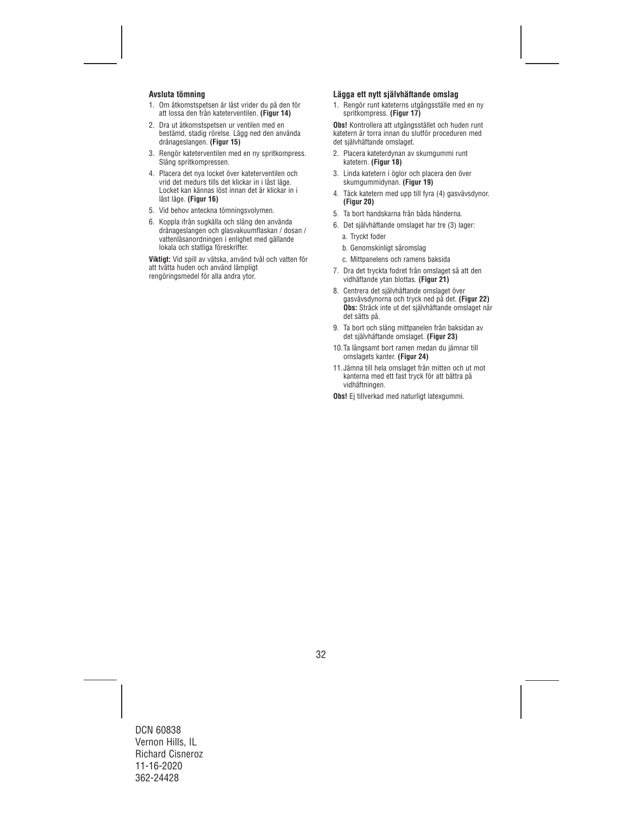## **Avsluta tömning**

- 1. Om åtkomstspetsen är låst vrider du på den för att lossa den från kateterventilen. **(Figur 14)**
- 2. Dra ut åtkomstspetsen ur ventilen med en bestämd, stadig rörelse. Lägg ned den använda dränageslangen. **(Figur 15)**
- 3. Rengör kateterventilen med en ny spritkompress. Släng spritkompressen.
- 4. Placera det nya locket över kateterventilen och vrid det medurs tills det klickar in i låst läge. Locket kan kännas löst innan det är klickar in i låst läge. **(Figur 16)**
- 5. Vid behov anteckna tömningsvolymen.
- 6. Koppla ifrån sugkälla och släng den använda dränageslangen och glasvakuumflaskan / dosan / vattenlåsanordningen i enlighet med gällande lokala och statliga föreskrifter.

**Viktigt:** Vid spill av vätska, använd tvål och vatten för att tvätta huden och använd lämpligt rengöringsmedel för alla andra ytor.

#### **Lägga ett nytt självhäftande omslag**

1. Rengör runt kateterns utgångsställe med en ny spritkompress. **(Figur 17)** 

**Obs!** Kontrollera att utgångsstället och huden runt katetern är torra innan du slutför proceduren med det självhäftande omslaget.

- 2. Placera kateterdynan av skumgummi runt katetern. **(Figur 18)**
- 3. Linda katetern i öglor och placera den över skumgummidynan. **(Figur 19)**
- 4. Täck katetern med upp till fyra (4) gasvävsdynor. **(Figur 20)**
- 5. Ta bort handskarna från båda händerna.
- 6. Det självhäftande omslaget har tre (3) lager:
	- a. Tryckt foder
	- b. Genomskinligt såromslag
	- c. Mittpanelens och ramens baksida
- 7. Dra det tryckta fodret från omslaget så att den vidhäftande ytan blottas. **(Figur 21)**
- 8. Centrera det självhäftande omslaget över gasvävsdynorna och tryck ned på det. **(Figur 22) Obs:** Sträck inte ut det självhäftande omslaget när det sätts på.
- 9. Ta bort och släng mittpanelen från baksidan av det självhäftande omslaget. **(Figur 23)**
- 10.Ta långsamt bort ramen medan du jämnar till omslagets kanter. **(Figur 24)**
- 11.Jämna till hela omslaget från mitten och ut mot kanterna med ett fast tryck för att bättra på vidhäftningen.

**Obs!** Ei tillverkad med naturligt latexgummi.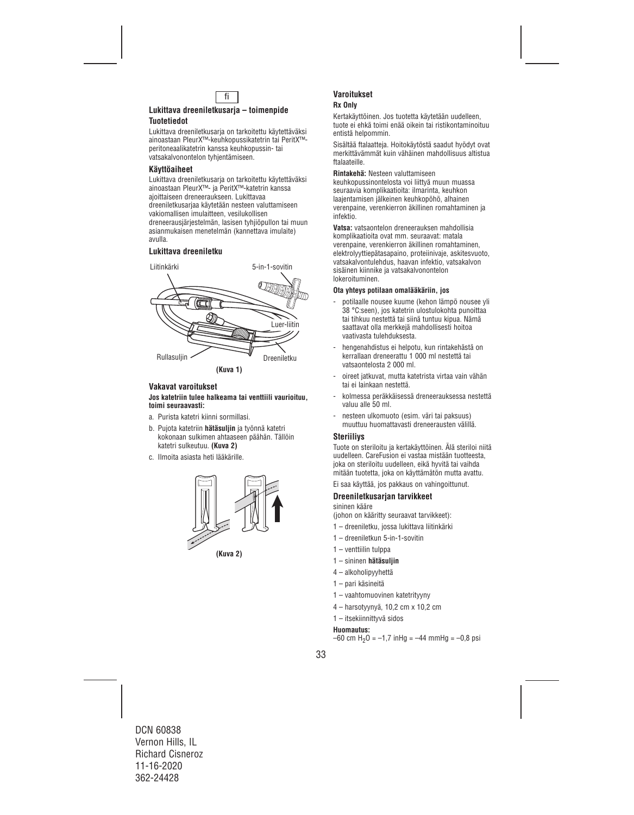

## **Lukittava dreeniletkusarja – toimenpide Tuotetiedot**

Lukittava dreeniletkusaria on tarkoitettu käytettäväksi ainoastaan PleurX™-keuhkopussikatetrin tai PeritX™ peritoneaalikatetrin kanssa keuhkopussin- tai vatsakalvonontelon tyhjentämiseen.

## **Käyttöaiheet**

Lukittava dreeniletkusaria on tarkoitettu käytettäväksi ainoastaan PleurX™- ja PeritX™-katetrin kanssa ajoittaiseen dreneeraukseen. Lukittavaa dreeniletkusarjaa käytetään nesteen valuttamiseen vakiomallisen imulaitteen, vesilukollisen dreneerausjärjestelmän, lasisen tyhjiöpullon tai muun asianmukaisen menetelmän (kannettava imulaite) avulla.

## **Lukittava dreeniletku**



**(Kuva 1)** 

## **Vakavat varoitukset**

#### **Jos katetriin tulee halkeama tai venttiili vaurioituu, toimi seuraavasti:**

- a. Purista katetri kiinni sormillasi.
- b. Pujota katetriin **hätäsuljin** ja työnnä katetri kokonaan sulkimen ahtaaseen päähän. Tällöin katetri sulkeutuu. **(Kuva 2)**
- c. Ilmoita asiasta heti lääkärille.





## **Varoitukset Rx Only**

Kertakäyttöinen. Jos tuotetta käytetään uudelleen, tuote ei ehkä toimi enää oikein tai ristikontaminoituu entistä helpommin.

Sisältää ftalaatteja. Hoitokäytöstä saadut hyödyt ovat merkittävämmät kuin vähäinen mahdollisuus altistua ftalaateille.

**Rintakehä:** Nesteen valuttamiseen

keuhkopussinontelosta voi liittyä muun muassa seuraavia komplikaatioita: ilmarinta, keuhkon laajentamisen jälkeinen keuhkopöhö, alhainen verenpaine, verenkierron äkillinen romahtaminen ja infektio.

**Vatsa:** vatsaontelon dreneerauksen mahdollisia komplikaatioita ovat mm. seuraavat: matala verenpaine, verenkierron äkillinen romahtaminen, elektrolyyttiepätasapaino, proteiinivaje, askitesvuoto, vatsakalvontulehdus, haavan infektio, vatsakalvon sisäinen kiinnike ja vatsakalvonontelon lokeroituminen.

#### **Ota yhteys potilaan omalääkäriin, jos**

- potilaalle nousee kuume (kehon lämpö nousee yli 38 °C:seen), jos katetrin ulostulokohta punoittaa tai tihkuu nestettä tai siinä tuntuu kipua. Nämä saattavat olla merkkejä mahdollisesti hoitoa vaativasta tulehduksesta.
- hengenahdistus ei helpotu, kun rintakehästä on kerrallaan dreneerattu 1 000 ml nestettä tai vatsaontelosta 2 000 ml.
- oireet jatkuvat, mutta katetrista virtaa vain vähän tai ei lainkaan nestettä.
- kolmessa peräkkäisessä dreneerauksessa nestettä valuu alle 50 ml.
- nesteen ulkomuoto (esim. väri tai paksuus) muuttuu huomattavasti dreneerausten välillä.

## **Steriiliys**

Tuote on steriloitu ja kertakäyttöinen. Älä steriloi niitä uudelleen. CareFusion ei vastaa mistään tuotteesta, joka on steriloitu uudelleen, eikä hyvitä tai vaihda mitään tuotetta, joka on käyttämätön mutta avattu.

Ei saa käyttää, jos pakkaus on vahingoittunut.

### **Dreeniletkusarjan tarvikkeet**

#### sininen kääre

(johon on kääritty seuraavat tarvikkeet):

- 1 dreeniletku, jossa lukittava liitinkärki
- 1 dreeniletkun 5-in-1-sovitin
- 1 venttiilin tulppa
- 1 sininen **hätäsuljin**
- 4 alkoholipyyhettä
- 1 pari käsineitä
- 1 vaahtomuovinen katetrityyny
- 4 harsotyynyä, 10,2 cm x 10,2 cm
- 1 itsekiinnittyvä sidos

#### **Huomautus:**

 $-60$  cm H<sub>2</sub>O =  $-1,7$  inHg =  $-44$  mmHg =  $-0,8$  psi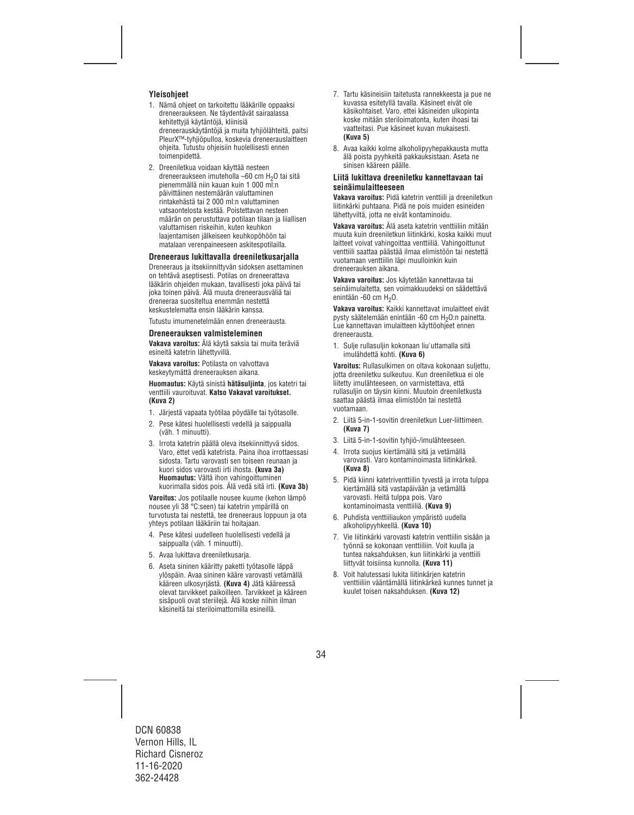## **Yleisohjeet**

- 1. Nämä ohjeet on tarkoitettu lääkärille oppaaksi dreneeraukseen. Ne täydentävät sairaalassa kehitettyjä käytäntöjä, kliinisiä dreneerauskäytäntöjä ja muita tyhjiölähteitä, paitsi PleurX™-tyhjiöpulloa, koskevia dreneerauslaitteen ohjeita. Tutustu ohjeisiin huolellisesti ennen toimenpidettä.
- 2. Dreeniletkua voidaan käyttää nesteen dreneeraukseen imuteholla –60 cm H2O tai sitä pienemmällä niin kauan kuin 1 000 ml:n päivittäinen nestemäärän valuttaminen rintakehästä tai 2 000 ml:n valuttaminen vatsaontelosta kestää. Poistettavan nesteen määrän on perustuttava potilaan tilaan ja liiallisen valuttamisen riskeihin, kuten keuhkon laajentamisen jälkeiseen keuhkopöhöön tai matalaan verenpaineeseen askitespotilailla.

### **Dreneeraus lukittavalla dreeniletkusarjalla**

Dreneeraus ja itsekiinnittyvän sidoksen asettaminen on tehtävä aseptisesti. Potilas on dreneerattava lääkärin ohjeiden mukaan, tavallisesti joka päivä tai joka toinen päivä. Älä muuta dreneerausväliä tai dreneeraa suositeltua enemmän nestettä keskustelematta ensin lääkärin kanssa.

Tutustu imumenetelmään ennen dreneerausta.

#### **Dreneerauksen valmisteleminen**

**Vakava varoitus:** Älä käytä saksia tai muita teräviä esineitä katetrin lähettyvillä.

**Vakava varoitus:** Potilasta on valvottava keskeytymättä dreneerauksen aikana.

**Huomautus:** Käytä sinistä **hätäsuljinta**, jos katetri tai venttiili vauroituvat. **Katso Vakavat varoitukset. (Kuva 2)**

- 1. Järjestä vapaata työtilaa pöydälle tai työtasolle.
- 2. Pese kätesi huolellisesti vedellä ja saippualla (väh. 1 minuutti).
- 3. Irrota katetrin päällä oleva itsekiinnittyvä sidos. Varo, ettet vedä katetrista. Paina ihoa irrottaessasi sidosta. Tartu varovasti sen toiseen reunaan ja kuori sidos varovasti irti ihosta. **(kuva 3a) Huomautus:** Vältä ihon vahingoittuminen kuorimalla sidos pois. Älä vedä sitä irti. **(Kuva 3b)**

**Varoitus:** Jos potilaalle nousee kuume (kehon lämpö nousee yli 38 °C:seen) tai katetrin ympärillä on turvotusta tai nestettä, tee dreneeraus loppuun ja ota yhteys potilaan lääkäriin tai hoitajaan.

- 4. Pese kätesi uudelleen huolellisesti vedellä ja saippualla (väh. 1 minuutti).
- 5. Avaa lukittava dreeniletkusarja.
- 6. Aseta sininen kääritty paketti työtasolle läppä ylöspäin. Avaa sininen kääre varovasti vetämällä kääreen ulkosyrjästä. **(Kuva 4)** Jätä kääreessä olevat tarvikkeet paikoilleen. Tarvikkeet ja kääreen sisäpuoli ovat steriilejä. Älä koske niihin ilman käsineitä tai steriloimattomilla esineillä.
- 7. Tartu käsineisiin taitetusta rannekkeesta ja pue ne kuvassa esitetyllä tavalla. Käsineet eivät ole käsikohtaiset. Varo, ettei käsineiden ulkopinta koske mitään steriloimatonta, kuten ihoasi tai vaatteitasi. Pue käsineet kuvan mukaisesti. **(Kuva 5)**
- 8. Avaa kaikki kolme alkoholipyyhepakkausta mutta älä poista pyyhkeitä pakkauksistaan. Aseta ne sinisen kääreen päälle.

#### **Liitä lukittava dreeniletku kannettavaan tai seinäimulaitteeseen**

**Vakava varoitus:** Pidä katetrin venttiili ja dreeniletkun liitinkärki puhtaana. Pidä ne pois muiden esineiden lähettyviltä, jotta ne eivät kontaminoidu.

**Vakava varoitus:** Älä aseta katetrin venttiiliin mitään muuta kuin dreeniletkun liitinkärki, koska kaikki muut laitteet voivat vahingoittaa venttiiliä. Vahingoittunut venttiili saattaa päästää ilmaa elimistöön tai nestettä vuotamaan venttiilin läpi muulloinkin kuin dreneerauksen aikana.

**Vakava varoitus:** Jos käytetään kannettavaa tai seinäimulaitetta, sen voimakkuudeksi on säädettävä enintään -60 cm H<sub>2</sub>O.

**Vakava varoitus:** Kaikki kannettavat imulaitteet eivät pysty säätelemään enintään -60 cm H<sub>2</sub>O:n painetta. Lue kannettavan imulaitteen käyttöohjeet ennen dreneerausta.

1. Sulje rullasuljin kokonaan liu'uttamalla sitä imulähdettä kohti. **(Kuva 6)**

**Varoitus:** Rullasulkimen on oltava kokonaan suljettu, jotta dreeniletku sulkeutuu. Kun dreeniletkua ei ole liitetty imulähteeseen, on varmistettava, että rullasuljin on täysin kiinni. Muutoin dreeniletkusta saattaa päästä ilmaa elimistöön tai nestettä vuotamaan.

- 2. Liitä 5-in-1-sovitin dreeniletkun Luer-liittimeen. **(Kuva 7)**
- 3. Liitä 5-in-1-sovitin tyhjiö-/imulähteeseen.
- 4. Irrota suojus kiertämällä sitä ja vetämällä varovasti. Varo kontaminoimasta liitinkärkeä. **(Kuva 8)**
- 5. Pidä kiinni katetriventtiilin tyvestä ja irrota tulppa kiertämällä sitä vastapäivään ja vetämällä varovasti. Heitä tulppa pois. Varo kontaminoimasta venttiiliä. **(Kuva 9)**
- 6. Puhdista venttiiliaukon ympäristö uudella alkoholipyyhkeellä. **(Kuva 10)**
- 7. Vie liitinkärki varovasti katetrin venttiilin sisään ja työnnä se kokonaan venttiiliin. Voit kuulla ja tuntea naksahduksen, kun liitinkärki ja venttiili liittyvät toisiinsa kunnolla. **(Kuva 11)**
- 8. Voit halutessasi lukita liitinkärjen katetrin venttiiliin vääntämällä liitinkärkeä kunnes tunnet ja kuulet toisen naksahduksen. **(Kuva 12)**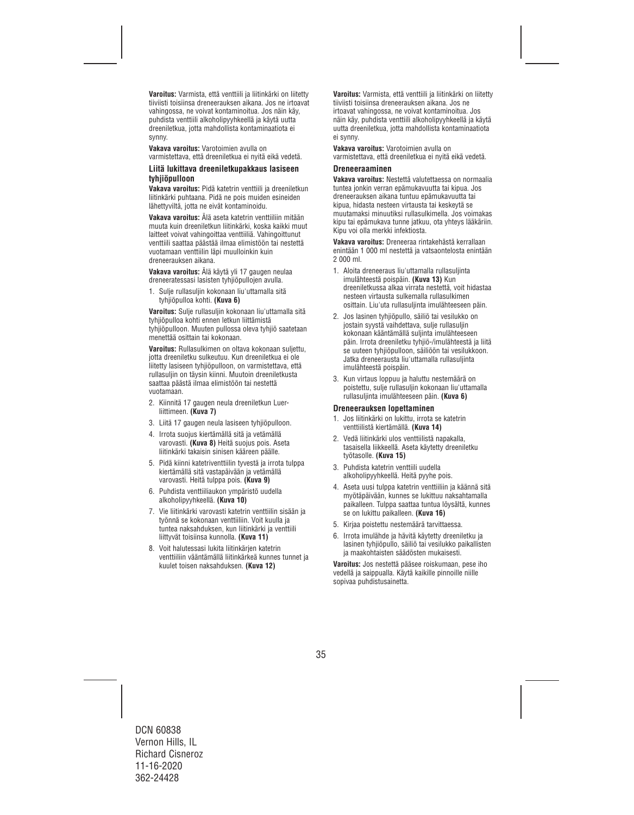**Varoitus:** Varmista, että venttiili ja liitinkärki on liitetty tiiviisti toisiinsa dreneerauksen aikana. Jos ne irtoavat vahingossa, ne voivat kontaminoitua. Jos näin käy, puhdista venttiili alkoholipyyhkeellä ja käytä uutta dreeniletkua, jotta mahdollista kontaminaatiota ei synny.

**Vakava varoitus:** Varotoimien avulla on varmistettava, että dreeniletkua ei nyitä eikä vedetä.

#### **Liitä lukittava dreeniletkupakkaus lasiseen tyhjiöpulloon**

**Vakava varoitus:** Pidä katetrin venttiili ja dreeniletkun liitinkärki puhtaana. Pidä ne pois muiden esineiden lähettyviltä, jotta ne eivät kontaminoidu.

**Vakava varoitus:** Älä aseta katetrin venttiiliin mitään muuta kuin dreeniletkun liitinkärki, koska kaikki muut laitteet voivat vahingoittaa venttiiliä. Vahingoittunut venttiili saattaa päästää ilmaa elimistöön tai nestettä vuotamaan venttiilin läpi muulloinkin kuin dreneerauksen aikana.

**Vakava varoitus:** Älä käytä yli 17 gaugen neulaa dreneeratessasi lasisten tyhjiöpullojen avulla.

1. Sulje rullasuljin kokonaan liu'uttamalla sitä tyhjiöpulloa kohti. **(Kuva 6)** 

**Varoitus:** Sulje rullasuljin kokonaan liu'uttamalla sitä tyhjiöpulloa kohti ennen letkun liittämistä tyhjiöpulloon. Muuten pullossa oleva tyhjiö saatetaan menettää osittain tai kokonaan.

**Varoitus:** Rullasulkimen on oltava kokonaan suljettu, jotta dreeniletku sulkeutuu. Kun dreeniletkua ei ole liitetty lasiseen tyhjiöpulloon, on varmistettava, että rullasuljin on täysin kiinni. Muutoin dreeniletkusta saattaa päästä ilmaa elimistöön tai nestettä vuotamaan.

- 2. Kiinnitä 17 gaugen neula dreeniletkun Luerliittimeen. **(Kuva 7)**
- 3. Liitä 17 gaugen neula lasiseen tyhjiöpulloon.
- 4. Irrota suojus kiertämällä sitä ja vetämällä varovasti. **(Kuva 8)** Heitä suojus pois. Aseta liitinkärki takaisin sinisen kääreen päälle.
- 5. Pidä kiinni katetriventtiilin tyvestä ja irrota tulppa kiertämällä sitä vastapäivään ja vetämällä varovasti. Heitä tulppa pois. **(Kuva 9)**
- 6. Puhdista venttiiliaukon ympäristö uudella alkoholipyyhkeellä. **(Kuva 10)**
- 7. Vie liitinkärki varovasti katetrin venttiilin sisään ja työnnä se kokonaan venttiiliin. Voit kuulla ja tuntea naksahduksen, kun liitinkärki ja venttiili liittyvät toisiinsa kunnolla. **(Kuva 11)**
- 8. Voit halutessasi lukita liitinkärjen katetrin venttiiliin vääntämällä liitinkärkeä kunnes tunnet ja kuulet toisen naksahduksen. **(Kuva 12)**

**Varoitus:** Varmista, että venttiili ja liitinkärki on liitetty tiiviisti toisiinsa dreneerauksen aikana. Jos ne irtoavat vahingossa, ne voivat kontaminoitua. Jos näin käy, puhdista venttiili alkoholipyyhkeellä ja käytä uutta dreeniletkua, jotta mahdollista kontaminaatiota ei synny.

**Vakava varoitus:** Varotoimien avulla on varmistettava, että dreeniletkua ei nyitä eikä vedetä.

#### **Dreneeraaminen**

**Vakava varoitus:** Nestettä valutettaessa on normaalia tuntea jonkin verran epämukavuutta tai kipua. Jos dreneerauksen aikana tuntuu epämukavuutta tai kipua, hidasta nesteen virtausta tai keskeytä se muutamaksi minuutiksi rullasulkimella. Jos voimakas kipu tai epämukava tunne jatkuu, ota yhteys lääkäriin. Kipu voi olla merkki infektiosta.

**Vakava varoitus:** Dreneeraa rintakehästä kerrallaan enintään 1 000 ml nestettä ja vatsaontelosta enintään 2 000 ml.

- 1. Aloita dreneeraus liu'uttamalla rullasuljinta imulähteestä poispäin. **(Kuva 13)** Kun dreeniletkussa alkaa virrata nestettä, voit hidastaa nesteen virtausta sulkemalla rullasulkimen osittain. Liu'uta rullasuljinta imulähteeseen päin.
- 2. Jos lasinen tyhjiöpullo, säiliö tai vesilukko on jostain syystä vaihdettava, sulje rullasuljin kokonaan kääntämällä suljinta imulähteeseen päin. Irrota dreeniletku tyhjiö-/imulähteestä ja liitä se uuteen tyhjiöpulloon, säiliöön tai vesilukkoon. Jatka dreneerausta liu'uttamalla rullasuljinta imulähteestä poispäin.
- 3. Kun virtaus loppuu ja haluttu nestemäärä on poistettu, sulje rullasuljin kokonaan liu'uttamalla rullasuljinta imulähteeseen päin. **(Kuva 6)**

#### **Dreneerauksen lopettaminen**

- 1. Jos liitinkärki on lukittu, irrota se katetrin venttiilistä kiertämällä. **(Kuva 14)**
- 2. Vedä liitinkärki ulos venttiilistä napakalla, tasaisella liikkeellä. Aseta käytetty dreeniletku työtasolle. **(Kuva 15)**
- 3. Puhdista katetrin venttiili uudella alkoholipyyhkeellä. Heitä pyyhe pois.
- 4. Aseta uusi tulppa katetrin venttiiliin ja käännä sitä myötäpäivään, kunnes se lukittuu naksahtamalla paikalleen. Tulppa saattaa tuntua löysältä, kunnes se on lukittu paikalleen. **(Kuva 16)**
- 5. Kirjaa poistettu nestemäärä tarvittaessa.
- 6. Irrota imulähde ja hävitä käytetty dreeniletku ja lasinen tyhjiöpullo, säiliö tai vesilukko paikallisten ja maakohtaisten säädösten mukaisesti.

**Varoitus:** Jos nestettä pääsee roiskumaan, pese iho vedellä ja saippualla. Käytä kaikille pinnoille niille sopivaa puhdistusainetta.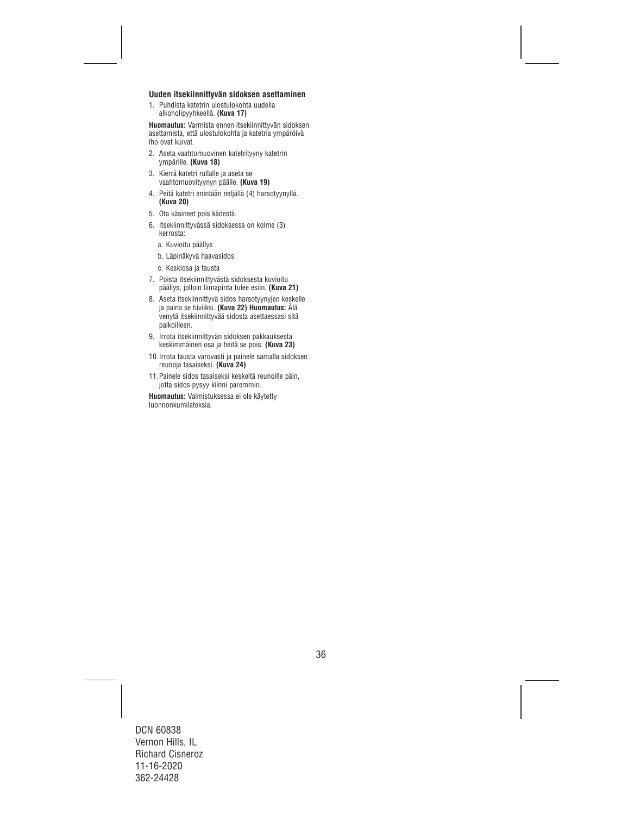#### **Uuden itsekiinnittyvän sidoksen asettaminen**

1. Puhdista katetrin ulostulokohta uudella alkoholipyyhkeellä. **(Kuva 17)** 

**Huomautus:** Varmista ennen itsekiinnittyvän sidoksen asettamista, että ulostulokohta ja katetria ympäröivä iho ovat kuivat.

- 2. Aseta vaahtomuovinen katetrityyny katetrin ympärille. **(Kuva 18)**
- 3. Kierrä katetri rullalle ja aseta se vaahtomuovityynyn päälle. **(Kuva 19)**
- 4. Peitä katetri enintään neljällä (4) harsotyynyllä. **(Kuva 20)**
- 5. Ota käsineet pois kädestä.
- 6. Itsekiinnittyvässä sidoksessa on kolme (3) kerrosta:
	- a. Kuvioitu päällys
	- b. Läpinäkyvä haavasidos
	- c. Keskiosa ja tausta
- 7. Poista itsekiinnittyvästä sidoksesta kuvioitu päällys, jolloin liimapinta tulee esiin. **(Kuva 21)**
- 8. Aseta itsekiinnittyvä sidos harsotyynyjen keskelle ja paina se tiiviiksi. **(Kuva 22) Huomautus:** Älä venytä itsekiinnittyvää sidosta asettaessasi sitä paikoilleen.
- 9. Irrota itsekiinnittyvän sidoksen pakkauksesta keskimmäinen osa ja heitä se pois. **(Kuva 23)**
- 10.Irrota tausta varovasti ja painele samalla sidoksen reunoja tasaiseksi. **(Kuva 24)**
- 11.Painele sidos tasaiseksi keskeltä reunoille päin, jotta sidos pysyy kiinni paremmin.

**Huomautus:** Valmistuksessa ei ole käytetty luonnonkumilateksia.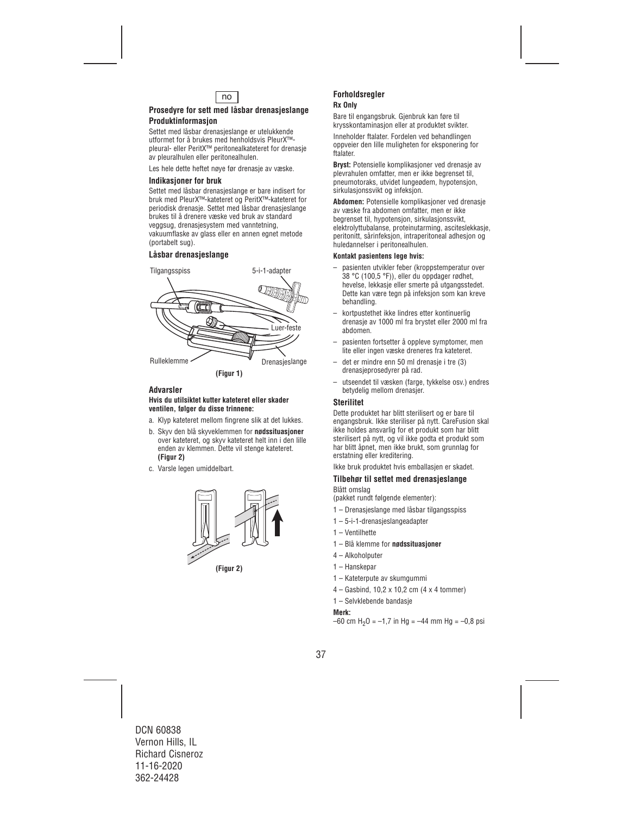

## **Prosedyre for sett med låsbar drenasjeslange Produktinformasjon**

Settet med låsbar drenasjeslange er utelukkende utformet for å brukes med henholdsvis PleurX™ pleural- eller PeritX™ peritonealkateteret for drenasje av pleuralhulen eller peritonealhulen.

Les hele dette heftet nøye før drenasje av væske.

### **Indikasjoner for bruk**

Settet med låsbar drenasjeslange er bare indisert for bruk med PleurX™-kateteret og PeritX™-kateteret for periodisk drenasje. Settet med låsbar drenasjeslange brukes til å drenere væske ved bruk av standard veggsug, drenasjesystem med vanntetning, vakuumflaske av glass eller en annen egnet metode (portabelt sug).

### **Låsbar drenasjeslange**



### **Advarsler**

#### **Hvis du utilsiktet kutter kateteret eller skader ventilen, følger du disse trinnene:**

- a. Klyp kateteret mellom fingrene slik at det lukkes.
- b. Skyv den blå skyveklemmen for **nødssituasjoner** over kateteret, og skyv kateteret helt inn i den lille enden av klemmen. Dette vil stenge kateteret. **(Figur 2)**
- c. Varsle legen umiddelbart.



**(Figur 2)** 

#### **Forholdsregler Rx Only**

Bare til engangsbruk. Gjenbruk kan føre til krysskontaminasjon eller at produktet svikter.

Inneholder ftalater. Fordelen ved behandlingen oppveier den lille muligheten for eksponering for ftalater.

**Bryst:** Potensielle komplikasjoner ved drenasje av plevrahulen omfatter, men er ikke begrenset til, pneumotoraks, utvidet lungeødem, hypotensjon, sirkulasjonssvikt og infeksjon.

**Abdomen:** Potensielle komplikasjoner ved drenasje av væske fra abdomen omfatter, men er ikke begrenset til, hypotensjon, sirkulasjonssvikt, elektrolyttubalanse, proteinutarming, asciteslekkasje, peritonitt, sårinfeksjon, intraperitoneal adhesjon og huledannelser i peritonealhulen.

#### **Kontakt pasientens lege hvis:**

- pasienten utvikler feber (kroppstemperatur over 38 °C (100,5 °F)), eller du oppdager rødhet, hevelse, lekkasje eller smerte på utgangsstedet. Dette kan være tegn på infeksjon som kan kreve behandling.
- kortpustethet ikke lindres etter kontinuerlig drenasje av 1000 ml fra brystet eller 2000 ml fra abdomen.
- pasienten fortsetter å oppleve symptomer, men lite eller ingen væske dreneres fra kateteret.
- det er mindre enn 50 ml drenasje i tre (3) drenasjeprosedyrer på rad.
- utseendet til væsken (farge, tykkelse osv.) endres betydelig mellom drenasjer.

#### **Sterilitet**

Dette produktet har blitt sterilisert og er bare til engangsbruk. Ikke steriliser på nytt. CareFusion skal ikke holdes ansvarlig for et produkt som har blitt sterilisert på nytt, og vil ikke godta et produkt som har blitt åpnet, men ikke brukt, som grunnlag for erstatning eller kreditering.

Ikke bruk produktet hvis emballasjen er skadet.

## **Tilbehør til settet med drenasjeslange**

Blått omslag (pakket rundt følgende elementer):

- 1 Drenasjeslange med låsbar tilgangsspiss
- 1 5-i-1-drenasjeslangeadapter
- 1 Ventilhette
- 1 Blå klemme for **nødssituasjoner**
- 4 Alkoholputer
- 1 Hanskepar
- 1 Kateterpute av skumgummi
- 4 Gasbind, 10,2 x 10,2 cm (4 x 4 tommer)
- 1 Selvklebende bandasje

#### **Merk:**

 $-60$  cm H<sub>2</sub>O =  $-1.7$  in Hg =  $-44$  mm Hg =  $-0.8$  psi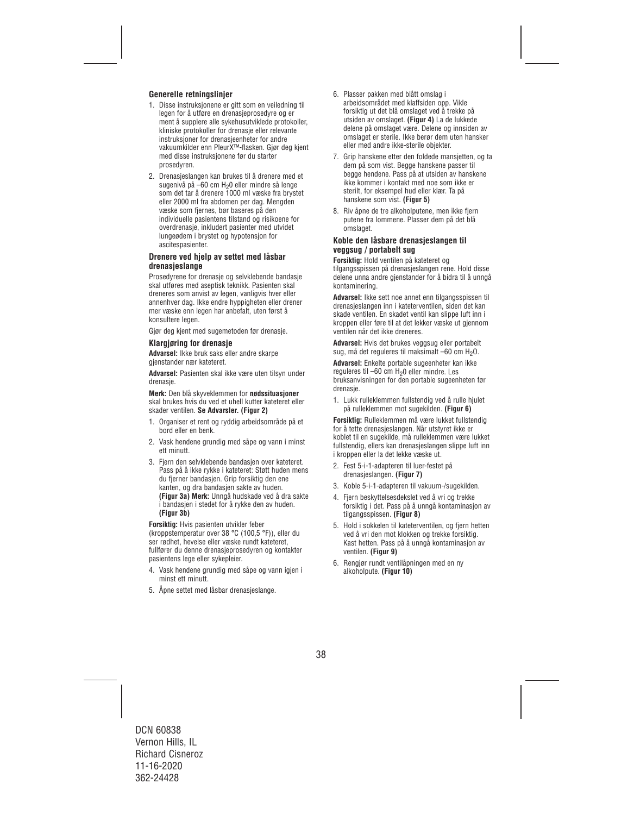## **Generelle retningslinjer**

- 1. Disse instruksjonene er gitt som en veiledning til legen for å utføre en drenasjeprosedyre og er ment å supplere alle sykehusutviklede protokoller, kliniske protokoller for drenasje eller relevante instruksjoner for drenasjeenheter for andre vakuumkilder enn PleurX™-flasken. Gjør deg kjent med disse instruksjonene før du starter prosedyren.
- 2. Drenasjeslangen kan brukes til å drenere med et sugenivå på –60 cm H<sub>2</sub>0 eller mindre så lenge som det tar å drenere 1000 ml væske fra brystet eller 2000 ml fra abdomen per dag. Mengden væske som fjernes, bør baseres på den individuelle pasientens tilstand og risikoene for overdrenasje, inkludert pasienter med utvidet lungeødem i brystet og hypotensjon for ascitespasienter.

### **Drenere ved hjelp av settet med låsbar drenasjeslange**

Prosedyrene for drenasje og selvklebende bandasje skal utføres med aseptisk teknikk. Pasienten skal dreneres som anvist av legen, vanligvis hver eller annenhver dag. Ikke endre hyppigheten eller drener mer væske enn legen har anbefalt, uten først å konsultere legen.

Gjør deg kjent med sugemetoden før drenasje.

#### **Klargjøring for drenasje**

**Advarsel:** Ikke bruk saks eller andre skarpe gjenstander nær kateteret.

**Advarsel:** Pasienten skal ikke være uten tilsyn under drenasie.

**Merk:** Den blå skyveklemmen for **nødssituasjoner** skal brukes hvis du ved et uhell kutter kateteret eller skader ventilen. **Se Advarsler. (Figur 2)**

- 1. Organiser et rent og ryddig arbeidsområde på et bord eller en benk.
- 2. Vask hendene grundig med såpe og vann i minst ett minutt.
- 3. Fiern den selvklebende bandasien over kateteret. Pass på å ikke rykke i kateteret: Støtt huden mens du fierner bandasien. Grip forsiktig den ene kanten, og dra bandasjen sakte av huden. **(Figur 3a) Merk:** Unngå hudskade ved å dra sakte i bandasjen i stedet for å rykke den av huden. **(Figur 3b)**

**Forsiktig:** Hvis pasienten utvikler feber (kroppstemperatur over 38 °C (100,5 °F)), eller du ser rødhet, hevelse eller væske rundt kateteret, fullfører du denne drenasjeprosedyren og kontakter pasientens lege eller sykepleier.

- 4. Vask hendene grundig med såpe og vann igjen i minst ett minutt.
- 5. Åpne settet med låsbar drenasjeslange.
- 6. Plasser pakken med blått omslag i arbeidsområdet med klaffsiden opp. Vikle forsiktig ut det blå omslaget ved å trekke på utsiden av omslaget. **(Figur 4)** La de lukkede delene på omslaget være. Delene og innsiden av omslaget er sterile. Ikke berør dem uten hansker eller med andre ikke-sterile objekter.
- 7. Grip hanskene etter den foldede mansjetten, og ta dem på som vist. Begge hanskene passer til begge hendene. Pass på at utsiden av hanskene ikke kommer i kontakt med noe som ikke er sterilt, for eksempel hud eller klær. Ta på hanskene som vist. **(Figur 5)**
- 8. Riv åpne de tre alkoholputene, men ikke fjern putene fra lommene. Plasser dem på det blå omslaget.

#### **Koble den låsbare drenasjeslangen til veggsug / portabelt sug**

**Forsiktig:** Hold ventilen på kateteret og tilgangsspissen på drenasjeslangen rene. Hold disse delene unna andre gjenstander for å bidra til å unngå kontaminering.

**Advarsel:** Ikke sett noe annet enn tilgangsspissen til drenasjeslangen inn i kateterventilen, siden det kan skade ventilen. En skadet ventil kan slippe luft inn i kroppen eller føre til at det lekker væske ut gjennom ventilen når det ikke dreneres.

**Advarsel:** Hvis det brukes veggsug eller portabelt sug, må det reguleres til maksimalt  $-60$  cm  $H<sub>2</sub>O$ .

**Advarsel:** Enkelte portable sugeenheter kan ikke reguleres til –60 cm H<sub>2</sub>0 eller mindre. Les bruksanvisningen for den portable sugeenheten før drenasie.

1. Lukk rulleklemmen fullstendig ved å rulle hjulet på rulleklemmen mot sugekilden. **(Figur 6)**

**Forsiktig:** Rulleklemmen må være lukket fullstendig for å tette drenasjeslangen. Når utstyret ikke er koblet til en sugekilde, må rulleklemmen være lukket fullstendig, ellers kan drenasjeslangen slippe luft inn i kroppen eller la det lekke væske ut.

- 2. Fest 5-i-1-adapteren til luer-festet på drenasjeslangen. **(Figur 7)**
- 3. Koble 5-i-1-adapteren til vakuum-/sugekilden.
- 4. Fjern beskyttelsesdekslet ved å vri og trekke forsiktig i det. Pass på å unngå kontaminasjon av tilgangsspissen. **(Figur 8)**
- 5. Hold i sokkelen til kateterventilen, og fjern hetten ved å vri den mot klokken og trekke forsiktig. Kast hetten. Pass på å unngå kontaminasjon av ventilen. **(Figur 9)**
- 6. Rengjør rundt ventilåpningen med en ny alkoholpute. **(Figur 10)**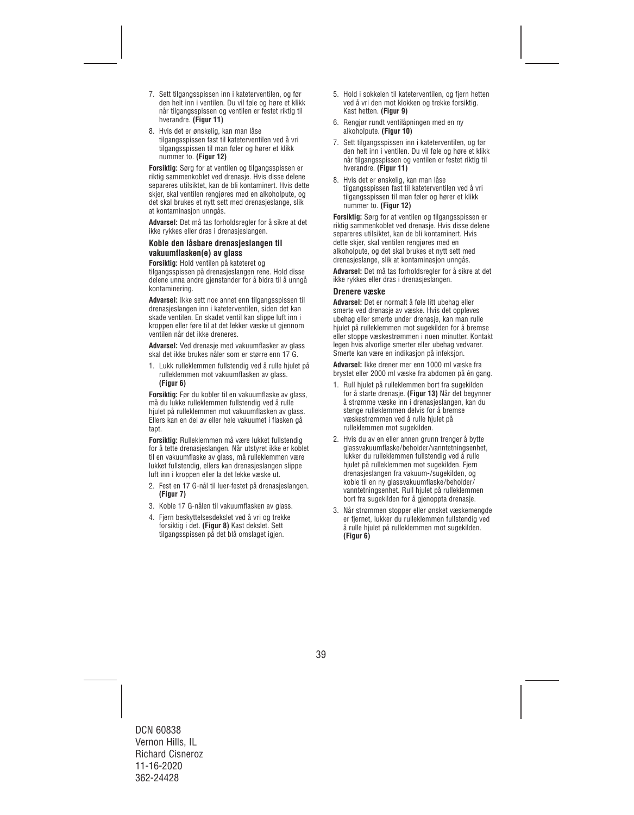- 7. Sett tilgangsspissen inn i kateterventilen, og før den helt inn i ventilen. Du vil føle og høre et klikk når tilgangsspissen og ventilen er festet riktig til hverandre. **(Figur 11)**
- 8. Hvis det er ønskelig, kan man låse tilgangsspissen fast til kateterventilen ved å vri tilgangsspissen til man føler og hører et klikk nummer to. **(Figur 12)**

**Forsiktig:** Sørg for at ventilen og tilgangsspissen er riktig sammenkoblet ved drenasje. Hvis disse delene separeres utilsiktet, kan de bli kontaminert. Hvis dette skjer, skal ventilen rengjøres med en alkoholpute, og det skal brukes et nytt sett med drenasjeslange, slik at kontaminasjon unngås.

**Advarsel:** Det må tas forholdsregler for å sikre at det ikke rykkes eller dras i drenasjeslangen.

#### **Koble den låsbare drenasjeslangen til vakuumflasken(e) av glass**

**Forsiktig:** Hold ventilen på kateteret og tilgangsspissen på drenasjeslangen rene. Hold disse delene unna andre gjenstander for å bidra til å unngå kontaminering.

**Advarsel:** Ikke sett noe annet enn tilgangsspissen til drenasjeslangen inn i kateterventilen, siden det kan skade ventilen. En skadet ventil kan slippe luft inn i kroppen eller føre til at det lekker væske ut gjennom ventilen når det ikke dreneres.

**Advarsel:** Ved drenasje med vakuumflasker av glass skal det ikke brukes nåler som er større enn 17 G.

1. Lukk rulleklemmen fullstendig ved å rulle hjulet på rulleklemmen mot vakuumflasken av glass. **(Figur 6)** 

**Forsiktig:** Før du kobler til en vakuumflaske av glass, må du lukke rulleklemmen fullstendig ved å rulle hjulet på rulleklemmen mot vakuumflasken av glass. Ellers kan en del av eller hele vakuumet i flasken gå tapt.

**Forsiktig:** Rulleklemmen må være lukket fullstendig for å tette drenasjeslangen. Når utstyret ikke er koblet til en vakuumflaske av glass, må rulleklemmen være lukket fullstendig, ellers kan drenasjeslangen slippe luft inn i kroppen eller la det lekke væske ut.

- 2. Fest en 17 G-nål til luer-festet på drenasjeslangen. **(Figur 7)**
- 3. Koble 17 G-nålen til vakuumflasken av glass.
- 4. Fjern beskyttelsesdekslet ved å vri og trekke forsiktig i det. **(Figur 8)** Kast dekslet. Sett tilgangsspissen på det blå omslaget igjen.
- 5. Hold i sokkelen til kateterventilen, og fjern hetten ved å vri den mot klokken og trekke forsiktig. Kast hetten. **(Figur 9)**
- 6. Rengjør rundt ventilåpningen med en ny alkoholpute. **(Figur 10)**
- 7. Sett tilgangsspissen inn i kateterventilen, og før den helt inn i ventilen. Du vil føle og høre et klikk når tilgangsspissen og ventilen er festet riktig til hverandre. **(Figur 11)**
- 8. Hvis det er ønskelig, kan man låse tilgangsspissen fast til kateterventilen ved å vri tilgangsspissen til man føler og hører et klikk nummer to. **(Figur 12)**

**Forsiktig:** Sørg for at ventilen og tilgangsspissen er riktig sammenkoblet ved drenasje. Hvis disse delene separeres utilsiktet, kan de bli kontaminert. Hvis dette skjer, skal ventilen rengjøres med en alkoholpute, og det skal brukes et nytt sett med drenasjeslange, slik at kontaminasjon unngås.

**Advarsel:** Det må tas forholdsregler for å sikre at det ikke rykkes eller dras i drenasjeslangen.

#### **Drenere væske**

**Advarsel:** Det er normalt å føle litt ubehag eller smerte ved drenasje av væske. Hvis det oppleves ubehag eller smerte under drenasje, kan man rulle hjulet på rulleklemmen mot sugekilden for å bremse eller stoppe væskestrømmen i noen minutter. Kontakt legen hvis alvorlige smerter eller ubehag vedvarer. Smerte kan være en indikasjon på infeksjon.

**Advarsel:** Ikke drener mer enn 1000 ml væske fra brystet eller 2000 ml væske fra abdomen på én gang.

- 1. Rull hjulet på rulleklemmen bort fra sugekilden for å starte drenasje. **(Figur 13)** Når det begynner å strømme væske inn i drenasjeslangen, kan du stenge rulleklemmen delvis for å bremse væskestrømmen ved å rulle hjulet på rulleklemmen mot sugekilden.
- 2. Hvis du av en eller annen grunn trenger å bytte glassvakuumflaske/beholder/vanntetningsenhet, lukker du rulleklemmen fullstendig ved å rulle hjulet på rulleklemmen mot sugekilden. Fjern drenasjeslangen fra vakuum-/sugekilden, og koble til en ny glassvakuumflaske/beholder/ vanntetningsenhet. Rull hjulet på rulleklemmen bort fra sugekilden for å gjenoppta drenasje.
- 3. Når strømmen stopper eller ønsket væskemengde er fjernet, lukker du rulleklemmen fullstendig ved å rulle hjulet på rulleklemmen mot sugekilden. **(Figur 6)**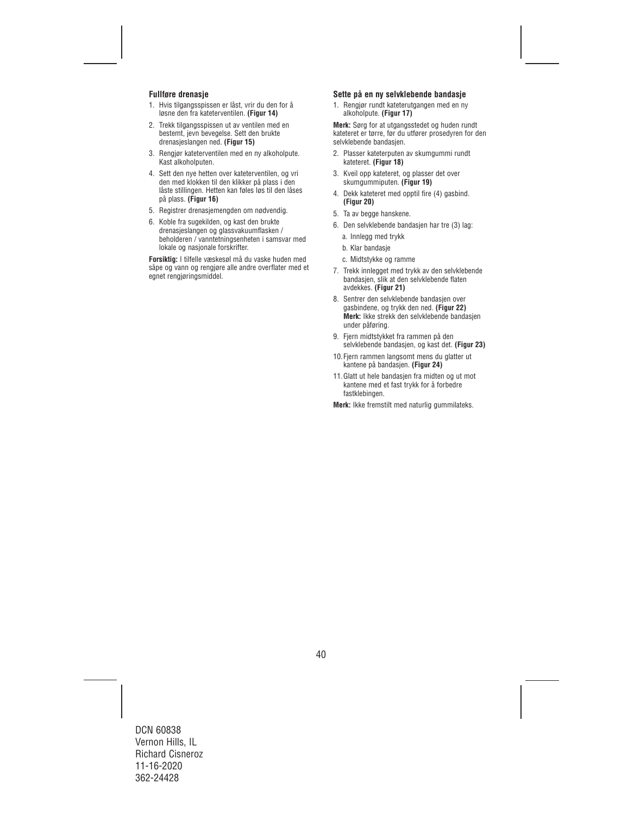## **Fullføre drenasje**

- 1. Hvis tilgangsspissen er låst, vrir du den for å løsne den fra kateterventilen. **(Figur 14)**
- 2. Trekk tilgangsspissen ut av ventilen med en bestemt, jevn bevegelse. Sett den brukte drenasjeslangen ned. **(Figur 15)**
- 3. Rengjør kateterventilen med en ny alkoholpute. Kast alkoholputen.
- 4. Sett den nye hetten over kateterventilen, og vri den med klokken til den klikker på plass i den låste stillingen. Hetten kan føles løs til den låses på plass. **(Figur 16)**
- 5. Registrer drenasjemengden om nødvendig.
- 6. Koble fra sugekilden, og kast den brukte drenasjeslangen og glassvakuumflasken / beholderen / vanntetningsenheten i samsvar med lokale og nasjonale forskrifter.

**Forsiktig:** I tilfelle væskesøl må du vaske huden med såpe og vann og rengjøre alle andre overflater med et egnet rengjøringsmiddel.

#### **Sette på en ny selvklebende bandasje**

1. Rengjør rundt kateterutgangen med en ny alkoholpute. **(Figur 17)** 

**Merk:** Sørg for at utgangsstedet og huden rundt kateteret er tørre, før du utfører prosedyren for den selvklebende bandasjen.

- 2. Plasser kateterputen av skumgummi rundt kateteret. **(Figur 18)**
- 3. Kveil opp kateteret, og plasser det over skumgummiputen. **(Figur 19)**
- 4. Dekk kateteret med opptil fire (4) gasbind. **(Figur 20)**
- 5. Ta av begge hanskene.
- 6. Den selvklebende bandasjen har tre (3) lag:
	- a. Innlegg med trykk
	- b. Klar bandasje
	- c. Midtstykke og ramme
- 7. Trekk innlegget med trykk av den selvklebende bandasjen, slik at den selvklebende flaten avdekkes. **(Figur 21)**
- 8. Sentrer den selvklebende bandasjen over gasbindene, og trykk den ned. **(Figur 22) Merk:** Ikke strekk den selvklebende bandasjen under påføring.
- 9. Fjern midtstykket fra rammen på den selvklebende bandasjen, og kast det. **(Figur 23)**
- 10. Fiern rammen langsomt mens du glatter ut kantene på bandasjen. **(Figur 24)**
- 11.Glatt ut hele bandasjen fra midten og ut mot kantene med et fast trykk for å forbedre fastklebingen.

**Merk:** Ikke fremstilt med naturlig gummilateks.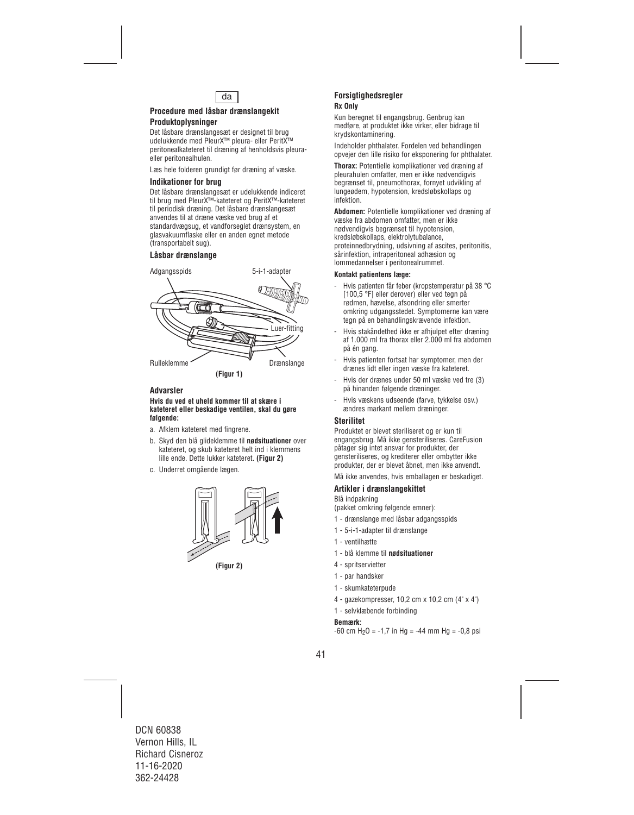

## **Procedure med låsbar drænslangekit Produktoplysninger**

# Det låsbare drænslangesæt er designet til brug

udelukkende med PleurX™ pleura- eller PeritX™ peritonealkateteret til dræning af henholdsvis pleuraeller peritonealhulen.

Læs hele folderen grundigt før dræning af væske.

## **Indikationer for brug**

Det låsbare drænslangesæt er udelukkende indiceret til brug med PleurX™-kateteret og PeritX™-kateteret til periodisk dræning. Det låsbare drænslangesæt anvendes til at dræne væske ved brug af et standardvægsug, et vandforseglet drænsystem, en glasvakuumflaske eller en anden egnet metode (transportabelt sug).

## **Låsbar drænslange**



## **Advarsler**

#### **Hvis du ved et uheld kommer til at skære i kateteret eller beskadige ventilen, skal du gøre følgende:**

- a. Afklem kateteret med fingrene.
- b. Skyd den blå glideklemme til **nødsituationer** over kateteret, og skub kateteret helt ind i klemmens lille ende. Dette lukker kateteret. **(Figur 2)**
- c. Underret omgående lægen.



**(Figur 2)**

### **Forsigtighedsregler Rx Only**

Kun beregnet til engangsbrug. Genbrug kan medføre, at produktet ikke virker, eller bidrage til krydskontaminering.

Indeholder phthalater. Fordelen ved behandlingen opvejer den lille risiko for eksponering for phthalater.

**Thorax:** Potentielle komplikationer ved dræning af pleurahulen omfatter, men er ikke nødvendigvis begrænset til, pneumothorax, fornyet udvikling af lungeødem, hypotension, kredsløbskollaps og infektion.

**Abdomen:** Potentielle komplikationer ved dræning af væske fra abdomen omfatter, men er ikke nødvendigvis begrænset til hypotension, kredsløbskollaps, elektrolytubalance, proteinnedbrydning, udsivning af ascites, peritonitis, sårinfektion, intraperitoneal adhæsion og lommedannelser i peritonealrummet.

#### **Kontakt patientens læge:**

- Hvis patienten får feber (kropstemperatur på 38 °C [100,5 °F] eller derover) eller ved tegn på rødmen, hævelse, afsondring eller smerter omkring udgangsstedet. Symptomerne kan være tegn på en behandlingskrævende infektion.
- Hvis stakåndethed ikke er afhjulpet efter dræning af 1.000 ml fra thorax eller 2.000 ml fra abdomen på én gang.
- Hvis patienten fortsat har symptomer, men der drænes lidt eller ingen væske fra kateteret.
- Hvis der drænes under 50 ml væske ved tre (3) på hinanden følgende dræninger.
- Hvis væskens udseende (farve, tykkelse osv.) ændres markant mellem dræninger.

## **Sterilitet**

Produktet er blevet steriliseret og er kun til engangsbrug. Må ikke gensteriliseres. CareFusion påtager sig intet ansvar for produkter, der gensteriliseres, og krediterer eller ombytter ikke produkter, der er blevet åbnet, men ikke anvendt.

Må ikke anvendes, hvis emballagen er beskadiget.

## **Artikler i drænslangekittet**

Blå indpakning

- (pakket omkring følgende emner):
- 1 drænslange med låsbar adgangsspids
- 1 5-i-1-adapter til drænslange
- 1 ventilhætte
- 1 blå klemme til **nødsituationer**
- 4 spritservietter
- 1 par handsker
- 1 skumkateterpude
- 4 gazekompresser, 10,2 cm x 10,2 cm (4" x 4")
- 1 selvklæbende forbinding

#### **Bemærk:**

 $-60$  cm H<sub>2</sub>O =  $-1.7$  in Hg =  $-44$  mm Hg =  $-0.8$  psi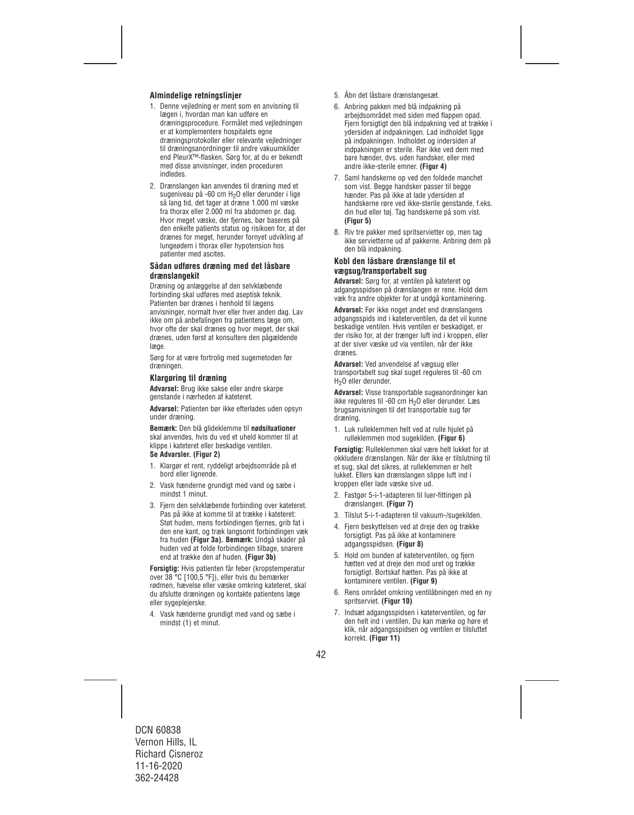## **Almindelige retningslinjer**

- 1. Denne vejledning er ment som en anvisning til lægen i, hvordan man kan udføre en dræningsprocedure. Formålet med vejledningen er at komplementere hospitalets egne dræningsprotokoller eller relevante vejledninger til dræningsanordninger til andre vakuumkilder end PleurX™-flasken. Sørg for, at du er bekendt med disse anvisninger, inden proceduren indledes.
- 2. Drænslangen kan anvendes til dræning med et sugeniveau på -60 cm H<sub>2</sub>O eller derunder i lige så lang tid, det tager at dræne 1.000 ml væske fra thorax eller 2.000 ml fra abdomen pr. dag. Hvor meget væske, der fjernes, bør baseres på den enkelte patients status og risikoen for, at der drænes for meget, herunder fornyet udvikling af lungeødem i thorax eller hypotension hos patienter med ascites.

#### **Sådan udføres dræning med det låsbare drænslangekit**

Dræning og anlæggelse af den selvklæbende forbinding skal udføres med aseptisk teknik. Patienten bør drænes i henhold til lægens anvisninger, normalt hver eller hver anden dag. Lav ikke om på anbefalingen fra patientens læge om, hvor ofte der skal drænes og hvor meget, der skal drænes, uden først at konsultere den pågældende læge.

Sørg for at være fortrolig med sugemetoden før dræningen.

### **Klargøring til dræning**

**Advarsel:** Brug ikke sakse eller andre skarpe genstande i nærheden af kateteret.

**Advarsel:** Patienten bør ikke efterlades uden opsyn under dræning.

**Bemærk:** Den blå glideklemme til **nødsituationer** skal anvendes, hvis du ved et uheld kommer til at klippe i kateteret eller beskadige ventilen.

#### **Se Advarsler. (Figur 2)**

- 1. Klargør et rent, ryddeligt arbejdsområde på et bord eller lignende.
- 2. Vask hænderne grundigt med vand og sæbe i mindst 1 minut.
- 3. Fiern den selvklæbende forbinding over kateteret. Pas på ikke at komme til at trække i kateteret: Støt huden, mens forbindingen fjernes, grib fat i den ene kant, og træk langsomt forbindingen væk fra huden **(Figur 3a). Bemærk:** Undgå skader på huden ved at folde forbindingen tilbage, snarere end at trække den af huden. **(Figur 3b)**

**Forsigtig:** Hvis patienten får feber (kropstemperatur over 38 °C [100,5 °F]), eller hvis du bemærker rødmen, hævelse eller væske omkring kateteret, skal du afslutte dræningen og kontakte patientens læge eller sygeplejerske.

4. Vask hænderne grundigt med vand og sæbe i mindst (1) et minut.

- 5. Åbn det låsbare drænslangesæt.
- 6. Anbring pakken med blå indpakning på arbejdsområdet med siden med flappen opad. Fiern forsigtigt den blå indpakning ved at trække i ydersiden af indpakningen. Lad indholdet ligge på indpakningen. Indholdet og indersiden af indpakningen er sterile. Rør ikke ved dem med bare hænder, dvs. uden handsker, eller med andre ikke-sterile emner. **(Figur 4)**
- 7. Saml handskerne op ved den foldede manchet som vist. Begge handsker passer til begge hænder. Pas på ikke at lade ydersiden af handskerne røre ved ikke-sterile genstande, f.eks. din hud eller tøj. Tag handskerne på som vist. **(Figur 5)**
- 8. Riv tre pakker med spritservietter op, men tag ikke servietterne ud af pakkerne. Anbring dem på den blå indpakning.

### **Kobl den låsbare drænslange til et vægsug/transportabelt sug**

**Advarsel:** Sørg for, at ventilen på kateteret og adgangsspidsen på drænslangen er rene. Hold dem væk fra andre objekter for at undgå kontaminering.

**Advarsel:** Før ikke noget andet end drænslangens adgangsspids ind i kateterventilen, da det vil kunne beskadige ventilen. Hvis ventilen er beskadiget, er der risiko for, at der trænger luft ind i kroppen, eller at der siver væske ud via ventilen, når der ikke drænes.

**Advarsel:** Ved anvendelse af vægsug eller transportabelt sug skal suget reguleres til -60 cm H<sub>2</sub>O eller derunder.

**Advarsel:** Visse transportable sugeanordninger kan ikke reguleres til -60 cm H<sub>2</sub>O eller derunder. Læs brugsanvisningen til det transportable sug før dræning.

1. Luk rulleklemmen helt ved at rulle hjulet på rulleklemmen mod sugekilden. **(Figur 6)** 

**Forsigtig:** Rulleklemmen skal være helt lukket for at okkludere drænslangen. Når der ikke er tilslutning til et sug, skal det sikres, at rulleklemmen er helt lukket. Ellers kan drænslangen slippe luft ind i kroppen eller lade væske sive ud.

- 2. Fastgør 5-i-1-adapteren til luer-fittingen på drænslangen. **(Figur 7)**
- 3. Tilslut 5-i-1-adapteren til vakuum-/sugekilden.
- 4. Fjern beskyttelsen ved at dreje den og trække forsigtigt. Pas på ikke at kontaminere adgangsspidsen. **(Figur 8)**
- 5. Hold om bunden af kateterventilen, og fjern hætten ved at dreje den mod uret og trække forsigtigt. Bortskaf hætten. Pas på ikke at kontaminere ventilen. **(Figur 9)**
- 6. Rens området omkring ventilåbningen med en ny spritserviet. **(Figur 10)**
- 7. Indsæt adgangsspidsen i kateterventilen, og før den helt ind i ventilen. Du kan mærke og høre et klik, når adgangsspidsen og ventilen er tilsluttet korrekt. **(Figur 11)**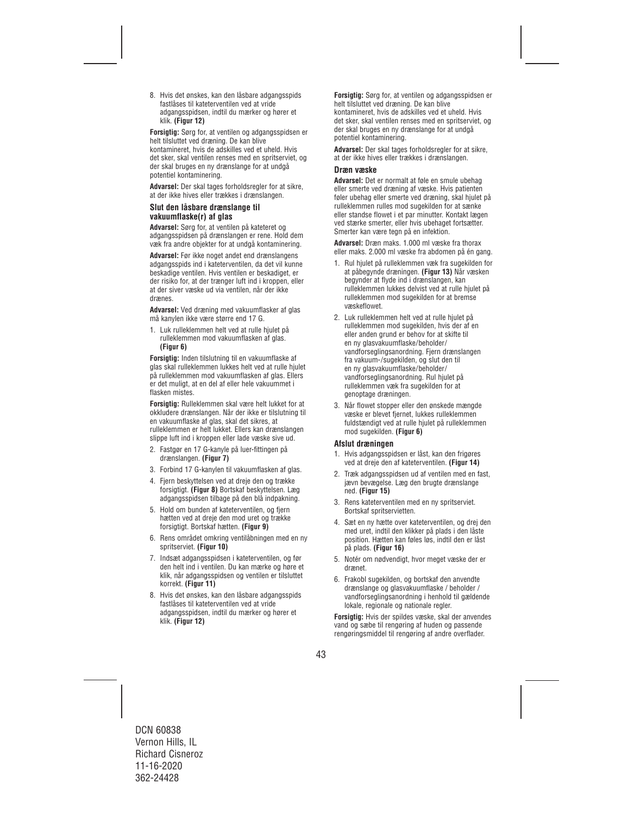8. Hvis det ønskes, kan den låsbare adgangsspids fastlåses til kateterventilen ved at vride adgangsspidsen, indtil du mærker og hører et klik. **(Figur 12)** 

**Forsigtig:** Sørg for, at ventilen og adgangsspidsen er helt tilsluttet ved dræning. De kan blive kontamineret, hvis de adskilles ved et uheld. Hvis det sker, skal ventilen renses med en spritserviet, og der skal bruges en ny drænslange for at undgå potentiel kontaminering.

**Advarsel:** Der skal tages forholdsregler for at sikre, at der ikke hives eller trækkes i drænslangen.

#### **Slut den låsbare drænslange til vakuumflaske(r) af glas**

**Advarsel:** Sørg for, at ventilen på kateteret og adgangsspidsen på drænslangen er rene. Hold dem væk fra andre objekter for at undgå kontaminering.

**Advarsel:** Før ikke noget andet end drænslangens adgangsspids ind i kateterventilen, da det vil kunne beskadige ventilen. Hvis ventilen er beskadiget, er der risiko for, at der trænger luft ind i kroppen, eller at der siver væske ud via ventilen, når der ikke drænes.

**Advarsel:** Ved dræning med vakuumflasker af glas må kanylen ikke være større end 17 G.

1. Luk rulleklemmen helt ved at rulle hjulet på rulleklemmen mod vakuumflasken af glas. **(Figur 6)** 

**Forsigtig:** Inden tilslutning til en vakuumflaske af glas skal rulleklemmen lukkes helt ved at rulle hjulet på rulleklemmen mod vakuumflasken af glas. Ellers er det muligt, at en del af eller hele vakuummet i flasken mistes.

**Forsigtig:** Rulleklemmen skal være helt lukket for at okkludere drænslangen. Når der ikke er tilslutning til en vakuumflaske af glas, skal det sikres, at rulleklemmen er helt lukket. Ellers kan drænslangen slippe luft ind i kroppen eller lade væske sive ud.

- 2. Fastgør en 17 G-kanyle på luer-fittingen på drænslangen. **(Figur 7)**
- 3. Forbind 17 G-kanylen til vakuumflasken af glas.
- 4. Fjern beskyttelsen ved at dreje den og trække forsigtigt. **(Figur 8)** Bortskaf beskyttelsen. Læg adgangsspidsen tilbage på den blå indpakning.
- 5. Hold om bunden af kateterventilen, og fjern hætten ved at dreje den mod uret og trække forsigtigt. Bortskaf hætten. **(Figur 9)**
- 6. Rens området omkring ventilåbningen med en ny spritserviet. **(Figur 10)**
- 7. Indsæt adgangsspidsen i kateterventilen, og før den helt ind i ventilen. Du kan mærke og høre et klik, når adgangsspidsen og ventilen er tilsluttet korrekt. **(Figur 11)**
- 8. Hvis det ønskes, kan den låsbare adgangsspids fastlåses til kateterventilen ved at vride adgangsspidsen, indtil du mærker og hører et klik. **(Figur 12)**

**Forsigtig:** Sørg for, at ventilen og adgangsspidsen er helt tilsluttet ved dræning. De kan blive kontamineret, hvis de adskilles ved et uheld. Hvis det sker, skal ventilen renses med en spritserviet, og der skal bruges en ny drænslange for at undgå potentiel kontaminering.

**Advarsel:** Der skal tages forholdsregler for at sikre, at der ikke hives eller trækkes i drænslangen.

#### **Dræn væske**

**Advarsel:** Det er normalt at føle en smule ubehag eller smerte ved dræning af væske. Hvis patienten føler ubehag eller smerte ved dræning, skal hjulet på rulleklemmen rulles mod sugekilden for at sænke eller standse flowet i et par minutter. Kontakt lægen ved stærke smerter, eller hvis ubehaget fortsætter. Smerter kan være tegn på en infektion.

**Advarsel:** Dræn maks. 1.000 ml væske fra thorax eller maks. 2.000 ml væske fra abdomen på én gang.

- 1. Rul hjulet på rulleklemmen væk fra sugekilden for at påbegynde dræningen. **(Figur 13)** Når væsken begynder at flyde ind i drænslangen, kan rulleklemmen lukkes delvist ved at rulle hjulet på rulleklemmen mod sugekilden for at bremse væskeflowet.
- 2. Luk rulleklemmen helt ved at rulle hjulet på rulleklemmen mod sugekilden, hvis der af en eller anden grund er behov for at skifte til en ny glasvakuumflaske/beholder/ vandforseglingsanordning. Fjern drænslangen fra vakuum-/sugekilden, og slut den til en ny glasvakuumflaske/beholder/ vandforseglingsanordning. Rul hjulet på rulleklemmen væk fra sugekilden for at genoptage dræningen.
- 3. Når flowet stopper eller den ønskede mængde væske er blevet fjernet, lukkes rulleklemmen fuldstændigt ved at rulle hjulet på rulleklemmen mod sugekilden. **(Figur 6)**

### **Afslut dræningen**

- 1. Hvis adgangsspidsen er låst, kan den frigøres ved at dreje den af kateterventilen. **(Figur 14)**
- 2. Træk adgangsspidsen ud af ventilen med en fast, jævn bevægelse. Læg den brugte drænslange ned. **(Figur 15)**
- 3. Rens kateterventilen med en ny spritserviet. Bortskaf spritservietten.
- 4. Sæt en ny hætte over kateterventilen, og drej den med uret, indtil den klikker på plads i den låste position. Hætten kan føles løs, indtil den er låst på plads. **(Figur 16)**
- 5. Notér om nødvendigt, hvor meget væske der er drænet.
- 6. Frakobl sugekilden, og bortskaf den anvendte drænslange og glasvakuumflaske / beholder / vandforseglingsanordning i henhold til gældende lokale, regionale og nationale regler.

**Forsigtig:** Hvis der spildes væske, skal der anvendes vand og sæbe til rengøring af huden og passende rengøringsmiddel til rengøring af andre overflader.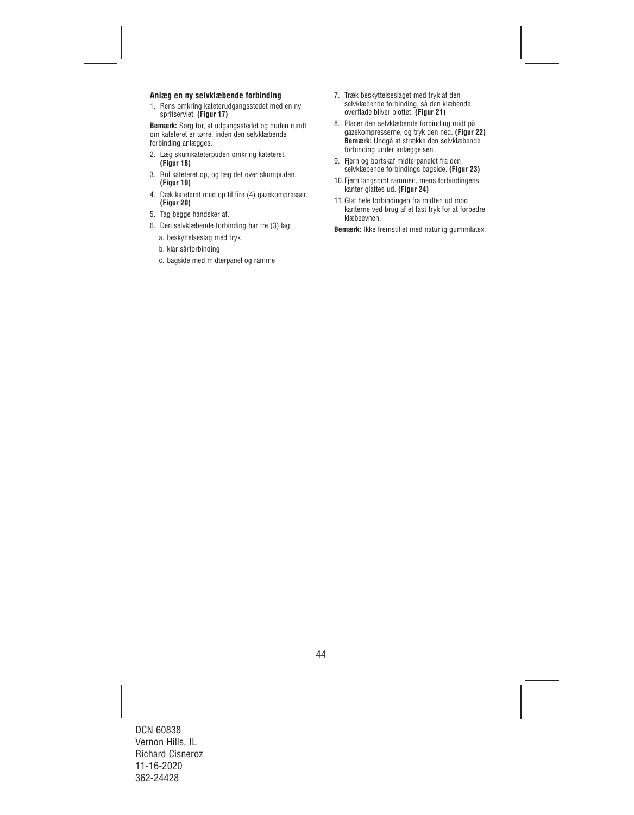#### **Anlæg en ny selvklæbende forbinding**

1. Rens omkring kateterudgangsstedet med en ny spritserviet. **(Figur 17)** 

**Bemærk:** Sørg for, at udgangsstedet og huden rundt om kateteret er tørre, inden den selvklæbende forbinding anlægges.

- 2. Læg skumkateterpuden omkring kateteret. **(Figur 18)**
- 3. Rul kateteret op, og læg det over skumpuden. **(Figur 19)**
- 4. Dæk kateteret med op til fire (4) gazekompresser. **(Figur 20)**
- 5. Tag begge handsker af.
- 6. Den selvklæbende forbinding har tre (3) lag:
	- a. beskyttelseslag med tryk
	- b. klar sårforbinding
	- c. bagside med midterpanel og ramme
- 7. Træk beskyttelseslaget med tryk af den selvklæbende forbinding, så den klæbende overflade bliver blottet. **(Figur 21)**
- 8. Placer den selvklæbende forbinding midt på gazekompresserne, og tryk den ned. **(Figur 22) Bemærk:** Undgå at strække den selvklæbende forbinding under anlæggelsen.
- 9. Fjern og bortskaf midterpanelet fra den selvklæbende forbindings bagside. **(Figur 23)**
- 10.Fjern langsomt rammen, mens forbindingens kanter glattes ud. **(Figur 24)**
- 11.Glat hele forbindingen fra midten ud mod kanterne ved brug af et fast tryk for at forbedre klæbeevnen.

**Bemærk:** Ikke fremstillet med naturlig gummilatex.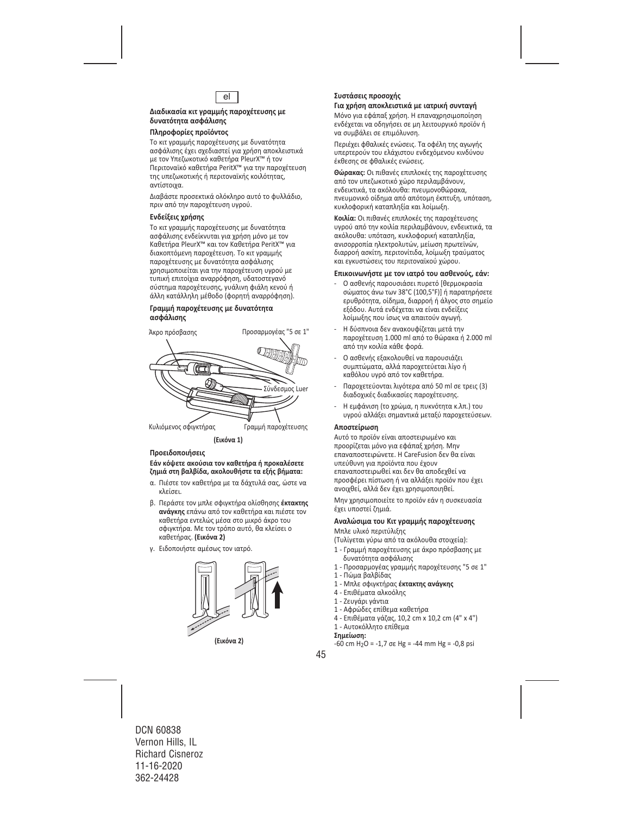

## **Διαδικασία κιτ γραμμής παροχέτευσης με δυνατότητα ασφάλισης**

## **Πληροφορίες προϊόντος**

Το κιτ γραμμής παροχέτευσης με δυνατότητα ασφάλισης έχει σχεδιαστεί για χρήση αποκλειστικά με τον Υπεζωκοτικό καθετήρα PleurX™ ή τον Περιτοναϊκό καθετήρα PeritX™ για την παροχέτευση της υπεζωκοτικής ή περιτοναϊκής κοιλότητας, αντίστοιχα.

Διαβάστε προσεκτικά ολόκληρο αυτό το φυλλάδιο, πριν από την παροχέτευση υγρού.

#### **Ενδείξεις χρήσης**

Το κιτ γραμμής παροχέτευσης με δυνατότητα ασφάλισης ενδείκνυται για χρήση μόνο με τον Καθετήρα PleurX™ και τον Καθετήρα PeritX™ για διακοπτόμενη παροχέτευση. Το κιτ γραμμής παροχέτευσης με δυνατότητα ασφάλισης χρησιμοποιείται για την παροχέτευση υγρού με τυπική επιτοίχια αναρρόφηση, υδατοστεγανό σύστημα παροχέτευσης, γυάλινη φιάλη κενού ή άλλη κατάλληλη μέθοδο (φορητή αναρρόφηση).

#### **Γραμμή παροχέτευσης με δυνατότητα ασφάλισης**



**Προειδοποιήσεις**

## **Εάν κόψετε ακούσια τον καθετήρα ή προκαλέσετε ζημιά στη βαλβίδα, ακολουθήστε τα εξής βήματα:**

- α. Πιέστε τον καθετήρα με τα δάχτυλά σας, ώστε να κλείσει.
- β. Περάστε τον μπλε σφιγκτήρα ολίσθησης **έκτακτης ανάγκης** επάνω από τον καθετήρα και πιέστε τον καθετήρα εντελώς μέσα στο μικρό άκρο του σφιγκτήρα. Με τον τρόπο αυτό, θα κλείσει ο καθετήρας. **(Εικόνα 2)**
- γ. Ειδοποιήστε αμέσως τον ιατρό.



## **Συστάσεις προσοχής**

#### **Για χρήση αποκλειστικά με ιατρική συνταγή**

Μόνο για εφάπαξ χρήση. Η επαναχρησιμοποίηση ενδέχεται να οδηγήσει σε μη λειτουργικό προϊόν ή να συμβάλει σε επιμόλυνση.

Περιέχει φθαλικές ενώσεις. Τα οφέλη της αγωγής υπερτερούν του ελάχιστου ενδεχόμενου κινδύνου έκθεσης σε φθαλικές ενώσεις.

**Θώρακας:** Οι πιθανές επιπλοκές της παροχέτευσης από τον υπεζωκοτικό χώρο περιλαμβάνουν, ενδεικτικά, τα ακόλουθα: πνευμονοθώρακα, πνευμονικό οίδημα από απότομη έκπτυξη, υπόταση, κυκλοφορική καταπληξία και λοίμωξη.

**Κοιλία:** Οι πιθανές επιπλοκές της παροχέτευσης υγρού από την κοιλία περιλαμβάνουν, ενδεικτικά, τα ακόλουθα: υπόταση, κυκλοφορική καταπληξία, ανισορροπία ηλεκτρολυτών, μείωση πρωτεϊνών, διαρροή ασκίτη, περιτονίτιδα, λοίμωξη τραύματος και εγκυστώσεις του περιτοναϊκού χώρου.

#### **Επικοινωνήστε με τον ιατρό του ασθενούς, εάν:**

- ‐ Ο ασθενής παρουσιάσει πυρετό [θερμοκρασία σώματος άνω των 38°C (100,5°F)] ή παρατηρήσετε ερυθρότητα, οίδημα, διαρροή ή άλγος στο σημείο εξόδου. Αυτά ενδέχεται να είναι ενδείξεις λοίμωξης που ίσως να απαιτούν αγωγή.
- ‐ Η δύσπνοια δεν ανακουφίζεται μετά την παροχέτευση 1.000 ml από το θώρακα ή 2.000 ml από την κοιλία κάθε φορά.
- ‐ Ο ασθενής εξακολουθεί να παρουσιάζει συμπτώματα, αλλά παροχετεύεται λίγο ή καθόλου υγρό από τον καθετήρα.
- ‐ Παροχετεύονται λιγότερα από 50 ml σε τρεις (3) διαδοχικές διαδικασίες παροχέτευσης.
- ‐ Η εμφάνιση (το χρώμα, η πυκνότητα κ.λπ.) του υγρού αλλάξει σημαντικά μεταξύ παροχετεύσεων.

#### **Αποστείρωση**

Αυτό το προϊόν είναι αποστειρωμένο και προορίζεται μόνο για εφάπαξ χρήση. Μην επαναποστειρώνετε. Η CareFusion δεν θα είναι υπεύθυνη για προϊόντα που έχουν επαναποστειρωθεί και δεν θα αποδεχθεί να προσφέρει πίστωση ή να αλλάξει προϊόν που έχει ανοιχθεί, αλλά δεν έχει χρησιμοποιηθεί.

Μην χρησιμοποιείτε το προϊόν εάν η συσκευασία έχει υποστεί ζημιά.

#### **Αναλώσιμα του Kιτ γραμμής παροχέτευσης**

Μπλε υλικό περιτύλιξης

(Τυλίγεται γύρω από τα ακόλουθα στοιχεία):

- 1 ‐ Γραμμή παροχέτευσης με άκρο πρόσβασης με δυνατότητα ασφάλισης
- 1 ‐ Προσαρμογέας γραμμής παροχέτευσης "5 σε 1"
- 1 ‐ Πώμα βαλβίδας
- 1 ‐ Μπλε σφιγκτήρας **έκτακτης ανάγκης**
- 4 ‐ Επιθέματα αλκοόλης
- 1 ‐ Ζευγάρι γάντια
- 1 ‐ Αφρώδες επίθεμα καθετήρα
- 4 ‐ Επιθέματα γάζας, 10,2 cm x 10,2 cm (4" x 4")
- 1 ‐ Αυτοκόλλητο επίθεμα

#### **Σημείωση:**

 $-60$  cm H<sub>2</sub>O =  $-1,7$  σε Hg =  $-44$  mm Hg =  $-0,8$  psi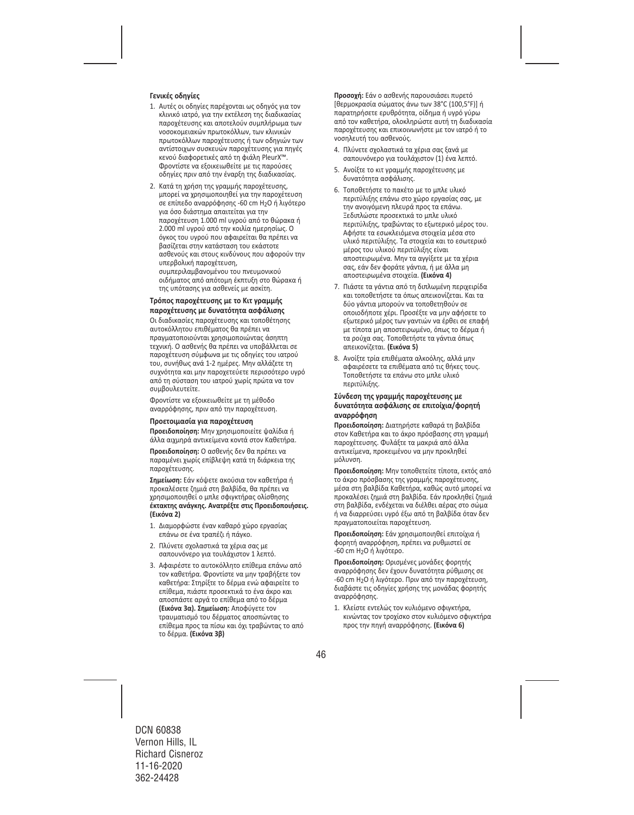## **Γενικές οδηγίες**

- 1. Αυτές οι οδηγίες παρέχονται ως οδηγός για τον κλινικό ιατρό, για την εκτέλεση της διαδικασίας παροχέτευσης και αποτελούν συμπλήρωμα των νοσοκομειακών πρωτοκόλλων, των κλινικών πρωτοκόλλων παροχέτευσης ή των οδηγιών των αντίστοιχων συσκευών παροχέτευσης για πηγές κενού διαφορετικές από τη φιάλη PleurX™. Φροντίστε να εξοικειωθείτε με τις παρούσες οδηγίες πριν από την έναρξη της διαδικασίας.
- 2. Κατά τη χρήση της γραμμής παροχέτευσης, μπορεί να χρησιμοποιηθεί για την παροχέτευση σε επίπεδο αναρρόφησης ‐60 cm H2O ή λιγότερο για όσο διάστημα απαιτείται για την παροχέτευση 1.000 ml υγρού από το θώρακα ή 2.000 ml υγρού από την κοιλία ημερησίως. Ο όγκος του υγρού που αφαιρείται θα πρέπει να βασίζεται στην κατάσταση του εκάστοτε ασθενούς και στους κινδύνους που αφορούν την υπερβολική παροχέτευση, συμπεριλαμβανομένου του πνευμονικού οιδήματος από απότομη έκπτυξη στο θώρακα ή της υπότασης για ασθενείς με ασκίτη.

#### **Τρόπος παροχέτευσης με το Κιτ γραμμής παροχέτευσης με δυνατότητα ασφάλισης**

Οι διαδικασίες παροχέτευσης και τοποθέτησης αυτοκόλλητου επιθέματος θα πρέπει να πραγματοποιούνται χρησιμοποιώντας άσηπτη τεχνική. Ο ασθενής θα πρέπει να υποβάλλεται σε παροχέτευση σύμφωνα με τις οδηγίες του ιατρού του, συνήθως ανά 1‐2 ημέρες. Μην αλλάζετε τη συχνότητα και μην παροχετεύετε περισσότερο υγρό από τη σύσταση του ιατρού χωρίς πρώτα να τον συμβουλευτείτε.

Φροντίστε να εξοικειωθείτε με τη μέθοδο αναρρόφησης, πριν από την παροχέτευση.

#### **Προετοιμασία για παροχέτευση**

**Προειδοποίηση:** Μην χρησιμοποιείτε ψαλίδια ή άλλα αιχμηρά αντικείμενα κοντά στον Καθετήρα.

**Προειδοποίηση:** Ο ασθενής δεν θα πρέπει να παραμένει χωρίς επίβλεψη κατά τη διάρκεια της παροχέτευσης.

**Σημείωση:** Εάν κόψετε ακούσια τον καθετήρα ή προκαλέσετε ζημιά στη βαλβίδα, θα πρέπει να χρησιμοποιηθεί ο μπλε σφιγκτήρας ολίσθησης **έκτακτης ανάγκης. Ανατρέξτε στις Προειδοποιήσεις. (Εικόνα 2)**

- 1. Διαμορφώστε έναν καθαρό χώρο εργασίας επάνω σε ένα τραπέζι ή πάγκο.
- 2. Πλύνετε σχολαστικά τα χέρια σας με σαπουνόνερο για τουλάχιστον 1 λεπτό.
- 3. Αφαιρέστε το αυτοκόλλητο επίθεμα επάνω από τον καθετήρα. Φροντίστε να μην τραβήξετε τον καθετήρα: Στηρίξτε το δέρμα ενώ αφαιρείτε το επίθεμα, πιάστε προσεκτικά το ένα άκρο και αποσπάστε αργά το επίθεμα από το δέρμα **(Εικόνα 3α). Σημείωση:** Αποφύγετε τον τραυματισμό του δέρματος αποσπώντας το επίθεμα προς τα πίσω και όχι τραβώντας το από το δέρμα. **(Εικόνα 3β)**

**Προσοχή:** Εάν ο ασθενής παρουσιάσει πυρετό [θερμοκρασία σώματος άνω των 38°C (100,5°F)] ή παρατηρήσετε ερυθρότητα, οίδημα ή υγρό γύρω από τον καθετήρα, ολοκληρώστε αυτή τη διαδικασία παροχέτευσης και επικοινωνήστε με τον ιατρό ή το νοσηλευτή του ασθενούς.

- 4. Πλύνετε σχολαστικά τα χέρια σας ξανά με σαπουνόνερο για τουλάχιστον (1) ένα λεπτό.
- 5. Ανοίξτε το κιτ γραμμής παροχέτευσης με δυνατότητα ασφάλισης.
- 6. Τοποθετήστε το πακέτο με το μπλε υλικό περιτύλιξης επάνω στο χώρο εργασίας σας, με την ανοιγόμενη πλευρά προς τα επάνω. Ξεδιπλώστε προσεκτικά το μπλε υλικό περιτύλιξης, τραβώντας το εξωτερικό μέρος του. Αφήστε τα εσωκλειόμενα στοιχεία μέσα στο υλικό περιτύλιξης. Τα στοιχεία και το εσωτερικό μέρος του υλικού περιτύλιξης είναι αποστειρωμένα. Μην τα αγγίξετε με τα χέρια σας, εάν δεν φοράτε γάντια, ή με άλλα μη αποστειρωμένα στοιχεία. **(Εικόνα 4)**
- 7. Πιάστε τα γάντια από τη διπλωμένη περιχειρίδα και τοποθετήστε τα όπως απεικονίζεται. Και τα δύο γάντια μπορούν να τοποθετηθούν σε οποιοδήποτε χέρι. Προσέξτε να μην αφήσετε το εξωτερικό μέρος των γαντιών να έρθει σε επαφή με τίποτα μη αποστειρωμένο, όπως το δέρμα ή τα ρούχα σας. Τοποθετήστε τα γάντια όπως απεικονίζεται. **(Εικόνα 5)**
- 8. Ανοίξτε τρία επιθέματα αλκοόλης, αλλά μην αφαιρέσετε τα επιθέματα από τις θήκες τους. Τοποθετήστε τα επάνω στο μπλε υλικό περιτύλιξης.

#### **Σύνδεση της γραμμής παροχέτευσης με δυνατότητα ασφάλισης σε επιτοίχια/φορητή αναρρόφηση**

**Προειδοποίηση:** Διατηρήστε καθαρά τη βαλβίδα στον Καθετήρα και το άκρο πρόσβασης στη γραμμή παροχέτευσης. Φυλάξτε τα μακριά από άλλα αντικείμενα, προκειμένου να μην προκληθεί μόλυνση.

**Προειδοποίηση:** Μην τοποθετείτε τίποτα, εκτός από το άκρο πρόσβασης της γραμμής παροχέτευσης, μέσα στη βαλβίδα Καθετήρα, καθώς αυτό μπορεί να προκαλέσει ζημιά στη βαλβίδα. Εάν προκληθεί ζημιά στη βαλβίδα, ενδέχεται να διέλθει αέρας στο σώμα ή να διαρρεύσει υγρό έξω από τη βαλβίδα όταν δεν πραγματοποιείται παροχέτευση.

**Προειδοποίηση:** Εάν χρησιμοποιηθεί επιτοίχια ή φορητή αναρρόφηση, πρέπει να ρυθμιστεί σε ‐60 cm H2O ή λιγότερο.

**Προειδοποίηση:** Ορισμένες μονάδες φορητής αναρρόφησης δεν έχουν δυνατότητα ρύθμισης σε ‐60 cm H2O ή λιγότερο. Πριν από την παροχέτευση, διαβάστε τις οδηγίες χρήσης της μονάδας φορητής αναρρόφησης.

1. Κλείστε εντελώς τον κυλιόμενο σφιγκτήρα, κινώντας τον τροχίσκο στον κυλιόμενο σφιγκτήρα προς την πηγή αναρρόφησης. **(Εικόνα 6)**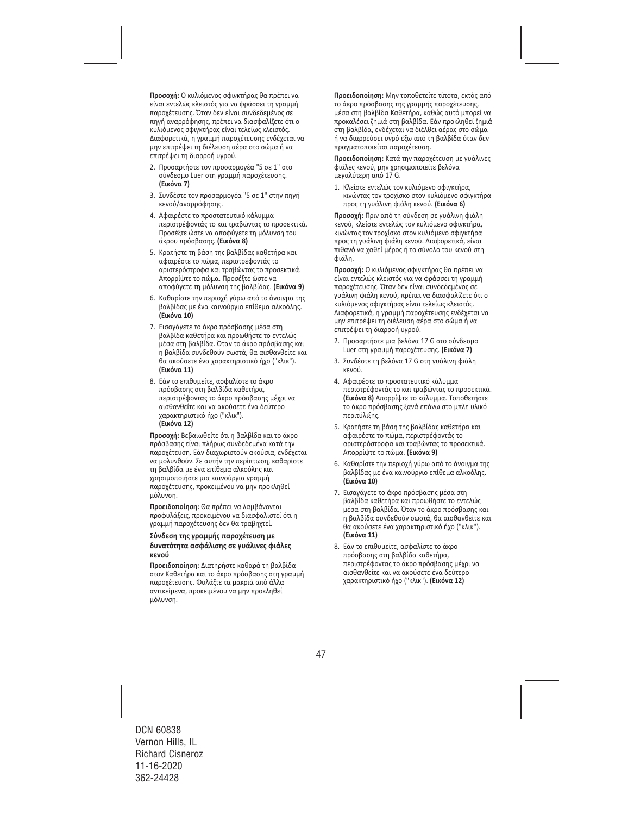**Προσοχή:** Ο κυλιόμενος σφιγκτήρας θα πρέπει να είναι εντελώς κλειστός για να φράσσει τη γραμμή παροχέτευσης. Όταν δεν είναι συνδεδεμένος σε πηγή αναρρόφησης, πρέπει να διασφαλίζετε ότι ο κυλιόμενος σφιγκτήρας είναι τελείως κλειστός. Διαφορετικά, η γραμμή παροχέτευσης ενδέχεται να μην επιτρέψει τη διέλευση αέρα στο σώμα ή να επιτρέψει τη διαρροή υγρού.

- 2. Προσαρτήστε τον προσαρμογέα "5 σε 1" στο σύνδεσμο Luer στη γραμμή παροχέτευσης. **(Εικόνα 7)**
- 3. Συνδέστε τον προσαρμογέα "5 σε 1" στην πηγή κενού/αναρρόφησης.
- 4. Αφαιρέστε το προστατευτικό κάλυμμα περιστρέφοντάς το και τραβώντας το προσεκτικά. Προσέξτε ώστε να αποφύγετε τη μόλυνση του άκρου πρόσβασης. **(Εικόνα 8)**
- 5. Κρατήστε τη βάση της βαλβίδας καθετήρα και αφαιρέστε το πώμα, περιστρέφοντάς το αριστερόστροφα και τραβώντας το προσεκτικά. Απορρίψτε το πώμα. Προσέξτε ώστε να αποφύγετε τη μόλυνση της βαλβίδας. **(Εικόνα 9)**
- 6. Καθαρίστε την περιοχή γύρω από το άνοιγμα της βαλβίδας με ένα καινούργιο επίθεμα αλκοόλης. **(Εικόνα 10)**
- 7. Εισαγάγετε το άκρο πρόσβασης μέσα στη βαλβίδα καθετήρα και προωθήστε το εντελώς μέσα στη βαλβίδα. Όταν το άκρο πρόσβασης και η βαλβίδα συνδεθούν σωστά, θα αισθανθείτε και θα ακούσετε ένα χαρακτηριστικό ήχο ("κλικ"). **(Εικόνα 11)**
- 8. Εάν το επιθυμείτε, ασφαλίστε το άκρο πρόσβασης στη βαλβίδα καθετήρα, περιστρέφοντας το άκρο πρόσβασης μέχρι να αισθανθείτε και να ακούσετε ένα δεύτερο χαρακτηριστικό ήχο ("κλικ"). **(Εικόνα 12)**

**Προσοχή:** Βεβαιωθείτε ότι η βαλβίδα και το άκρο πρόσβασης είναι πλήρως συνδεδεμένα κατά την παροχέτευση. Εάν διαχωριστούν ακούσια, ενδέχεται να μολυνθούν. Σε αυτήν την περίπτωση, καθαρίστε τη βαλβίδα με ένα επίθεμα αλκοόλης και χρησιμοποιήστε μια καινούργια γραμμή παροχέτευσης, προκειμένου να μην προκληθεί μόλυνση.

**Προειδοποίηση:** Θα πρέπει να λαμβάνονται προφυλάξεις, προκειμένου να διασφαλιστεί ότι η γραμμή παροχέτευσης δεν θα τραβηχτεί.

#### **Σύνδεση της γραμμής παροχέτευση με δυνατότητα ασφάλισης σε γυάλινες φιάλες κενού**

**Προειδοποίηση:** Διατηρήστε καθαρά τη βαλβίδα στον Καθετήρα και το άκρο πρόσβασης στη γραμμή παροχέτευσης. Φυλάξτε τα μακριά από άλλα αντικείμενα, προκειμένου να μην προκληθεί μόλυνση.

**Προειδοποίηση:** Μην τοποθετείτε τίποτα, εκτός από το άκρο πρόσβασης της γραμμής παροχέτευσης, μέσα στη βαλβίδα Καθετήρα, καθώς αυτό μπορεί να προκαλέσει ζημιά στη βαλβίδα. Εάν προκληθεί ζημιά στη βαλβίδα, ενδέχεται να διέλθει αέρας στο σώμα ή να διαρρεύσει υγρό έξω από τη βαλβίδα όταν δεν πραγματοποιείται παροχέτευση.

**Προειδοποίηση:** Κατά την παροχέτευση με γυάλινες φιάλες κενού, μην χρησιμοποιείτε βελόνα μεγαλύτερη από 17 G.

1. Κλείστε εντελώς τον κυλιόμενο σφιγκτήρα, κινώντας τον τροχίσκο στον κυλιόμενο σφιγκτήρα προς τη γυάλινη φιάλη κενού. **(Εικόνα 6)** 

**Προσοχή:** Πριν από τη σύνδεση σε γυάλινη φιάλη κενού, κλείστε εντελώς τον κυλιόμενο σφιγκτήρα, κινώντας τον τροχίσκο στον κυλιόμενο σφιγκτήρα προς τη γυάλινη φιάλη κενού. Διαφορετικά, είναι πιθανό να χαθεί μέρος ή το σύνολο του κενού στη φιάλη.

**Προσοχή:** Ο κυλιόμενος σφιγκτήρας θα πρέπει να είναι εντελώς κλειστός για να φράσσει τη γραμμή παροχέτευσης. Όταν δεν είναι συνδεδεμένος σε γυάλινη φιάλη κενού, πρέπει να διασφαλίζετε ότι ο κυλιόμενος σφιγκτήρας είναι τελείως κλειστός. Διαφορετικά, η γραμμή παροχέτευσης ενδέχεται να μην επιτρέψει τη διέλευση αέρα στο σώμα ή να επιτρέψει τη διαρροή υγρού.

- 2. Προσαρτήστε μια βελόνα 17 G στο σύνδεσμο Luer στη γραμμή παροχέτευσης. **(Εικόνα 7)**
- 3. Συνδέστε τη βελόνα 17 G στη γυάλινη φιάλη κενού.
- 4. Αφαιρέστε το προστατευτικό κάλυμμα περιστρέφοντάς το και τραβώντας το προσεκτικά. **(Εικόνα 8)** Απορρίψτε το κάλυμμα. Τοποθετήστε το άκρο πρόσβασης ξανά επάνω στο μπλε υλικό περιτύλιξης.
- 5. Κρατήστε τη βάση της βαλβίδας καθετήρα και αφαιρέστε το πώμα, περιστρέφοντάς το αριστερόστροφα και τραβώντας το προσεκτικά. Απορρίψτε το πώμα. **(Εικόνα 9)**
- 6. Καθαρίστε την περιοχή γύρω από το άνοιγμα της βαλβίδας με ένα καινούργιο επίθεμα αλκοόλης. **(Εικόνα 10)**
- 7. Εισαγάγετε το άκρο πρόσβασης μέσα στη βαλβίδα καθετήρα και προωθήστε το εντελώς μέσα στη βαλβίδα. Όταν το άκρο πρόσβασης και η βαλβίδα συνδεθούν σωστά, θα αισθανθείτε και θα ακούσετε ένα χαρακτηριστικό ήχο ("κλικ"). **(Εικόνα 11)**
- 8. Εάν το επιθυμείτε, ασφαλίστε το άκρο πρόσβασης στη βαλβίδα καθετήρα, περιστρέφοντας το άκρο πρόσβασης μέχρι να αισθανθείτε και να ακούσετε ένα δεύτερο χαρακτηριστικό ήχο ("κλικ"). **(Εικόνα 12)**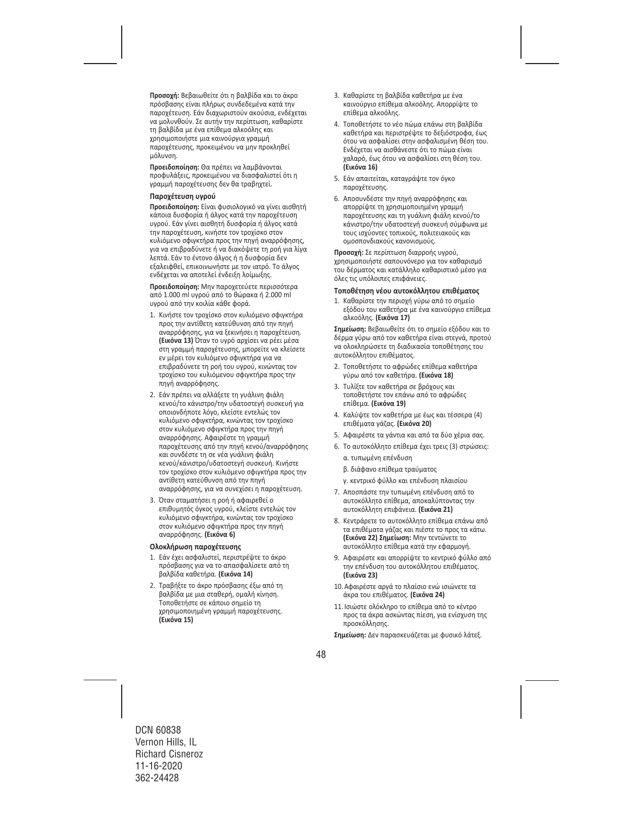**Προσοχή:** Βεβαιωθείτε ότι η βαλβίδα και το άκρο πρόσβασης είναι πλήρως συνδεδεμένα κατά την παροχέτευση. Εάν διαχωριστούν ακούσια, ενδέχεται να μολυνθούν. Σε αυτήν την περίπτωση, καθαρίστε τη βαλβίδα με ένα επίθεμα αλκοόλης και χρησιμοποιήστε μια καινούργια γραμμή παροχέτευσης, προκειμένου να μην προκληθεί μόλυνση.

**Προειδοποίηση:** Θα πρέπει να λαμβάνονται προφυλάξεις, προκειμένου να διασφαλιστεί ότι η γραμμή παροχέτευσης δεν θα τραβηχτεί.

#### **Παροχέτευση υγρού**

**Προειδοποίηση:** Είναι φυσιολογικό να γίνει αισθητή κάποια δυσφορία ή άλγος κατά την παροχέτευση υγρού. Εάν γίνει αισθητή δυσφορία ή άλγος κατά την παροχέτευση, κινήστε τον τροχίσκο στον κυλιόμενο σφιγκτήρα προς την πηγή αναρρόφησης, για να επιβραδύνετε ή να διακόψετε τη ροή για λίγα λεπτά. Εάν το έντονο άλγος ή η δυσφορία δεν εξαλειφθεί, επικοινωνήστε με τον ιατρό. Το άλγος ενδέχεται να αποτελεί ένδειξη λοίμωξης.

**Προειδοποίηση:** Μην παροχετεύετε περισσότερα από 1.000 ml υγρού από το θώρακα ή 2.000 ml υγρού από την κοιλία κάθε φορά.

- 1. Κινήστε τον τροχίσκο στον κυλιόμενο σφιγκτήρα προς την αντίθετη κατεύθυνση από την πηγή αναρρόφησης, για να ξεκινήσει η παροχέτευση. **(Εικόνα 13)** Όταν το υγρό αρχίσει να ρέει μέσα στη γραμμή παροχέτευσης, μπορείτε να κλείσετε εν μέρει τον κυλιόμενο σφιγκτήρα για να επιβραδύνετε τη ροή του υγρού, κινώντας τον τροχίσκο του κυλιόμενου σφιγκτήρα προς την πηγή αναρρόφησης.
- 2. Εάν πρέπει να αλλάξετε τη γυάλινη φιάλη κενού/το κάνιστρο/την υδατοστεγή συσκευή για οποιονδήποτε λόγο, κλείστε εντελώς τον κυλιόμενο σφιγκτήρα, κινώντας τον τροχίσκο στον κυλιόμενο σφιγκτήρα προς την πηγή αναρρόφησης. Αφαιρέστε τη γραμμή παροχέτευσης από την πηγή κενού/αναρρόφησης και συνδέστε τη σε νέα γυάλινη φιάλη κενού/κάνιστρο/υδατοστεγή συσκευή. Κινήστε τον τροχίσκο στον κυλιόμενο σφιγκτήρα προς την αντίθετη κατεύθυνση από την πηγή αναρρόφησης, για να συνεχίσει η παροχέτευση.
- 3. Όταν σταματήσει η ροή ή αφαιρεθεί ο επιθυμητός όγκος υγρού, κλείστε εντελώς τον κυλιόμενο σφιγκτήρα, κινώντας τον τροχίσκο στον κυλιόμενο σφιγκτήρα προς την πηγή αναρρόφησης. **(Εικόνα 6)**

#### **Ολοκλήρωση παροχέτευσης**

- 1. Εάν έχει ασφαλιστεί, περιστρέψτε το άκρο πρόσβασης για να το απασφαλίσετε από τη βαλβίδα καθετήρα. **(Εικόνα 14)**
- 2. Τραβήξτε το άκρο πρόσβασης έξω από τη βαλβίδα με μια σταθερή, ομαλή κίνηση. Τοποθετήστε σε κάποιο σημείο τη χρησιμοποιημένη γραμμή παροχέτευσης. **(Εικόνα 15)**
- 3. Καθαρίστε τη βαλβίδα καθετήρα με ένα καινούργιο επίθεμα αλκοόλης. Απορρίψτε το επίθεμα αλκοόλης.
- 4. Τοποθετήστε το νέο πώμα επάνω στη βαλβίδα καθετήρα και περιστρέψτε το δεξιόστροφα, έως ότου να ασφαλίσει στην ασφαλισμένη θέση του. Ενδέχεται να αισθάνεστε ότι το πώμα είναι χαλαρό, έως ότου να ασφαλίσει στη θέση του. **(Εικόνα 16)**
- 5. Εάν απαιτείται, καταγράψτε τον όγκο παροχέτευσης.
- 6. Αποσυνδέστε την πηγή αναρρόφησης και απορρίψτε τη χρησιμοποιημένη γραμμή παροχέτευσης και τη γυάλινη φιάλη κενού/το κάνιστρο/την υδατοστεγή συσκευή σύμφωνα με τους ισχύοντες τοπικούς, πολιτειακούς και ομοσπονδιακούς κανονισμούς.

**Προσοχή:** Σε περίπτωση διαρροής υγρού, χρησιμοποιήστε σαπουνόνερο για τον καθαρισμό του δέρματος και κατάλληλο καθαριστικό μέσο για όλες τις υπόλοιπες επιφάνειες.

#### **Τοποθέτηση νέου αυτοκόλλητου επιθέματος**

1. Καθαρίστε την περιοχή γύρω από το σημείο εξόδου του καθετήρα με ένα καινούργιο επίθεμα αλκοόλης. **(Εικόνα 17)** 

**Σημείωση:** Βεβαιωθείτε ότι το σημείο εξόδου και το δέρμα γύρω από τον καθετήρα είναι στεγνά, προτού να ολοκληρώσετε τη διαδικασία τοποθέτησης του αυτοκόλλητου επιθέματος.

- 2. Τοποθετήστε το αφρώδες επίθεμα καθετήρα γύρω από τον καθετήρα. **(Εικόνα 18)**
- 3. Τυλίξτε τον καθετήρα σε βρόχους και τοποθετήστε τον επάνω από το αφρώδες επίθεμα. **(Εικόνα 19)**
- 4. Καλύψτε τον καθετήρα με έως και τέσσερα (4) επιθέματα γάζας. **(Εικόνα 20)**
- 5. Αφαιρέστε τα γάντια και από τα δύο χέρια σας.
- 6. Το αυτοκόλλητο επίθεμα έχει τρεις (3) στρώσεις: α. τυπωμένη επένδυση
	- β. διάφανο επίθεμα τραύματος
	- γ. κεντρικό φύλλο και επένδυση πλαισίου
- 7. Αποσπάστε την τυπωμένη επένδυση από το αυτοκόλλητο επίθεμα, αποκαλύπτοντας την αυτοκόλλητη επιφάνεια. **(Εικόνα 21)**
- 8. Κεντράρετε το αυτοκόλλητο επίθεμα επάνω από τα επιθέματα γάζας και πιέστε το προς τα κάτω. **(Εικόνα 22) Σημείωση:** Μην τεντώνετε το αυτοκόλλητο επίθεμα κατά την εφαρμογή.
- 9. Αφαιρέστε και απορρίψτε το κεντρικό φύλλο από την επένδυση του αυτοκόλλητου επιθέματος. **(Εικόνα 23)**
- 10.Αφαιρέστε αργά το πλαίσιο ενώ ισιώνετε τα άκρα του επιθέματος. **(Εικόνα 24)**
- 11.Ισιώστε ολόκληρο το επίθεμα από το κέντρο προς τα άκρα ασκώντας πίεση, για ενίσχυση της προσκόλλησης.

**Σημείωση:** Δεν παρασκευάζεται με φυσικό λάτεξ.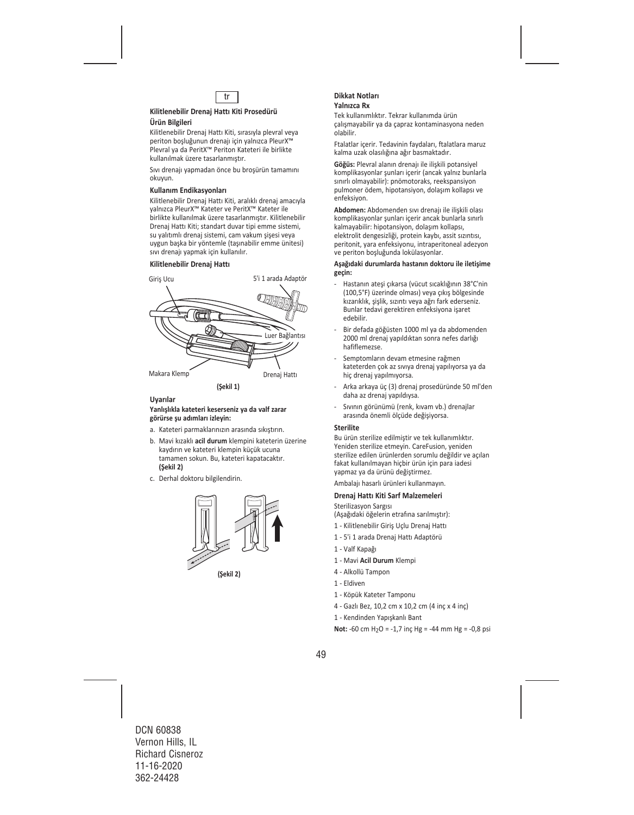

#### **Kilitlenebilir Drenaj Hattı Kiti Prosedürü Ürün Bilgileri**

Kilitlenebilir Drenaj Hattı Kiti, sırasıyla plevral veya periton boşluğunun drenajı için yalnızca PleurX™ Plevral ya da PeritX™ Periton Kateteri ile birlikte kullanılmak üzere tasarlanmıştır.

Sıvı drenajı yapmadan önce bu broşürün tamamını okuyun.

#### **Kullanım Endikasyonları**

Kilitlenebilir Drenaj Hattı Kiti, aralıklı drenaj amacıyla yalnızca PleurX™ Kateter ve PeritX™ Kateter ile birlikte kullanılmak üzere tasarlanmıştır. Kilitlenebilir Drenaj Hattı Kiti; standart duvar tipi emme sistemi, su yalıtımlı drenaj sistemi, cam vakum şişesi veya uygun başka bir yöntemle (taşınabilir emme ünitesi) sıvı drenajı yapmak için kullanılır.

#### **Kilitlenebilir Drenaj Hattı**



### **Uyarılar**

#### **Yanlışlıkla kateteri keserseniz ya da valf zarar görürse şu adımları izleyin:**

- a. Kateteri parmaklarınızın arasında sıkıştırın.
- b. Mavi kızaklı **acil durum** klempini kateterin üzerine kaydırın ve kateteri klempin küçük ucuna tamamen sokun. Bu, kateteri kapatacaktır. **(Şekil 2)**
- c. Derhal doktoru bilgilendirin.



**(Şekil 2)**

#### **Dikkat Notları Yalnızca Rx**

Tek kullanımlıktır. Tekrar kullanımda ürün çalışmayabilir ya da çapraz kontaminasyona neden olabilir.

Ftalatlar içerir. Tedavinin faydaları, ftalatlara maruz kalma uzak olasılığına ağır basmaktadır.

**Göğüs:** Plevral alanın drenajı ile ilişkili potansiyel komplikasyonlar şunları içerir (ancak yalnız bunlarla sınırlı olmayabilir): pnömotoraks, reekspansiyon pulmoner ödem, hipotansiyon, dolaşım kollapsı ve enfeksiyon.

**Abdomen:** Abdomenden sıvı drenajı ile ilişkili olası komplikasyonlar şunları içerir ancak bunlarla sınırlı kalmayabilir: hipotansiyon, dolaşım kollapsı, elektrolit dengesizliği, protein kaybı, assit sızıntısı, peritonit, yara enfeksiyonu, intraperitoneal adezyon ve periton boşluğunda lokülasyonlar.

#### **Aşağıdaki durumlarda hastanın doktoru ile iletişime geçin:**

- ‐ Hastanın ateşi çıkarsa (vücut sıcaklığının 38°C'nin (100,5°F) üzerinde olması) veya çıkış bölgesinde kızarıklık, şişlik, sızıntı veya ağrı fark ederseniz. Bunlar tedavi gerektiren enfeksiyona işaret edebilir.
- ‐ Bir defada göğüsten 1000 ml ya da abdomenden 2000 ml drenaj yapıldıktan sonra nefes darlığı hafiflemezse.
- ‐ Semptomların devam etmesine rağmen kateterden çok az sıvıya drenaj yapılıyorsa ya da hiç drenaj yapılmıyorsa.
- ‐ Arka arkaya üç (3) drenaj prosedüründe 50 ml'den daha az drenaj yapıldıysa.
- ‐ Sıvının görünümü (renk, kıvam vb.) drenajlar arasında önemli ölçüde değişiyorsa.

#### **Sterilite**

Bu ürün sterilize edilmiştir ve tek kullanımlıktır. Yeniden sterilize etmeyin. CareFusion, yeniden sterilize edilen ürünlerden sorumlu değildir ve açılan fakat kullanılmayan hiçbir ürün için para iadesi yapmaz ya da ürünü değiştirmez.

Ambalajı hasarlı ürünleri kullanmayın.

#### **Drenaj Hattı Kiti Sarf Malzemeleri**

Sterilizasyon Sargısı

(Aşağıdaki öğelerin etrafına sarılmıştır):

- 1 ‐ Kilitlenebilir Giriş Uçlu Drenaj Hattı
- 1 ‐ 5'i 1 arada Drenaj Hattı Adaptörü
- 1 ‐ Valf Kapağı
- 1 ‐ Mavi **Acil Durum** Klempi
- 4 ‐ Alkollü Tampon
- 1 ‐ Eldiven
- 1 ‐ Köpük Kateter Tamponu
- 4 ‐ Gazlı Bez, 10,2 cm x 10,2 cm (4 inç x 4 inç)
- 1 ‐ Kendinden Yapışkanlı Bant

**Not:**  $-60$  cm  $H_2O = -1.7$  inc  $Hg = -44$  mm  $Hg = -0.8$  psi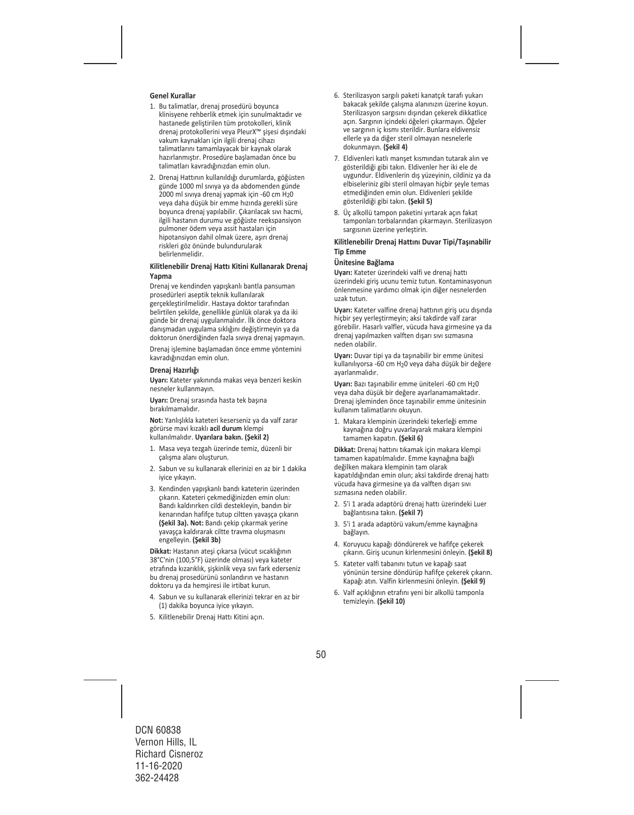#### **Genel Kurallar**

- 1. Bu talimatlar, drenaj prosedürü boyunca klinisyene rehberlik etmek için sunulmaktadır ve hastanede geliştirilen tüm protokolleri, klinik drenaj protokollerini veya PleurX™ şişesi dışındaki vakum kaynakları için ilgili drenaj cihazı talimatlarını tamamlayacak bir kaynak olarak hazırlanmıştır. Prosedüre başlamadan önce bu talimatları kavradığınızdan emin olun.
- 2. Drenaj Hattının kullanıldığı durumlarda, göğüsten günde 1000 ml sıvıya ya da abdomenden günde 2000 ml sıvıya drenaj yapmak için ‐60 cm H20 veya daha düşük bir emme hızında gerekli süre boyunca drenaj yapılabilir. Çıkarılacak sıvı hacmi, ilgili hastanın durumu ve göğüste reekspansiyon pulmoner ödem veya assit hastaları için hipotansiyon dahil olmak üzere, aşırı drenaj riskleri göz önünde bulundurularak belirlenmelidir.

#### **Kilitlenebilir Drenaj Hattı Kitini Kullanarak Drenaj Yapma**

Drenaj ve kendinden yapışkanlı bantla pansuman prosedürleri aseptik teknik kullanılarak gerçekleştirilmelidir. Hastaya doktor tarafından belirtilen şekilde, genellikle günlük olarak ya da iki günde bir drenaj uygulanmalıdır. İlk önce doktora danışmadan uygulama sıklığını değiştirmeyin ya da doktorun önerdiğinden fazla sıvıya drenaj yapmayın.

Drenaj işlemine başlamadan önce emme yöntemini kavradığınızdan emin olun.

#### **Drenaj Hazırlığı**

**Uyarı:** Kateter yakınında makas veya benzeri keskin nesneler kullanmayın.

**Uyarı:** Drenaj sırasında hasta tek başına bırakılmamalıdır.

**Not:** Yanlışlıkla kateteri keserseniz ya da valf zarar görürse mavi kızaklı **acil durum** klempi kullanılmalıdır. **Uyarılara bakın. (Şekil 2)** 

- 1. Masa veya tezgah üzerinde temiz, düzenli bir çalışma alanı oluşturun.
- 2. Sabun ve su kullanarak ellerinizi en az bir 1 dakika iyice yıkayın.
- 3. Kendinden yapışkanlı bandı kateterin üzerinden çıkarın. Kateteri çekmediğinizden emin olun: Bandı kaldırırken cildi destekleyin, bandın bir kenarından hafifçe tutup ciltten yavaşça çıkarın **(Şekil 3a). Not:** Bandı çekip çıkarmak yerine yavaşça kaldırarak ciltte travma oluşmasını engelleyin. **(Şekil 3b)**

**Dikkat:** Hastanın ateşi çıkarsa (vücut sıcaklığının 38°C'nin (100,5°F) üzerinde olması) veya kateter etrafında kızarıklık, şişkinlik veya sıvı fark ederseniz bu drenaj prosedürünü sonlandırın ve hastanın doktoru ya da hemşiresi ile irtibat kurun.

- 4. Sabun ve su kullanarak ellerinizi tekrar en az bir (1) dakika boyunca iyice yıkayın.
- 5. Kilitlenebilir Drenaj Hattı Kitini açın.
- 6. Sterilizasyon sargılı paketi kanatçık tarafı yukarı bakacak şekilde çalışma alanınızın üzerine koyun. Sterilizasyon sargısını dışından çekerek dikkatlice açın. Sargının içindeki öğeleri çıkarmayın. Öğeler ve sargının iç kısmı sterildir. Bunlara eldivensiz ellerle ya da diğer steril olmayan nesnelerle dokunmayın. **(Şekil 4)**
- 7. Eldivenleri katlı manşet kısmından tutarak alın ve gösterildiği gibi takın. Eldivenler her iki ele de uygundur. Eldivenlerin dış yüzeyinin, cildiniz ya da elbiseleriniz gibi steril olmayan hiçbir şeyle temas etmediğinden emin olun. Eldivenleri şekilde gösterildiği gibi takın. **(Şekil 5)**
- 8. Üç alkollü tampon paketini yırtarak açın fakat tamponları torbalarından çıkarmayın. Sterilizasyon sargısının üzerine yerleştirin.

#### **Kilitlenebilir Drenaj Hattını Duvar Tipi/Taşınabilir Tip Emme**

#### **Ünitesine Bağlama**

**Uyarı:** Kateter üzerindeki valfi ve drenaj hattı üzerindeki giriş ucunu temiz tutun. Kontaminasyonun önlenmesine yardımcı olmak için diğer nesnelerden uzak tutun.

**Uyarı:** Kateter valfine drenaj hattının giriş ucu dışında hiçbir şey yerleştirmeyin; aksi takdirde valf zarar görebilir. Hasarlı valfler, vücuda hava girmesine ya da drenaj yapılmazken valften dışarı sıvı sızmasına neden olabilir.

**Uyarı:** Duvar tipi ya da taşınabilir bir emme ünitesi kullanılıyorsa ‐60 cm H20 veya daha düşük bir değere ayarlanmalıdır.

**Uyarı:** Bazı taşınabilir emme üniteleri ‐60 cm H20 veya daha düşük bir değere ayarlanamamaktadır. Drenaj işleminden önce taşınabilir emme ünitesinin kullanım talimatlarını okuyun.

1. Makara klempinin üzerindeki tekerleği emme kaynağına doğru yuvarlayarak makara klempini tamamen kapatın. **(Şekil 6)** 

**Dikkat:** Drenaj hattını tıkamak için makara klempi tamamen kapatılmalıdır. Emme kaynağına bağlı değilken makara klempinin tam olarak kapatıldığından emin olun; aksi takdirde drenaj hattı vücuda hava girmesine ya da valften dışarı sıvı sızmasına neden olabilir.

- 2. 5'i 1 arada adaptörü drenaj hattı üzerindeki Luer bağlantısına takın. **(Şekil 7)**
- 3. 5'i 1 arada adaptörü vakum/emme kaynağına bağlayın.
- 4. Koruyucu kapağı döndürerek ve hafifçe çekerek çıkarın. Giriş ucunun kirlenmesini önleyin. **(Şekil 8)**
- 5. Kateter valfi tabanını tutun ve kapağı saat yönünün tersine döndürüp hafifçe çekerek çıkarın. Kapağı atın. Valfin kirlenmesini önleyin. **(Şekil 9)**
- 6. Valf açıklığının etrafını yeni bir alkollü tamponla temizleyin. **(Şekil 10)**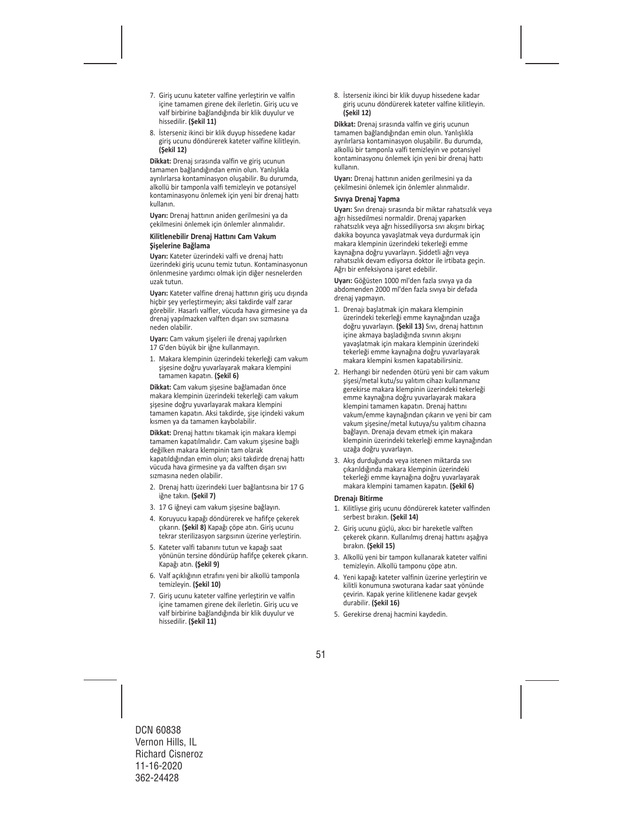- 7. Giriş ucunu kateter valfine yerleştirin ve valfin içine tamamen girene dek ilerletin. Giriş ucu ve valf birbirine bağlandığında bir klik duyulur ve hissedilir. **(Şekil 11)**
- 8. İsterseniz ikinci bir klik duyup hissedene kadar giriş ucunu döndürerek kateter valfine kilitleyin. **(Şekil 12)**

**Dikkat:** Drenaj sırasında valfin ve giriş ucunun tamamen bağlandığından emin olun. Yanlışlıkla ayrılırlarsa kontaminasyon oluşabilir. Bu durumda, alkollü bir tamponla valfi temizleyin ve potansiyel kontaminasyonu önlemek için yeni bir drenaj hattı kullanın.

**Uyarı:** Drenaj hattının aniden gerilmesini ya da çekilmesini önlemek için önlemler alınmalıdır.

#### **Kilitlenebilir Drenaj Hattını Cam Vakum Şişelerine Bağlama**

**Uyarı:** Kateter üzerindeki valfi ve drenaj hattı üzerindeki giriş ucunu temiz tutun. Kontaminasyonun önlenmesine yardımcı olmak için diğer nesnelerden uzak tutun.

**Uyarı:** Kateter valfine drenaj hattının giriş ucu dışında hiçbir şey yerleştirmeyin; aksi takdirde valf zarar görebilir. Hasarlı valfler, vücuda hava girmesine ya da drenaj yapılmazken valften dışarı sıvı sızmasına neden olabilir.

**Uyarı:** Cam vakum şişeleri ile drenaj yapılırken 17 G'den büyük bir iğne kullanmayın.

1. Makara klempinin üzerindeki tekerleği cam vakum şişesine doğru yuvarlayarak makara klempini tamamen kapatın. **(Şekil 6)** 

**Dikkat:** Cam vakum şişesine bağlamadan önce makara klempinin üzerindeki tekerleği cam vakum şişesine doğru yuvarlayarak makara klempini tamamen kapatın. Aksi takdirde, şişe içindeki vakum kısmen ya da tamamen kaybolabilir.

**Dikkat:** Drenaj hattını tıkamak için makara klempi tamamen kapatılmalıdır. Cam vakum şişesine bağlı değilken makara klempinin tam olarak kapatıldığından emin olun; aksi takdirde drenaj hattı vücuda hava girmesine ya da valften dışarı sıvı sızmasına neden olabilir.

- 2. Drenaj hattı üzerindeki Luer bağlantısına bir 17 G iğne takın. **(Şekil 7)**
- 3. 17 G iğneyi cam vakum şişesine bağlayın.
- 4. Koruyucu kapağı döndürerek ve hafifçe çekerek çıkarın. **(Şekil 8)** Kapağı çöpe atın. Giriş ucunu tekrar sterilizasyon sargısının üzerine yerleştirin.
- 5. Kateter valfi tabanını tutun ve kapağı saat yönünün tersine döndürüp hafifçe çekerek çıkarın. Kapağı atın. **(Şekil 9)**
- 6. Valf açıklığının etrafını yeni bir alkollü tamponla temizleyin. **(Şekil 10)**
- 7. Giriş ucunu kateter valfine yerleştirin ve valfin içine tamamen girene dek ilerletin. Giriş ucu ve valf birbirine bağlandığında bir klik duyulur ve hissedilir. **(Şekil 11)**

8. İsterseniz ikinci bir klik duyup hissedene kadar giriş ucunu döndürerek kateter valfine kilitleyin. **(Şekil 12)** 

**Dikkat:** Drenaj sırasında valfin ve giriş ucunun tamamen bağlandığından emin olun. Yanlışlıkla ayrılırlarsa kontaminasyon oluşabilir. Bu durumda, alkollü bir tamponla valfi temizleyin ve potansiyel kontaminasyonu önlemek için yeni bir drenaj hattı kullanın.

**Uyarı:** Drenaj hattının aniden gerilmesini ya da çekilmesini önlemek için önlemler alınmalıdır.

#### **Sıvıya Drenaj Yapma**

**Uyarı:** Sıvı drenajı sırasında bir miktar rahatsızlık veya ağrı hissedilmesi normaldir. Drenaj yaparken rahatsızlık veya ağrı hissediliyorsa sıvı akışını birkaç dakika boyunca yavaşlatmak veya durdurmak için makara klempinin üzerindeki tekerleği emme kaynağına doğru yuvarlayın. Şiddetli ağrı veya rahatsızlık devam ediyorsa doktor ile irtibata geçin. Ağrı bir enfeksiyona işaret edebilir.

**Uyarı:** Göğüsten 1000 ml'den fazla sıvıya ya da abdomenden 2000 ml'den fazla sıvıya bir defada drenaj yapmayın.

- 1. Drenajı başlatmak için makara klempinin üzerindeki tekerleği emme kaynağından uzağa doğru yuvarlayın. **(Şekil 13)** Sıvı, drenaj hattının içine akmaya başladığında sıvının akışını yavaşlatmak için makara klempinin üzerindeki tekerleği emme kaynağına doğru yuvarlayarak makara klempini kısmen kapatabilirsiniz.
- 2. Herhangi bir nedenden ötürü yeni bir cam vakum şişesi/metal kutu/su yalıtım cihazı kullanmanız gerekirse makara klempinin üzerindeki tekerleği emme kaynağına doğru yuvarlayarak makara klempini tamamen kapatın. Drenaj hattını vakum/emme kaynağından çıkarın ve yeni bir cam vakum şişesine/metal kutuya/su yalıtım cihazına bağlayın. Drenaja devam etmek için makara klempinin üzerindeki tekerleği emme kaynağından uzağa doğru yuvarlayın.
- 3. Akış durduğunda veya istenen miktarda sıvı çıkarıldığında makara klempinin üzerindeki tekerleği emme kaynağına doğru yuvarlayarak makara klempini tamamen kapatın. **(Şekil 6)**

#### **Drenajı Bitirme**

- 1. Kilitliyse giriş ucunu döndürerek kateter valfinden serbest bırakın. **(Şekil 14)**
- 2. Giriş ucunu güçlü, akıcı bir hareketle valften çekerek çıkarın. Kullanılmış drenaj hattını aşağıya bırakın. **(Şekil 15)**
- 3. Alkollü yeni bir tampon kullanarak kateter valfini temizleyin. Alkollü tamponu çöpe atın.
- 4. Yeni kapağı kateter valfinin üzerine yerleştirin ve kilitli konumuna swoturana kadar saat yönünde çevirin. Kapak yerine kilitlenene kadar gevşek durabilir. **(Şekil 16)**
- 5. Gerekirse drenaj hacmini kaydedin.